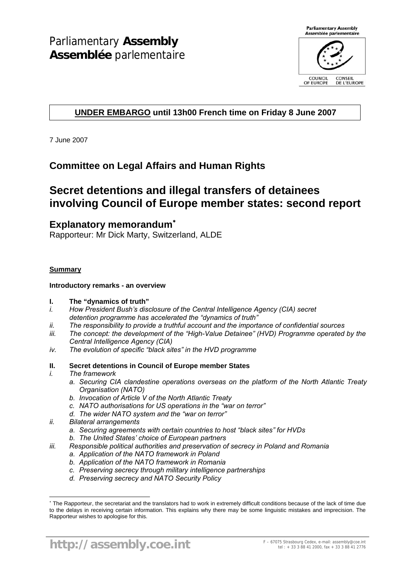

# **UNDER EMBARGO until 13h00 French time on Friday 8 June 2007**

7 June 2007

# **Committee on Legal Affairs and Human Rights**

# **Secret detentions and illegal transfers of detainees involving Council of Europe member states: second report**

# **Explanatory memorandum**<sup>∗</sup>

Rapporteur: Mr Dick Marty, Switzerland, ALDE

## **Summary**

## **Introductory remarks - an overview**

## **I. The "dynamics of truth"**

- *i. How President Bush's disclosure of the Central Intelligence Agency (CIA) secret detention programme has accelerated the "dynamics of truth"*
- *ii. The responsibility to provide a truthful account and the importance of confidential sources*
- *iii. The concept: the development of the "High-Value Detainee" (HVD) Programme operated by the Central Intelligence Agency (CIA)*
- *iv. The evolution of specific "black sites" in the HVD programme*

# **II. Secret detentions in Council of Europe member States**

*i. The framework* 

 $\overline{a}$ 

- *a. Securing CIA clandestine operations overseas on the platform of the North Atlantic Treaty Organisation (NATO)*
- *b. Invocation of Article V of the North Atlantic Treaty*
- *c. NATO authorisations for US operations in the "war on terror"*
- *d. The wider NATO system and the "war on terror"*
- *ii. Bilateral arrangements* 
	- *a. Securing agreements with certain countries to host "black sites" for HVDs*
	- *b. The United States' choice of European partners*
- *iii. Responsible political authorities and preservation of secrecy in Poland and Romania* 
	- *a. Application of the NATO framework in Poland*
	- *b. Application of the NATO framework in Romania*
	- *c. Preserving secrecy through military intelligence partnerships*
	- *d. Preserving secrecy and NATO Security Policy*

<sup>∗</sup> The Rapporteur, the secretariat and the translators had to work in extremely difficult conditions because of the lack of time due to the delays in receiving certain information. This explains why there may be some linguistic mistakes and imprecision. The Rapporteur wishes to apologise for this.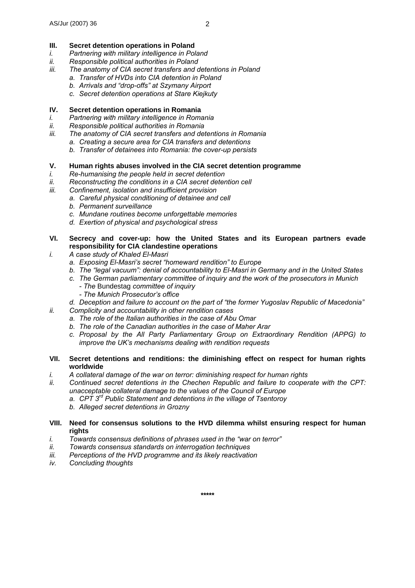#### **III. Secret detention operations in Poland**

- *i. Partnering with military intelligence in Poland*
- *ii. Responsible political authorities in Poland*
- *iii. The anatomy of CIA secret transfers and detentions in Poland* 
	- *a. Transfer of HVDs into CIA detention in Poland* 
		- *b. Arrivals and "drop-offs" at Szymany Airport*
	- *c. Secret detention operations at Stare Kiejkuty*

# **IV. Secret detention operations in Romania**

- *i. Partnering with military intelligence in Romania*
- *ii. Responsible political authorities in Romania*
- *iii. The anatomy of CIA secret transfers and detentions in Romania* 
	- *a. Creating a secure area for CIA transfers and detentions* 
		- *b. Transfer of detainees into Romania: the cover-up persists*

# **V. Human rights abuses involved in the CIA secret detention programme**

- *i. Re-humanising the people held in secret detention*
- *ii.* Reconstructing the conditions in a CIA secret detention cell
- *iii. Confinement, isolation and insufficient provision* 
	- *a. Careful physical conditioning of detainee and cell*
	- *b. Permanent surveillance*
	- *c. Mundane routines become unforgettable memories*
	- *d. Exertion of physical and psychological stress*

# **VI. Secrecy and cover-up: how the United States and its European partners evade responsibility for CIA clandestine operations**

- *i. A case study of Khaled El-Masri* 
	- *a. Exposing El-Masri's secret "homeward rendition" to Europe*
	- *b. The "legal vacuum": denial of accountability to El-Masri in Germany and in the United States*
	- *c. The German parliamentary committee of inquiry and the work of the prosecutors in Munich - The* Bundestag *committee of inquiry* 
		- *The Munich Prosecutor's office*
	- *d. Deception and failure to account on the part of "the former Yugoslav Republic of Macedonia"*
- *ii. Complicity and accountability in other rendition cases* 
	- *a. The role of the Italian authorities in the case of Abu Omar*
	- *b. The role of the Canadian authorities in the case of Maher Arar*
	- *c. Proposal by the All Party Parliamentary Group on Extraordinary Rendition (APPG) to improve the UK's mechanisms dealing with rendition requests*

## **VII. Secret detentions and renditions: the diminishing effect on respect for human rights worldwide**

- *i. A collateral damage of the war on terror: diminishing respect for human rights*
- *ii. Continued secret detentions in the Chechen Republic and failure to cooperate with the CPT: unacceptable collateral damage to the values of the Council of Europe* 
	- *a. CPT 3rd Public Statement and detentions in the village of Tsentoroy*
	- *b. Alleged secret detentions in Grozny*
- **VIII. Need for consensus solutions to the HVD dilemma whilst ensuring respect for human rights**
- *i. Towards consensus definitions of phrases used in the "war on terror"*
- *ii. Towards consensus standards on interrogation techniques*
- *iii. Perceptions of the HVD programme and its likely reactivation*
- *iv. Concluding thoughts*

**\*\*\*\*\***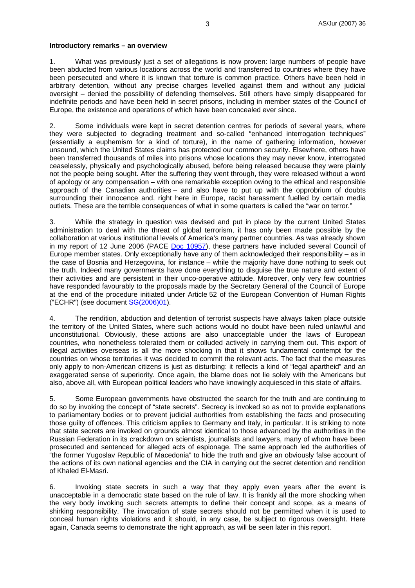#### **Introductory remarks – an overview**

1. What was previously just a set of allegations is now proven: large numbers of people have been abducted from various locations across the world and transferred to countries where they have been persecuted and where it is known that torture is common practice. Others have been held in arbitrary detention, without any precise charges levelled against them and without any judicial oversight – denied the possibility of defending themselves. Still others have simply disappeared for indefinite periods and have been held in secret prisons, including in member states of the Council of Europe, the existence and operations of which have been concealed ever since.

2. Some individuals were kept in secret detention centres for periods of several years, where they were subjected to degrading treatment and so-called "enhanced interrogation techniques" (essentially a euphemism for a kind of torture), in the name of gathering information, however unsound, which the United States claims has protected our common security. Elsewhere, others have been transferred thousands of miles into prisons whose locations they may never know, interrogated ceaselessly, physically and psychologically abused, before being released because they were plainly not the people being sought. After the suffering they went through, they were released without a word of apology or any compensation – with one remarkable exception owing to the ethical and responsible approach of the Canadian authorities – and also have to put up with the opprobrium of doubts surrounding their innocence and, right here in Europe, racist harassment fuelled by certain media outlets. These are the terrible consequences of what in some quarters is called the "war on terror."

3. While the strategy in question was devised and put in place by the current United States administration to deal with the threat of global terrorism, it has only been made possible by the collaboration at various institutional levels of America's many partner countries. As was already shown in my report of 12 June 2006 (PACE Doc 10957), these partners have included several Council of Europe member states. Only exceptionally have any of them acknowledged their responsibility – as in the case of Bosnia and Herzegovina, for instance – while the majority have done nothing to seek out the truth. Indeed many governments have done everything to disguise the true nature and extent of their activities and are persistent in their unco-operative attitude. Moreover, only very few countries have responded favourably to the proposals made by the Secretary General of the Council of Europe at the end of the procedure initiated under Article 52 of the European Convention of Human Rights ("ECHR") (see document SG(2006)01).

4. The rendition, abduction and detention of terrorist suspects have always taken place outside the territory of the United States, where such actions would no doubt have been ruled unlawful and unconstitutional. Obviously, these actions are also unacceptable under the laws of European countries, who nonetheless tolerated them or colluded actively in carrying them out. This export of illegal activities overseas is all the more shocking in that it shows fundamental contempt for the countries on whose territories it was decided to commit the relevant acts. The fact that the measures only apply to non-American citizens is just as disturbing: it reflects a kind of "legal apartheid" and an exaggerated sense of superiority. Once again, the blame does not lie solely with the Americans but also, above all, with European political leaders who have knowingly acquiesced in this state of affairs.

5. Some European governments have obstructed the search for the truth and are continuing to do so by invoking the concept of "state secrets". Secrecy is invoked so as not to provide explanations to parliamentary bodies or to prevent judicial authorities from establishing the facts and prosecuting those guilty of offences. This criticism applies to Germany and Italy, in particular. It is striking to note that state secrets are invoked on grounds almost identical to those advanced by the authorities in the Russian Federation in its crackdown on scientists, journalists and lawyers, many of whom have been prosecuted and sentenced for alleged acts of espionage. The same approach led the authorities of "the former Yugoslav Republic of Macedonia" to hide the truth and give an obviously false account of the actions of its own national agencies and the CIA in carrying out the secret detention and rendition of Khaled El-Masri.

6. Invoking state secrets in such a way that they apply even years after the event is unacceptable in a democratic state based on the rule of law. It is frankly all the more shocking when the very body invoking such secrets attempts to define their concept and scope, as a means of shirking responsibility. The invocation of state secrets should not be permitted when it is used to conceal human rights violations and it should, in any case, be subject to rigorous oversight. Here again, Canada seems to demonstrate the right approach, as will be seen later in this report.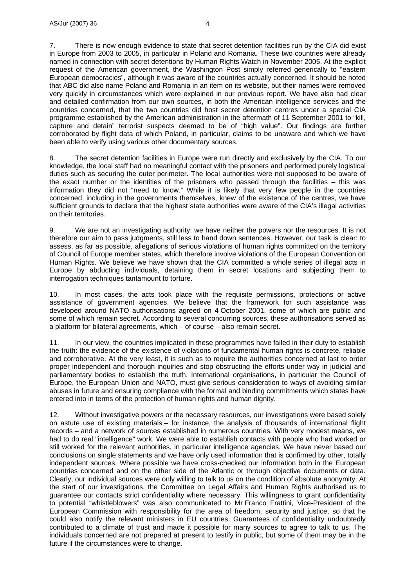7. There is now enough evidence to state that secret detention facilities run by the CIA did exist in Europe from 2003 to 2005, in particular in Poland and Romania. These two countries were already named in connection with secret detentions by Human Rights Watch in November 2005. At the explicit request of the American government, the Washington Post simply referred generically to "eastern European democracies", although it was aware of the countries actually concerned. It should be noted that ABC did also name Poland and Romania in an item on its website, but their names were removed very quickly in circumstances which were explained in our previous report. We have also had clear and detailed confirmation from our own sources, in both the American intelligence services and the countries concerned, that the two countries did host secret detention centres under a special CIA programme established by the American administration in the aftermath of 11 September 2001 to "kill, capture and detain" terrorist suspects deemed to be of "high value". Our findings are further corroborated by flight data of which Poland, in particular, claims to be unaware and which we have been able to verify using various other documentary sources.

8. The secret detention facilities in Europe were run directly and exclusively by the CIA. To our knowledge, the local staff had no meaningful contact with the prisoners and performed purely logistical duties such as securing the outer perimeter. The local authorities were not supposed to be aware of the exact number or the identities of the prisoners who passed through the facilities – this was information they did not "need to know." While it is likely that very few people in the countries concerned, including in the governments themselves, knew of the existence of the centres, we have sufficient grounds to declare that the highest state authorities were aware of the CIA's illegal activities on their territories.

9. We are not an investigating authority: we have neither the powers nor the resources. It is not therefore our aim to pass judgments, still less to hand down sentences. However, our task is clear: to assess, as far as possible, allegations of serious violations of human rights committed on the territory of Council of Europe member states, which therefore involve violations of the European Convention on Human Rights. We believe we have shown that the CIA committed a whole series of illegal acts in Europe by abducting individuals, detaining them in secret locations and subjecting them to interrogation techniques tantamount to torture.

10. In most cases, the acts took place with the requisite permissions, protections or active assistance of government agencies. We believe that the framework for such assistance was developed around NATO authorisations agreed on 4 October 2001, some of which are public and some of which remain secret. According to several concurring sources, these authorisations served as a platform for bilateral agreements, which – of course – also remain secret.

11. In our view, the countries implicated in these programmes have failed in their duty to establish the truth: the evidence of the existence of violations of fundamental human rights is concrete, reliable and corroborative. At the very least, it is such as to require the authorities concerned at last to order proper independent and thorough inquiries and stop obstructing the efforts under way in judicial and parliamentary bodies to establish the truth. International organisations, in particular the Council of Europe, the European Union and NATO, must give serious consideration to ways of avoiding similar abuses in future and ensuring compliance with the formal and binding commitments which states have entered into in terms of the protection of human rights and human dignity.

12. Without investigative powers or the necessary resources, our investigations were based solely on astute use of existing materials – for instance, the analysis of thousands of international flight records – and a network of sources established in numerous countries. With very modest means, we had to do real "intelligence" work. We were able to establish contacts with people who had worked or still worked for the relevant authorities, in particular intelligence agencies. We have never based our conclusions on single statements and we have only used information that is confirmed by other, totally independent sources. Where possible we have cross-checked our information both in the European countries concerned and on the other side of the Atlantic or through objective documents or data. Clearly, our individual sources were only willing to talk to us on the condition of absolute anonymity. At the start of our investigations, the Committee on Legal Affairs and Human Rights authorised us to guarantee our contacts strict confidentiality where necessary. This willingness to grant confidentiality to potential "whistleblowers" was also communicated to Mr Franco Frattini, Vice-President of the European Commission with responsibility for the area of freedom, security and justice, so that he could also notify the relevant ministers in EU countries. Guarantees of confidentiality undoubtedly contributed to a climate of trust and made it possible for many sources to agree to talk to us. The individuals concerned are not prepared at present to testify in public, but some of them may be in the future if the circumstances were to change.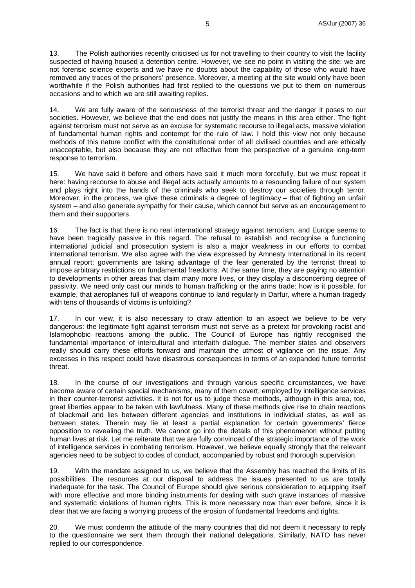13. The Polish authorities recently criticised us for not travelling to their country to visit the facility suspected of having housed a detention centre. However, we see no point in visiting the site: we are not forensic science experts and we have no doubts about the capability of those who would have removed any traces of the prisoners' presence. Moreover, a meeting at the site would only have been worthwhile if the Polish authorities had first replied to the questions we put to them on numerous occasions and to which we are still awaiting replies.

14. We are fully aware of the seriousness of the terrorist threat and the danger it poses to our societies. However, we believe that the end does not justify the means in this area either. The fight against terrorism must not serve as an excuse for systematic recourse to illegal acts, massive violation of fundamental human rights and contempt for the rule of law. I hold this view not only because methods of this nature conflict with the constitutional order of all civilised countries and are ethically unacceptable, but also because they are not effective from the perspective of a genuine long-term response to terrorism.

15. We have said it before and others have said it much more forcefully, but we must repeat it here: having recourse to abuse and illegal acts actually amounts to a resounding failure of our system and plays right into the hands of the criminals who seek to destroy our societies through terror. Moreover, in the process, we give these criminals a degree of legitimacy – that of fighting an unfair system – and also generate sympathy for their cause, which cannot but serve as an encouragement to them and their supporters.

16. The fact is that there is no real international strategy against terrorism, and Europe seems to have been tragically passive in this regard. The refusal to establish and recognise a functioning international judicial and prosecution system is also a major weakness in our efforts to combat international terrorism. We also agree with the view expressed by Amnesty International in its recent annual report: governments are taking advantage of the fear generated by the terrorist threat to impose arbitrary restrictions on fundamental freedoms. At the same time, they are paying no attention to developments in other areas that claim many more lives, or they display a disconcerting degree of passivity. We need only cast our minds to human trafficking or the arms trade: how is it possible, for example, that aeroplanes full of weapons continue to land regularly in Darfur, where a human tragedy with tens of thousands of victims is unfolding?

17. In our view, it is also necessary to draw attention to an aspect we believe to be very dangerous: the legitimate fight against terrorism must not serve as a pretext for provoking racist and Islamophobic reactions among the public. The Council of Europe has rightly recognised the fundamental importance of intercultural and interfaith dialogue. The member states and observers really should carry these efforts forward and maintain the utmost of vigilance on the issue. Any excesses in this respect could have disastrous consequences in terms of an expanded future terrorist threat.

18. In the course of our investigations and through various specific circumstances, we have become aware of certain special mechanisms, many of them covert, employed by intelligence services in their counter-terrorist activities. It is not for us to judge these methods, although in this area, too, great liberties appear to be taken with lawfulness. Many of these methods give rise to chain reactions of blackmail and lies between different agencies and institutions in individual states, as well as between states. Therein may lie at least a partial explanation for certain governments' fierce opposition to revealing the truth. We cannot go into the details of this phenomenon without putting human lives at risk. Let me reiterate that we are fully convinced of the strategic importance of the work of intelligence services in combating terrorism. However, we believe equally strongly that the relevant agencies need to be subject to codes of conduct, accompanied by robust and thorough supervision.

19. With the mandate assigned to us, we believe that the Assembly has reached the limits of its possibilities. The resources at our disposal to address the issues presented to us are totally inadequate for the task. The Council of Europe should give serious consideration to equipping itself with more effective and more binding instruments for dealing with such grave instances of massive and systematic violations of human rights. This is more necessary now than ever before, since it is clear that we are facing a worrying process of the erosion of fundamental freedoms and rights.

20. We must condemn the attitude of the many countries that did not deem it necessary to reply to the questionnaire we sent them through their national delegations. Similarly, NATO has never replied to our correspondence.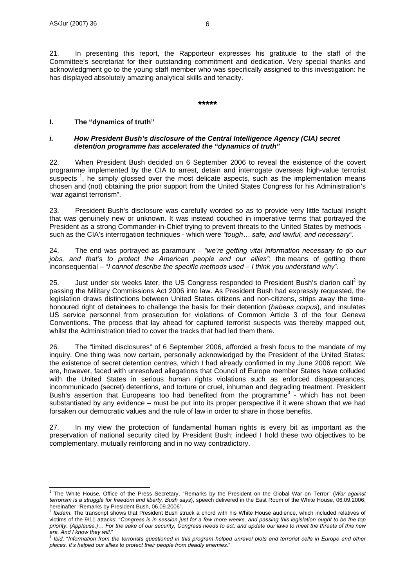21. In presenting this report, the Rapporteur expresses his gratitude to the staff of the Committee's secretariat for their outstanding commitment and dedication. Very special thanks and acknowledgment go to the young staff member who was specifically assigned to this investigation: he has displayed absolutely amazing analytical skills and tenacity.

#### **\*\*\*\*\***

#### **I. The "dynamics of truth"**

#### *i. How President Bush's disclosure of the Central Intelligence Agency (CIA) secret detention programme has accelerated the "dynamics of truth"*

22. When President Bush decided on 6 September 2006 to reveal the existence of the covert programme implemented by the CIA to arrest, detain and interrogate overseas high-value terrorist suspects<sup>1</sup>, he simply glossed over the most delicate aspects, such as the implementation means chosen and (not) obtaining the prior support from the United States Congress for his Administration's "war against terrorism".

23. President Bush's disclosure was carefully worded so as to provide very little factual insight that was genuinely new or unknown. It was instead couched in imperative terms that portrayed the President as a strong Commander-in-Chief trying to prevent threats to the United States by methods such as the CIA's interrogation techniques - which were *"tough… safe, and lawful, and necessary"*.

24. The end was portrayed as paramount – *"we're getting vital information necessary to do our jobs, and that's to protect the American people and our allies"*; the means of getting there inconsequential – "*I cannot describe the specific methods used – I think you understand why*".

25. Just under six weeks later, the US Congress responded to President Bush's clarion call<sup>2</sup> by passing the Military Commissions Act 2006 into law. As President Bush had expressly requested, the legislation draws distinctions between United States citizens and non-citizens, strips away the timehonoured right of detainees to challenge the basis for their detention (*habeas corpus*), and insulates US service personnel from prosecution for violations of Common Article 3 of the four Geneva Conventions. The process that lay ahead for captured terrorist suspects was thereby mapped out, whilst the Administration tried to cover the tracks that had led them there.

26. The "limited disclosures" of 6 September 2006, afforded a fresh focus to the mandate of my inquiry. One thing was now certain, personally acknowledged by the President of the United States: the existence of secret detention centres, which I had already confirmed in my June 2006 report. We are, however, faced with unresolved allegations that Council of Europe member States have colluded with the United States in serious human rights violations such as enforced disappearances, incommunicado (secret) detentions, and torture or cruel, inhuman and degrading treatment. President Bush's assertion that Europeans too had benefited from the programme<sup>3</sup> - which has not been substantiated by any evidence – must be put into its proper perspective if it were shown that we had forsaken our democratic values and the rule of law in order to share in those benefits.

27. In my view the protection of fundamental human rights is every bit as important as the preservation of national security cited by President Bush; indeed I hold these two objectives to be complementary, mutually reinforcing and in no way contradictory.

 1 The White House, Office of the Press Secretary, "Remarks by the President on the Global War on Terror" (*War against terrorism is a struggle for freedom and liberty, Bush says*), speech delivered in the East Room of the White House, 06.09.2006;

hereinafter "Remarks by President Bush, 06.09.2006".<br><sup>2</sup> *Ibidem*. The transcript shows that President Bush struck a chord with his White House audience, which included relatives of victims of the 9/11 attacks: "*Congress is in session just for a few more weeks, and passing this legislation ought to be the top priority. (Applause.)… For the sake of our security, Congress needs to act, and update our laws to meet the threats of this new era. And I know they will*." 3 *Ibid*. "*Information from the terrorists questioned in this program helped unravel plots and terrorist cells in Europe and other* 

*places. It's helped our allies to protect their people from deadly enemies*."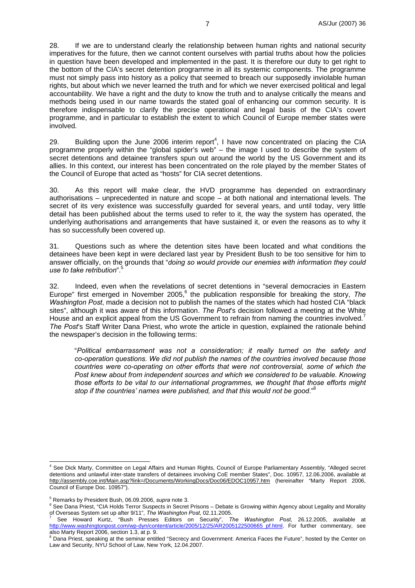28. If we are to understand clearly the relationship between human rights and national security imperatives for the future, then we cannot content ourselves with partial truths about how the policies in question have been developed and implemented in the past. It is therefore our duty to get right to the bottom of the CIA's secret detention programme in all its systemic components. The programme must not simply pass into history as a policy that seemed to breach our supposedly inviolable human rights, but about which we never learned the truth and for which we never exercised political and legal accountability. We have a right and the duty to know the truth and to analyse critically the means and methods being used in our name towards the stated goal of enhancing our common security. It is therefore indispensable to clarify the precise operational and legal basis of the CIA's covert programme, and in particular to establish the extent to which Council of Europe member states were involved.

29. Building upon the June 2006 interim report<sup>4</sup>, I have now concentrated on placing the CIA programme properly within the "global spider's web" – the image I used to describe the system of secret detentions and detainee transfers spun out around the world by the US Government and its allies. In this context, our interest has been concentrated on the role played by the member States of the Council of Europe that acted as "hosts" for CIA secret detentions.

30. As this report will make clear, the HVD programme has depended on extraordinary authorisations – unprecedented in nature and scope – at both national and international levels. The secret of its very existence was successfully guarded for several years, and until today, very little detail has been published about the terms used to refer to it, the way the system has operated, the underlying authorisations and arrangements that have sustained it, or even the reasons as to why it has so successfully been covered up.

31. Questions such as where the detention sites have been located and what conditions the detainees have been kept in were declared last year by President Bush to be too sensitive for him to answer officially, on the grounds that "*doing so would provide our enemies with information they could use to take retribution*".5

32. Indeed, even when the revelations of secret detentions in "several democracies in Eastern Europe" first emerged in November 2005,<sup>6</sup> the publication responsible for breaking the story, The *Washington Post*, made a decision not to publish the names of the states which had hosted CIA "black sites", although it was aware of this information. *The Post*'s decision followed a meeting at the White House and an explicit appeal from the US Government to refrain from naming the countries involved.<sup>7</sup> *The Post*'s Staff Writer Dana Priest, who wrote the article in question, explained the rationale behind the newspaper's decision in the following terms:

"*Political embarrassment was not a consideration; it really turned on the safety and co-operation questions. We did not publish the names of the countries involved because those countries were co-operating on other efforts that were not controversial, some of which the Post knew about from independent sources and which we considered to be valuable. Knowing those efforts to be vital to our international programmes, we thought that those efforts might stop if the countries' names were published, and that this would not be good*."8

 $\overline{a}$ 

<sup>4</sup> See Dick Marty, Committee on Legal Affairs and Human Rights, Council of Europe Parliamentary Assembly, "Alleged secret detentions and unlawful inter-state transfers of detainees involving CoE member States", Doc. 10957, 12.06.2006, available at http://assembly.coe.int/Main.asp?link=/Documents/WorkingDocs/Doc06/EDOC10957.htm (hereinafter "Marty Report 2006, Council of Europe Doc. 10957").

<sup>&</sup>lt;sup>5</sup> Remarks by President Bush, 06.09.2006, *supra* note 3.<br><sup>6</sup> See Dane Briest, "CLA Holde Terrer Supperts in Secret.

<sup>&</sup>lt;sup>6</sup> See Dana Priest, "CIA Holds Terror Suspects in Secret Prisons – Debate is Growing within Agency about Legality and Morality of Overseas System set up after 9/11", *The Washington Post*, 02.11.2005. 7

See Howard Kurtz, "Bush Presses Editors on Security", *The Washington Post*, 26.12.2005, available at http://www.washingtonpost.com/wp-dyn/content/article/2005/12/25/AR2005122500665\_pf.html. For further commentary, see also Marty Report 2006, section 1.3, at p. 9.

<sup>&</sup>lt;sup>8</sup> Dana Priest, speaking at the seminar entitled "Secrecy and Government: America Faces the Future", hosted by the Center on Law and Security, NYU School of Law, New York, 12.04.2007.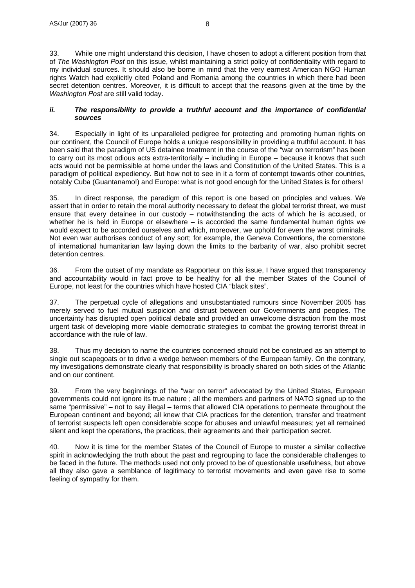33. While one might understand this decision, I have chosen to adopt a different position from that of *The Washington Post* on this issue, whilst maintaining a strict policy of confidentiality with regard to my individual sources. It should also be borne in mind that the very earnest American NGO Human rights Watch had explicitly cited Poland and Romania among the countries in which there had been secret detention centres. Moreover, it is difficult to accept that the reasons given at the time by the *Washington Post* are still valid today.

#### *ii. The responsibility to provide a truthful account and the importance of confidential sources*

34. Especially in light of its unparalleled pedigree for protecting and promoting human rights on our continent, the Council of Europe holds a unique responsibility in providing a truthful account. It has been said that the paradigm of US detainee treatment in the course of the "war on terrorism" has been to carry out its most odious acts extra-territorially – including in Europe – because it knows that such acts would not be permissible at home under the laws and Constitution of the United States. This is a paradigm of political expediency. But how not to see in it a form of contempt towards other countries, notably Cuba (Guantanamo!) and Europe: what is not good enough for the United States is for others!

35. In direct response, the paradigm of this report is one based on principles and values. We assert that in order to retain the moral authority necessary to defeat the global terrorist threat, we must ensure that every detainee in our custody – notwithstanding the acts of which he is accused, or whether he is held in Europe or elsewhere – is accorded the same fundamental human rights we would expect to be accorded ourselves and which, moreover, we uphold for even the worst criminals. Not even war authorises conduct of any sort; for example, the Geneva Conventions, the cornerstone of international humanitarian law laying down the limits to the barbarity of war, also prohibit secret detention centres.

36. From the outset of my mandate as Rapporteur on this issue, I have argued that transparency and accountability would in fact prove to be healthy for all the member States of the Council of Europe, not least for the countries which have hosted CIA "black sites".

37. The perpetual cycle of allegations and unsubstantiated rumours since November 2005 has merely served to fuel mutual suspicion and distrust between our Governments and peoples. The uncertainty has disrupted open political debate and provided an unwelcome distraction from the most urgent task of developing more viable democratic strategies to combat the growing terrorist threat in accordance with the rule of law.

38. Thus my decision to name the countries concerned should not be construed as an attempt to single out scapegoats or to drive a wedge between members of the European family. On the contrary, my investigations demonstrate clearly that responsibility is broadly shared on both sides of the Atlantic and on our continent.

39. From the very beginnings of the "war on terror" advocated by the United States, European governments could not ignore its true nature ; all the members and partners of NATO signed up to the same "permissive" – not to say illegal – terms that allowed CIA operations to permeate throughout the European continent and beyond; all knew that CIA practices for the detention, transfer and treatment of terrorist suspects left open considerable scope for abuses and unlawful measures; yet all remained silent and kept the operations, the practices, their agreements and their participation secret.

40. Now it is time for the member States of the Council of Europe to muster a similar collective spirit in acknowledging the truth about the past and regrouping to face the considerable challenges to be faced in the future. The methods used not only proved to be of questionable usefulness, but above all they also gave a semblance of legitimacy to terrorist movements and even gave rise to some feeling of sympathy for them.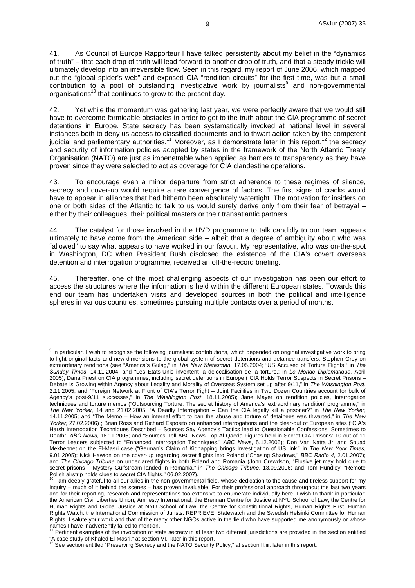41. As Council of Europe Rapporteur I have talked persistently about my belief in the "dynamics of truth" – that each drop of truth will lead forward to another drop of truth, and that a steady trickle will ultimately develop into an irreversible flow. Seen in this regard, my report of June 2006, which mapped out the "global spider's web" and exposed CIA "rendition circuits" for the first time, was but a small contribution to a pool of outstanding investigative work by journalists<sup>9</sup> and non-governmental organisations<sup>10</sup> that continues to grow to the present day.

42. Yet while the momentum was gathering last year, we were perfectly aware that we would still have to overcome formidable obstacles in order to get to the truth about the CIA programme of secret detentions in Europe. State secrecy has been systematically invoked at national level in several instances both to deny us access to classified documents and to thwart action taken by the competent judicial and parliamentary authorities.<sup>11</sup> Moreover, as I demonstrate later in this report,<sup>12</sup> the secrecy and security of information policies adopted by states in the framework of the North Atlantic Treaty Organisation (NATO) are just as impenetrable when applied as barriers to transparency as they have proven since they were selected to act as coverage for CIA clandestine operations.

43. To encourage even a minor departure from strict adherence to these regimes of silence, secrecy and cover-up would require a rare convergence of factors. The first signs of cracks would have to appear in alliances that had hitherto been absolutely watertight. The motivation for insiders on one or both sides of the Atlantic to talk to us would surely derive only from their fear of betrayal – either by their colleagues, their political masters or their transatlantic partners.

44. The catalyst for those involved in the HVD programme to talk candidly to our team appears ultimately to have come from the American side – albeit that a degree of ambiguity about who was "allowed" to say what appears to have worked in our favour. My representative, who was on-the-spot in Washington, DC when President Bush disclosed the existence of the CIA's covert overseas detention and interrogation programme, received an off-the-record briefing.

45. Thereafter, one of the most challenging aspects of our investigation has been our effort to access the structures where the information is held within the different European states. Towards this end our team has undertaken visits and developed sources in both the political and intelligence spheres in various countries, sometimes pursuing multiple contacts over a period of months.

 9 In particular, I wish to recognise the following journalistic contributions, which depended on original investigative work to bring to light original facts and new dimensions to the global system of secret detentions and detainee transfers: Stephen Grey on extraordinary renditions (see "America's Gulag," in *The New Statesman*, 17.05.2004; "US Accused of Torture Flights," in *The Sunday Times*, 14.11.2004; and "Les Etats-Unis inventent la delocalisation de la torture,: in *Le Monde Diplomatique*, April 2005); Dana Priest on CIA programmes, including secret detentions in Europe ("CIA Holds Terror Suspects in Secret Prisons – Debate is Growing within Agency about Legality and Morality of Overseas System set up after 9/11," in *The Washington Post*, 2.11.2005; and "Foreign Network at Front of CIA's Terror Fight – Joint Facilities in Two Dozen Countries account for bulk of Agency's post-9/11 successes," in *The Washington Post*, 18.11.2005); Jane Mayer on rendition policies, interrogation techniques and torture memos ("Outsourcing Torture: The secret history of America's 'extraordinary rendition' programme," in *The New Yorker*, 14 and 21.02.2005; "A Deadly Interrogation – Can the CIA legally kill a prisoner?" in *The New Yorker*, 14.11.2005; and "The Memo – How an internal effort to ban the abuse and torture of detainees was thwarted," in *The New Yorker*, 27.02.2006) ; Brian Ross and Richard Esposito on enhanced interrogations and the clear-out of European sites ("CIA's Harsh Interrogation Techniques Described – Sources Say Agency's Tactics lead to Questionable Confessions, Sometimes to Death", *ABC News*, 18.11.2005; and "Sources Tell ABC News Top Al-Qaeda Figures held in Secret CIA Prisons: 10 out of 11 Terror Leaders subjected to "Enhanced Interrogation Techniques," *ABC News*, 5.12.2005); Don Van Natta Jr. and Souad Mekhennet on the El-Masri case ("German's Claim of Kidnapping brings Investigation of US link," in *The New York Times*, 9.01.2005); Nick Hawton on the cover-up regarding secret flights into Poland ("Chasing Shadows," *BBC Radio 4*, 2.01.2007); and *The Chicago Tribune* on undeclared flights in both Poland and Romania (John Crewdson, "Elusive jet may hold clue to secret prisons – Mystery Gulfstream landed in Romania," in *The Chicago Tribune*, 13.09.2006; and Tom Hundley, "Remote Polish airstrip holds clues to secret CIA flights," 06.02.2007).

<sup>&</sup>lt;sup>10</sup> I am deeply grateful to all our allies in the non-governmental field, whose dedication to the cause and tireless support for my inquiry – much of it behind the scenes – has proven invaluable. For their professional approach throughout the last two years and for their reporting, research and representations too extensive to enumerate individually here, I wish to thank in particular: the American Civil Liberties Union, Amnesty International, the Brennan Centre for Justice at NYU School of Law, the Centre for Human Rights and Global Justice at NYU School of Law, the Centre for Constitutional Rights, Human Rights First, Human Rights Watch, the International Commission of Jurists, REPRIEVE, Statewatch and the Swedish Helsinki Committee for Human Rights. I salute your work and that of the many other NGOs active in the field who have supported me anonymously or whose names I have inadvertently failed to mention.<br><sup>11</sup> Pertinent examples of the invocation of state secrecy in at least two different jurisdictions are provided in the section entitled

<sup>&</sup>quot;A case study of Khaled El-Masri," at section VI.i later in this report.<br>
<sup>12</sup> See section entitled "Preserving Secrecy and the NATO Security Policy," at section II.iii. later in this report.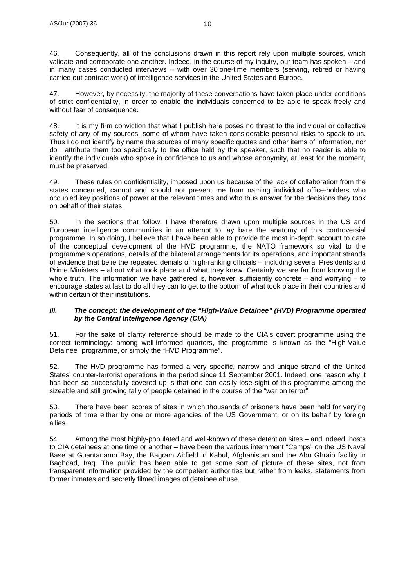46. Consequently, all of the conclusions drawn in this report rely upon multiple sources, which validate and corroborate one another. Indeed, in the course of my inquiry, our team has spoken – and in many cases conducted interviews – with over 30 one-time members (serving, retired or having carried out contract work) of intelligence services in the United States and Europe.

47. However, by necessity, the majority of these conversations have taken place under conditions of strict confidentiality, in order to enable the individuals concerned to be able to speak freely and without fear of consequence.

48. It is my firm conviction that what I publish here poses no threat to the individual or collective safety of any of my sources, some of whom have taken considerable personal risks to speak to us. Thus I do not identify by name the sources of many specific quotes and other items of information, nor do I attribute them too specifically to the office held by the speaker, such that no reader is able to identify the individuals who spoke in confidence to us and whose anonymity, at least for the moment, must be preserved.

49. These rules on confidentiality, imposed upon us because of the lack of collaboration from the states concerned, cannot and should not prevent me from naming individual office-holders who occupied key positions of power at the relevant times and who thus answer for the decisions they took on behalf of their states.

50. In the sections that follow, I have therefore drawn upon multiple sources in the US and European intelligence communities in an attempt to lay bare the anatomy of this controversial programme. In so doing, I believe that I have been able to provide the most in-depth account to date of the conceptual development of the HVD programme, the NATO framework so vital to the programme's operations, details of the bilateral arrangements for its operations, and important strands of evidence that belie the repeated denials of high-ranking officials – including several Presidents and Prime Ministers – about what took place and what they knew. Certainly we are far from knowing the whole truth. The information we have gathered is, however, sufficiently concrete – and worrying – to encourage states at last to do all they can to get to the bottom of what took place in their countries and within certain of their institutions.

#### *iii. The concept: the development of the "High-Value Detainee" (HVD) Programme operated by the Central Intelligence Agency (CIA)*

51. For the sake of clarity reference should be made to the CIA's covert programme using the correct terminology: among well-informed quarters, the programme is known as the "High-Value Detainee" programme, or simply the "HVD Programme".

52. The HVD programme has formed a very specific, narrow and unique strand of the United States' counter-terrorist operations in the period since 11 September 2001. Indeed, one reason why it has been so successfully covered up is that one can easily lose sight of this programme among the sizeable and still growing tally of people detained in the course of the "war on terror".

53. There have been scores of sites in which thousands of prisoners have been held for varying periods of time either by one or more agencies of the US Government, or on its behalf by foreign allies.

54. Among the most highly-populated and well-known of these detention sites – and indeed, hosts to CIA detainees at one time or another – have been the various internment "Camps" on the US Naval Base at Guantanamo Bay, the Bagram Airfield in Kabul, Afghanistan and the Abu Ghraib facility in Baghdad, Iraq. The public has been able to get some sort of picture of these sites, not from transparent information provided by the competent authorities but rather from leaks, statements from former inmates and secretly filmed images of detainee abuse.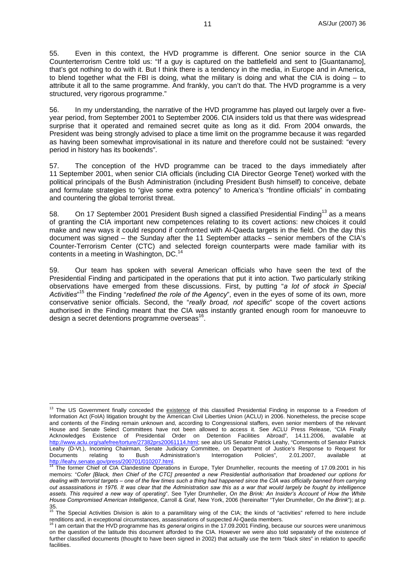55. Even in this context, the HVD programme is different. One senior source in the CIA Counterterrorism Centre told us: "If a guy is captured on the battlefield and sent to [Guantanamo], that's got nothing to do with it. But I think there is a tendency in the media, in Europe and in America, to blend together what the FBI is doing, what the military is doing and what the CIA is doing – to attribute it all to the same programme. And frankly, you can't do that. The HVD programme is a very structured, very rigorous programme."

56. In my understanding, the narrative of the HVD programme has played out largely over a fiveyear period, from September 2001 to September 2006. CIA insiders told us that there was widespread surprise that it operated and remained secret quite as long as it did. From 2004 onwards, the President was being strongly advised to place a time limit on the programme because it was regarded as having been somewhat improvisational in its nature and therefore could not be sustained: "every period in history has its bookends".

57. The conception of the HVD programme can be traced to the days immediately after 11 September 2001, when senior CIA officials (including CIA Director George Tenet) worked with the political principals of the Bush Administration (including President Bush himself) to conceive, debate and formulate strategies to "give some extra potency" to America's "frontline officials" in combating and countering the global terrorist threat.

58. On 17 September 2001 President Bush signed a classified Presidential Finding<sup>13</sup> as a means of granting the CIA important new competences relating to its covert actions: new choices it could make and new ways it could respond if confronted with Al-Qaeda targets in the field. On the day this document was signed – the Sunday after the 11 September attacks – senior members of the CIA's Counter-Terrorism Center (CTC) and selected foreign counterparts were made familiar with its contents in a meeting in Washington, DC.<sup>14</sup>

59. Our team has spoken with several American officials who have seen the text of the Presidential Finding and participated in the operations that put it into action. Two particularly striking observations have emerged from these discussions. First, by putting "*a lot of stock in Special Activities*" 15 the Finding "*redefined the role of the Agency*", even in the eyes of some of its own, more conservative senior officials. Second, the "*really broad, not specific*" scope of the covert actions authorised in the Finding meant that the CIA was instantly granted enough room for manoeuvre to design a secret detentions programme overseas $^{16}$ .

 $\overline{a}$ <sup>13</sup> The US Government finally conceded the existence of this classified Presidential Finding in response to a Freedom of Information Act (FoIA) litigation brought by the American Civil Liberties Union (ACLU) in 2006. Nonetheless, the precise scope and contents of the Finding remain unknown and, according to Congressional staffers, even senior members of the relevant House and Senate Select Committees have not been allowed to access it. See ACLU Press Release, "CIA Finally Acknowledges Existence of Presidential Order on Detention Facilities Abroad", 14.11.2006, available at http://www.aclu.org/safefree/torture/27382prs20061114.html; see also US Senator Patrick Leahy, "Comments of Senator Patrick Leahy (D-Vt.), Incoming Chairman, Senate Judiciary Committee, on Department of Justice's Response to Request for Documents relating to Bush Administration's Interrogation Policies", 2.01.2007, available at<br>http://leahy.senate.gov/press/200701/010207.html.

The former Chief of CIA Clandestine Operations in Europe, Tyler Drumheller, recounts the meeting of 17.09.2001 in his memoirs: "*Cofer [Black, then Chief of the CTC] presented a new Presidential authorisation that broadened our options for dealing with terrorist targets – one of the few times such a thing had happened since the CIA was officially banned from carrying out assassinations in 1976. It was clear that the Administration saw this as a war that would largely be fought by intelligence assets. This required a new way of operating*". See Tyler Drumheller, *On the Brink: An Insider's Account of How the White House Compromised American Intelligence*, Carroll & Graf, New York, 2006 (hereinafter "Tyler Drumheller, *On the Brink*"); at p.

<sup>35.&</sup>lt;br><sup>15</sup> The Special Activities Division is akin to a paramilitary wing of the CIA; the kinds of "activities" referred to here include renditions and, in exceptional circumstances, assassinations of suspected Al-Qaeda members.<br><sup>16</sup> I am certain that the HVD programme has its *general* origins in the 17.09.2001 Finding, because our sources were unanimous

on the question of the latitude this document afforded to the CIA. However we were also told separately of the existence of further classified documents (thought to have been signed in 2002) that actually use the term "black sites" in relation to *specific* facilities.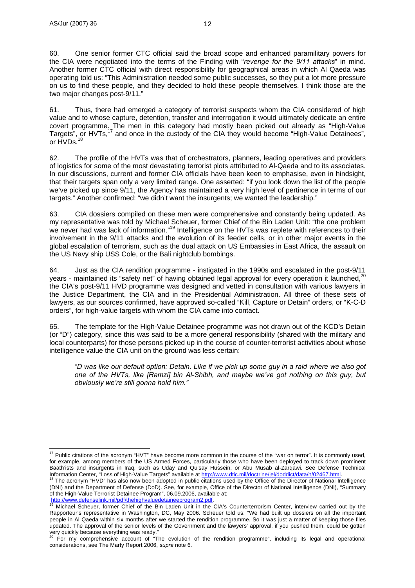61. Thus, there had emerged a category of terrorist suspects whom the CIA considered of high value and to whose capture, detention, transfer and interrogation it would ultimately dedicate an entire covert programme. The men in this category had mostly been picked out already as "High-Value Targets", or HVTs,17 and once in the custody of the CIA they would become "High-Value Detainees", or HVDs.<sup>1</sup>

62. The profile of the HVTs was that of orchestrators, planners, leading operatives and providers of logistics for some of the most devastating terrorist plots attributed to Al-Qaeda and to its associates. In our discussions, current and former CIA officials have been keen to emphasise, even in hindsight, that their targets span only a very limited range. One asserted: "if you look down the list of the people we've picked up since 9/11, the Agency has maintained a very high level of pertinence in terms of our targets." Another confirmed: "we didn't want the insurgents; we wanted the leadership."

63. CIA dossiers compiled on these men were comprehensive and constantly being updated. As my representative was told by Michael Scheuer, former Chief of the Bin Laden Unit: "the one problem we never had was lack of information."<sup>19</sup> Intelligence on the HVTs was replete with references to their involvement in the 9/11 attacks and the evolution of its feeder cells, or in other major events in the global escalation of terrorism, such as the dual attack on US Embassies in East Africa, the assault on the US Navy ship USS Cole, or the Bali nightclub bombings.

64. Just as the CIA rendition programme - instigated in the 1990s and escalated in the post-9/11 years - maintained its "safety net" of having obtained legal approval for every operation it launched.<sup>20</sup> the CIA's post-9/11 HVD programme was designed and vetted in consultation with various lawyers in the Justice Department, the CIA and in the Presidential Administration. All three of these sets of lawyers, as our sources confirmed, have approved so-called "Kill, Capture or Detain" orders, or "K-C-D orders", for high-value targets with whom the CIA came into contact.

65. The template for the High-Value Detainee programme was not drawn out of the KCD's Detain (or "D") category, since this was said to be a more general responsibility (shared with the military and local counterparts) for those persons picked up in the course of counter-terrorist activities about whose intelligence value the CIA unit on the ground was less certain:

*"D was like our default option: Detain. Like if we pick up some guy in a raid where we also got one of the HVTs, like [Ramzi] bin Al-Shibh, and maybe we've got nothing on this guy, but obviously we're still gonna hold him."* 

 $\overline{a}$ 

 $17$  Public citations of the acronym "HVT" have become more common in the course of the "war on terror". It is commonly used, for example, among members of the US Armed Forces, particularly those who have been deployed to track down prominent Baath'ists and insurgents in Iraq, such as Uday and Qu'say Hussein, or Abu Musab al-Zarqawi. See Defense Technical Information Center, "Loss of High-Value Targets" available at http://www.dtic.mil/doctrine/jel/doddict/data

<sup>&</sup>lt;sup>18</sup> The acronym "HVD" has also now been adopted in public citations used by the Office of the Director of National Intelligence (DNI) and the Department of Defense (DoD). See, for example, Office of the Director of National Intelligence (DNI), "Summary of the High-Value Terrorist Detainee Program", 06.09.2006, available at:<br>http://www.defenselink.mil/pdf/thehighvaluedetaineeprogram2.pdf.

Michael Scheuer, former Chief of the Bin Laden Unit in the CIA's Counterterrorism Center, interview carried out by the Rapporteur's representative in Washington, DC, May 2006. Scheuer told us: "We had built up dossiers on all the important people in Al Qaeda within six months after we started the rendition programme. So it was just a matter of keeping those files updated. The approval of the senior levels of the Government and the lawyers' approval, if you pushed them, could be gotten very quickly because everything was ready."

<sup>&</sup>lt;sup>20</sup> For my comprehensive account of "The evolution of the rendition programme", including its legal and operational considerations, see The Marty Report 2006, *supra* note 6.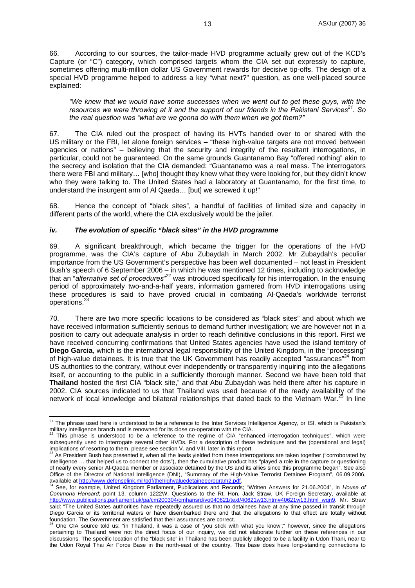66. According to our sources, the tailor-made HVD programme actually grew out of the KCD's Capture (or "C") category, which comprised targets whom the CIA set out expressly to capture, sometimes offering multi-million dollar US Government rewards for decisive tip-offs. The design of a special HVD programme helped to address a key "what next?" question, as one well-placed source explained:

*"We knew that we would have some successes when we went out to get these guys, with the resources we were throwing at it and the support of our friends in the Pakistani Services21. So the real question was "what are we gonna do with them when we got them?"* 

67. The CIA ruled out the prospect of having its HVTs handed over to or shared with the US military or the FBI, let alone foreign services – "these high-value targets are not moved between agencies or nations" – believing that the security and integrity of the resultant interrogations, in particular, could not be guaranteed. On the same grounds Guantanamo Bay "offered nothing" akin to the secrecy and isolation that the CIA demanded: "Guantanamo was a real mess. The interrogators there were FBI and military… [who] thought they knew what they were looking for, but they didn't know who they were talking to. The United States had a laboratory at Guantanamo, for the first time, to understand the insurgent arm of Al Qaeda… [but] we screwed it up!"

68. Hence the concept of "black sites", a handful of facilities of limited size and capacity in different parts of the world, where the CIA exclusively would be the jailer.

#### *iv. The evolution of specific "black sites" in the HVD programme*

69. A significant breakthrough, which became the trigger for the operations of the HVD programme, was the CIA's capture of Abu Zubaydah in March 2002. Mr Zubaydah's peculiar importance from the US Government's perspective has been well documented – not least in President Bush's speech of 6 September 2006 – in which he was mentioned 12 times, including to acknowledge that an "*alternative set of procedures*"<sup>22</sup> was introduced specifically for his interrogation. In the ensuing period of approximately two-and-a-half years, information garnered from HVD interrogations using these procedures is said to have proved crucial in combating Al-Qaeda's worldwide terrorist operations.23

70. There are two more specific locations to be considered as "black sites" and about which we have received information sufficiently serious to demand further investigation; we are however not in a position to carry out adequate analysis in order to reach definitive conclusions in this report. First we have received concurring confirmations that United States agencies have used the island territory of **Diego Garcia**, which is the international legal responsibility of the United Kingdom, in the "processing" of high-value detainees. It is true that the UK Government has readily accepted "assurances"<sup>24</sup> from US authorities to the contrary, without ever independently or transparently inquiring into the allegations itself, or accounting to the public in a sufficiently thorough manner. Second we have been told that **Thailand** hosted the first CIA "black site," and that Abu Zubaydah was held there after his capture in 2002. CIA sources indicated to us that Thailand was used because of the ready availability of the network of local knowledge and bilateral relationships that dated back to the Vietnam War.<sup>25</sup> In line

 $\overline{a}$  $^{21}$  The phrase used here is understood to be a reference to the Inter Services Intelligence Agency, or ISI, which is Pakistan's military intelligence branch and is renowned for its close co-operation with the CIA.<br><sup>22</sup> This phrase is understood to be a reference to the regime of CIA "enhanced interrogation techniques", which were

subsequently used to interrogate several other HVDs. For a description of these techniques and the (operational and legal) implications of resorting to them, please see section V. and VIII. later in this report.

As President Bush has presented it, when all the leads yielded from these interrogations are taken together ("corroborated by intelligence … that helped us to connect the dots"), then the cumulative product has "played a role in the capture or questioning of nearly every senior Al-Qaeda member or associate detained by the US and its allies since this programme began". See also Office of the Director of National Intelligence (DNI), "Summary of the High-Value Terrorist Detainee Program", 06.09.2006,

available at <u>http://www.defenselink.mil/pdf/thehighvaluedetaineeprogram2.pdf</u>.<br><sup>24</sup> See, for example, United Kingdom Parliament, Publications and Records; "Written Answers for 21.06.2004", in *House of Commons Hansard*; point 13, column 1222W, Questions to the Rt. Hon. Jack Straw, UK Foreign Secretary, available at http://www.publications.parliament.uk/pa/cm200304/cmhansrd/vo040621/text/40621w13.htm#40621w13.html\_wqn9. Mr. Straw said: "The United States authorities have repeatedly assured us that no detainees have at any time passed in transit through Diego Garcia or its territorial waters or have disembarked there and that the allegations to that effect are totally without foundation. The Government are satisfied that their assurances are correct.

One CIA source told us: "in Thailand, it was a case of 'you stick with what you know';" however, since the allegations pertaining to Thailand were not the direct focus of our inquiry, we did not elaborate further on these references in our discussions. The specific location of the "black site" in Thailand has been publicly alleged to be a facility in Udon Thani, near to the Udon Royal Thai Air Force Base in the north-east of the country. This base does have long-standing connections to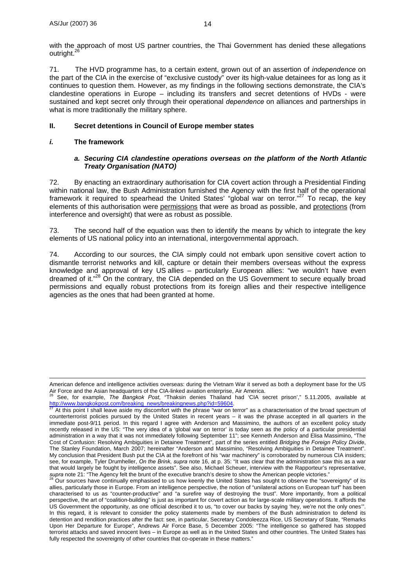with the approach of most US partner countries, the Thai Government has denied these allegations outright.<sup>2</sup>

71. The HVD programme has, to a certain extent, grown out of an assertion of *independence* on the part of the CIA in the exercise of "exclusive custody" over its high-value detainees for as long as it continues to question them. However, as my findings in the following sections demonstrate, the CIA's clandestine operations in Europe – including its transfers and secret detentions of HVDs - were sustained and kept secret only through their operational *dependence* on alliances and partnerships in what is more traditionally the military sphere.

### **II. Secret detentions in Council of Europe member states**

### *i.* **The framework**

#### *a. Securing CIA clandestine operations overseas on the platform of the North Atlantic Treaty Organisation (NATO)*

72. By enacting an extraordinary authorisation for CIA covert action through a Presidential Finding within national law, the Bush Administration furnished the Agency with the first half of the operational framework it required to spearhead the United States' "global war on terror."27 To recap, the key elements of this authorisation were permissions that were as broad as possible, and protections (from interference and oversight) that were as robust as possible.

73. The second half of the equation was then to identify the means by which to integrate the key elements of US national policy into an international, intergovernmental approach.

74. According to our sources, the CIA simply could not embark upon sensitive covert action to dismantle terrorist networks and kill, capture or detain their members overseas without the express knowledge and approval of key US allies – particularly European allies: "we wouldn't have even dreamed of it."<sup>28</sup> On the contrary, the CIA depended on the US Government to secure equally broad permissions and equally robust protections from its foreign allies and their respective intelligence agencies as the ones that had been granted at home.

American defence and intelligence activities overseas: during the Vietnam War it served as both a deployment base for the US<br>Air Force and the Asian headquarters of the CIA-linked aviation enterprise, Air America.

See, for example, The Bangkok Post, "Thaksin denies Thailand had 'CIA secret prison'," 5.11.2005, available at http://www.bangkokpost.com/breaking\_news/breakingnews.php?id=59604.<br><sup>27</sup> At this point I shall leave aside my discomfort with the phrase "war on terror" as a characterisation of the broad spectrum of

counterterrorist policies pursued by the United States in recent years – it was the phrase accepted in all quarters in the immediate post-9/11 period. In this regard I agree with Anderson and Massimino, the authors of an excellent policy study recently released in the US: "The very idea of a 'global war on terror' is today seen as the policy of a particular presidential administration in a way that it was not immediately following September 11"; see Kenneth Anderson and Elisa Massimino, "The Cost of Confusion: Resolving Ambiguities in Detainee Treatment", part of the series entitled *Bridging the Foreign Policy Divide*, The Stanley Foundation, March 2007; hereinafter "Anderson and Massimino, "Resolving Ambiguities in Detainee Treatment". My conclusion that President Bush put the CIA at the forefront of his "war machinery" is corroborated by numerous CIA insiders; see, for example, Tyler Drumheller, *On the Brink*, *supra* note 16, at p. 35: "It was clear that the administration saw this as a war that would largely be fought by intelligence assets". See also, Michael Scheuer, interview with the Rapporteur's representative, supra note 21: "The Agency felt the brunt of the executive branch's desire to show the American people victories."<br><sup>28</sup> Our sources have continually emphasised to us how keenly the United States has sought to observe the "

allies, particularly those in Europe. From an intelligence perspective, the notion of "unilateral actions on European turf" has been characterised to us as "counter-productive" and "a surefire way of destroying the trust". More importantly, from a political perspective, the art of "coalition-building" is just as important for covert action as for large-scale military operations. It affords the US Government the opportunity, as one official described it to us, "to cover our backs by saying 'hey, we're not the only ones'". In this regard, it is relevant to consider the policy statements made by members of the Bush administration to defend its detention and rendition practices after the fact: see, in particular, Secretary Condoleezza Rice, US Secretary of State, "Remarks Upon Her Departure for Europe", Andrews Air Force Base, 5 December 2005: "The intelligence so gathered has stopped terrorist attacks and saved innocent lives – in Europe as well as in the United States and other countries. The United States has fully respected the sovereignty of other countries that co-operate in these matters."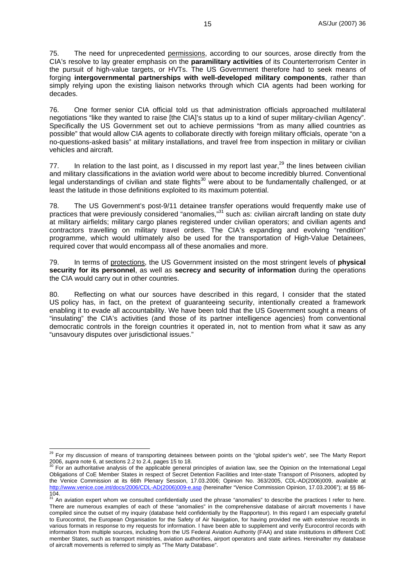75. The need for unprecedented permissions, according to our sources, arose directly from the CIA's resolve to lay greater emphasis on the **paramilitary activities** of its Counterterrorism Center in the pursuit of high-value targets, or HVTs. The US Government therefore had to seek means of forging **intergovernmental partnerships with well-developed military components**, rather than simply relying upon the existing liaison networks through which CIA agents had been working for decades.

76. One former senior CIA official told us that administration officials approached multilateral negotiations "like they wanted to raise [the CIA]'s status up to a kind of super military-civilian Agency". Specifically the US Government set out to achieve permissions "from as many allied countries as possible" that would allow CIA agents to collaborate directly with foreign military officials, operate "on a no-questions-asked basis" at military installations, and travel free from inspection in military or civilian vehicles and aircraft.

77. In relation to the last point, as I discussed in my report last year,  $29$  the lines between civilian and military classifications in the aviation world were about to become incredibly blurred. Conventional legal understandings of civilian and state flights<sup>30</sup> were about to be fundamentally challenged, or at least the latitude in those definitions exploited to its maximum potential.

78. The US Government's post-9/11 detainee transfer operations would frequently make use of practices that were previously considered "anomalies,"<sup>31</sup> such as: civilian aircraft landing on state duty at military airfields; military cargo planes registered under civilian operators; and civilian agents and contractors travelling on military travel orders. The CIA's expanding and evolving "rendition" programme, which would ultimately also be used for the transportation of High-Value Detainees, required cover that would encompass all of these anomalies and more.

79. In terms of protections, the US Government insisted on the most stringent levels of **physical security for its personnel**, as well as **secrecy and security of information** during the operations the CIA would carry out in other countries.

80. Reflecting on what our sources have described in this regard, I consider that the stated US policy has, in fact, on the pretext of guaranteeing security, intentionally created a framework enabling it to evade all accountability. We have been told that the US Government sought a means of "insulating" the CIA's activities (and those of its partner intelligence agencies) from conventional democratic controls in the foreign countries it operated in, not to mention from what it saw as any "unsavoury disputes over jurisdictional issues."

 $\overline{a}$ 

<sup>&</sup>lt;sup>29</sup> For my discussion of means of transporting detainees between points on the "global spider's web", see The Marty Report 2006, *supra* note 6, at sections 2.2 to 2.4, pages 15 to 18. 30 Sections of the Supplication and the International Legal<br><sup>30</sup> For an authoritative analysis of the applicable general principles of aviation law, see the Opi

Obligations of CoE Member States in respect of Secret Detention Facilities and Inter-state Transport of Prisoners, adopted by the Venice Commission at its 66th Plenary Session, 17.03.2006; Opinion No. 363/2005, CDL-AD(2006)009, available at http://www.venice.coe.int/docs/2006/CDL-AD(2006)009-e.asp (hereinafter "Venice Commission Opinion, 17.03.2006"); at §§ 86-104.

<sup>&</sup>lt;sup>31</sup> An aviation expert whom we consulted confidentially used the phrase "anomalies" to describe the practices I refer to here. There are numerous examples of each of these "anomalies" in the comprehensive database of aircraft movements I have compiled since the outset of my inquiry (database held confidentially by the Rapporteur). In this regard I am especially grateful to Eurocontrol, the European Organisation for the Safety of Air Navigation, for having provided me with extensive records in various formats in response to my requests for information. I have been able to supplement and verify Eurocontrol records with information from multiple sources, including from the US Federal Aviation Authority (FAA) and state institutions in different CoE member States, such as transport ministries, aviation authorities, airport operators and state airlines. Hereinafter my database of aircraft movements is referred to simply as "The Marty Database".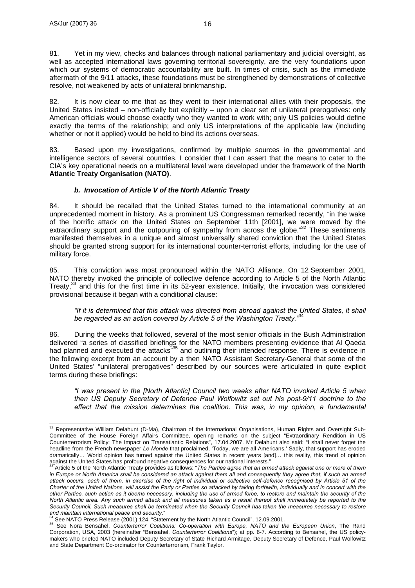81. Yet in my view, checks and balances through national parliamentary and judicial oversight, as well as accepted international laws governing territorial sovereignty, are the very foundations upon which our systems of democratic accountability are built. In times of crisis, such as the immediate aftermath of the 9/11 attacks, these foundations must be strengthened by demonstrations of collective resolve, not weakened by acts of unilateral brinkmanship.

82. It is now clear to me that as they went to their international allies with their proposals, the United States insisted – non-officially but explicitly – upon a clear set of unilateral prerogatives: only American officials would choose exactly who they wanted to work with; only US policies would define exactly the terms of the relationship; and only US interpretations of the applicable law (including whether or not it applied) would be held to bind its actions overseas.

83. Based upon my investigations, confirmed by multiple sources in the governmental and intelligence sectors of several countries, I consider that I can assert that the means to cater to the CIA's key operational needs on a multilateral level were developed under the framework of the **North Atlantic Treaty Organisation (NATO)**.

## *b. Invocation of Article V of the North Atlantic Treaty*

84. It should be recalled that the United States turned to the international community at an unprecedented moment in history. As a prominent US Congressman remarked recently, "in the wake of the horrific attack on the United States on September 11th [2001], we were moved by the extraordinary support and the outpouring of sympathy from across the globe." $32$  These sentiments manifested themselves in a unique and almost universally shared conviction that the United States should be granted strong support for its international counter-terrorist efforts, including for the use of military force.

85. This conviction was most pronounced within the NATO Alliance. On 12 September 2001, NATO thereby invoked the principle of collective defence according to Article 5 of the North Atlantic Treaty, $33$  and this for the first time in its 52-year existence. Initially, the invocation was considered provisional because it began with a conditional clause:

#### *"If it is determined that this attack was directed from abroad against the United States, it shall be regarded as an action covered by Article 5 of the Washington Treaty."*<sup>34</sup>

86. During the weeks that followed, several of the most senior officials in the Bush Administration delivered "a series of classified briefings for the NATO members presenting evidence that Al Qaeda had planned and executed the attacks<sup>35</sup> and outlining their intended response. There is evidence in the following excerpt from an account by a then NATO Assistant Secretary-General that some of the United States' "unilateral prerogatives" described by our sources were articulated in quite explicit terms during these briefings:

*"I was present in the [North Atlantic] Council two weeks after NATO invoked Article 5 when then US Deputy Secretary of Defence Paul Wolfowitz set out his post-9/11 doctrine to the effect that the mission determines the coalition. This was, in my opinion, a fundamental* 

 $\overline{a}$  $32$  Representative William Delahunt (D-Ma), Chairman of the International Organisations, Human Rights and Oversight Sub-Committee of the House Foreign Affairs Committee, opening remarks on the subject "Extraordinary Rendition in US Counterterrorism Policy: The Impact on Transatlantic Relations", 17.04.2007. Mr Delahunt also said: "I shall never forget the headline from the French newspaper *Le Monde* that proclaimed, 'Today, we are all Americans.' Sadly, that support has eroded dramatically... World opinion has turned against the United States in recent years [and]... this reality, this trend of opinion against the United States has profound negative consequences for our national interests."

Article 5 of the North Atlantic Treaty provides as follows: "The Parties agree that an armed attack against one or more of them in Europe or North America shall be considered an attack against them all and consequently they agree that, if such an armed *attack occurs, each of them, in exercise of the right of individual or collective self-defence recognised by Article 51 of the Charter of the United Nations, will assist the Party or Parties so attacked by taking forthwith, individually and in concert with the other Parties, such action as it deems necessary, including the use of armed force, to restore and maintain the security of the North Atlantic area. Any such armed attack and all measures taken as a result thereof shall immediately be reported to the Security Council. Such measures shall be terminated when the Security Council has taken the measures necessary to restore*  and maintain international peace and security."<br><sup>34</sup> See NATO Press Release (2001) 124, "Statement by the North Atlantic Council", 12.09.2001.<br><sup>35</sup> See Nora Bensahel, *Counterterror Coalitions: Co-operation with Europe, NA* 

Corporation, USA, 2003 (hereinafter "Bensahel, *Counterterror Coalitions*"); at pp. 6-7. According to Bensahel, the US policymakers who briefed NATO included Deputy Secretary of State Richard Armitage, Deputy Secretary of Defence, Paul Wolfowitz and State Department Co-ordinator for Counterterrorism, Frank Taylor.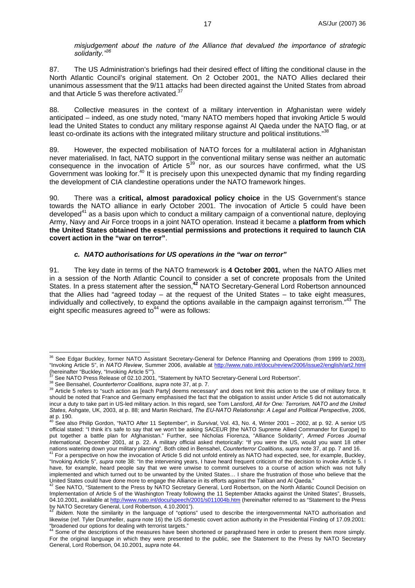*misjudgement about the nature of the Alliance that devalued the importance of strategic solidarity."36*

87. The US Administration's briefings had their desired effect of lifting the conditional clause in the North Atlantic Council's original statement. On 2 October 2001, the NATO Allies declared their unanimous assessment that the 9/11 attacks had been directed against the United States from abroad and that Article 5 was therefore activated.<sup>37</sup>

88. Collective measures in the context of a military intervention in Afghanistan were widely anticipated – indeed, as one study noted, "many NATO members hoped that invoking Article 5 would lead the United States to conduct any military response against Al Qaeda under the NATO flag, or at least co-ordinate its actions with the integrated military structure and political institutions."<sup>38</sup>

89. However, the expected mobilisation of NATO forces for a multilateral action in Afghanistan never materialised. In fact, NATO support in the conventional military sense was neither an automatic consequence in the invocation of Article  $5^{39}$  nor, as our sources have confirmed, what the US Government was looking for.<sup>40</sup> It is precisely upon this unexpected dynamic that my finding regarding the development of CIA clandestine operations under the NATO framework hinges.

90. There was a **critical, almost paradoxical policy choice** in the US Government's stance towards the NATO alliance in early October 2001. The invocation of Article 5 could have been developed<sup>41</sup> as a basis upon which to conduct a military campaign of a conventional nature, deploying Army, Navy and Air Force troops in a joint NATO operation. Instead it became a **platform from which the United States obtained the essential permissions and protections it required to launch CIA covert action in the "war on terror"**.

#### *c. NATO authorisations for US operations in the "war on terror"*

91. The key date in terms of the NATO framework is **4 October 2001**, when the NATO Allies met in a session of the North Atlantic Council to consider a set of concrete proposals from the United States. In a press statement after the session,**<sup>42</sup>** NATO Secretary-General Lord Robertson announced that the Allies had "agreed today – at the request of the United States – to take eight measures, individually and collectively, to expand the options available in the campaign against terrorism."<sup>43</sup> The eight specific measures agreed to  $44$  were as follows:

 $\overline{a}$ <sup>36</sup> See Edgar Buckley, former NATO Assistant Secretary-General for Defence Planning and Operations (from 1999 to 2003), "Invoking Article 5", in *NATO Review*, Summer 2006, available at http://www.nato.int/docu/review/2006/issue2/english/art2.html (hereinafter "Buckley, "Invoking Article 5"").<br><sup>37</sup> See NATO Press Release of 02.10.2001, "Statement by NATO Secretary-General Lord Robertson".

<sup>&</sup>lt;sup>38</sup> See Bensahel, *Counterterror Coalitions, supra* note 37, at p. 7.<br><sup>38</sup> Article 5 refers to "such action as [each Party] deems necessary" and does not limit this action to the use of military force. It should be noted that France and Germany emphasised the fact that the obligation to assist under Article 5 did not automatically incur a duty to take part in US-led military action. In this regard, see Tom Lansford, *All for One: Terrorism, NATO and the United States*, Ashgate, UK, 2003, at p. 88; and Martin Reichard, *The EU-NATO Relationship: A Legal and Political Perspective*, 2006,

at p. 190.<br><sup>40</sup> See also Philip Gordon, "NATO After 11 September", in *Survival*, Vol. 43, No. 4, Winter 2001 – 2002, at p. 92. A senior US official stated: "I think it's safe to say that we won't be asking SACEUR [the NATO Supreme Allied Commander for Europe] to put together a battle plan for Afghanistan." Further, see Nicholas Fiorenza, "Alliance Solidarity", *Armed Forces Journal International*, December 2001, at p. 22. A military official asked rhetorically: "If you were the US, would you want 18 other nations watering down your military planning". Both cited in Bensahel, Counterterror Coalitions, supra note 37, at pp. 7 and 16.<br><sup>41</sup> For a perspective on how the invocation of Article 5 did not unfold entirely as NATO had

<sup>&</sup>quot;Invoking Article 5", *supra* note 38: "In the intervening years, I have heard frequent criticism of the decision to invoke Article 5. I have, for example, heard people say that we were unwise to commit ourselves to a course of action which was not fully implemented and which turned out to be unwanted by the United States... I share the frustration of those who believe that the<br>United States could have done more to engage the Alliance in its efforts against the Taliban and

<sup>&</sup>lt;sup>2</sup> See NATO, "Statement to the Press by NATO Secretary General, Lord Robertson, on the North Atlantic Council Decision on Implementation of Article 5 of the Washington Treaty following the 11 September Attacks against the United States", Brussels, 04.10.2001, available at http://www.nato.int/docu/speech/2001/s011004b.htm (hereinafter referred to as "Statement to the Press by NATO Secretary General, Lord Robertson, 4.10.2001").

<sup>43</sup> *Ibidem*. Note the similarity in the language of "options" used to describe the intergovernmental NATO authorisation and likewise (ref. Tyler Drumheller, *supra* note 16) the US domestic covert action authority in the Presidential Finding of 17.09.2001: "broadened our options for dealing with terrorist targets."

<sup>44</sup> Some of the descriptions of the measures have been shortened or paraphrased here in order to present them more simply. For the original language in which they were presented to the public, see the Statement to the Press by NATO Secretary General, Lord Robertson, 04.10.2001, *supra* note 44.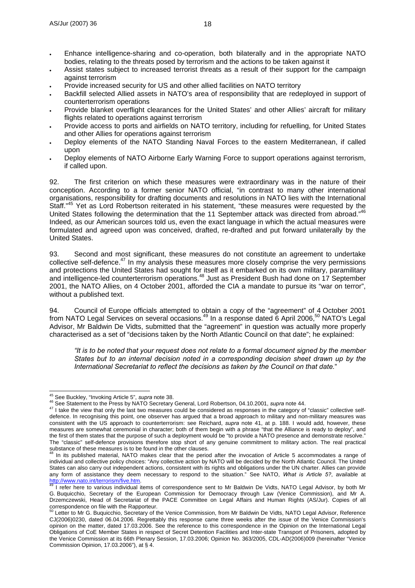- Enhance intelligence-sharing and co-operation, both bilaterally and in the appropriate NATO bodies, relating to the threats posed by terrorism and the actions to be taken against it
- Assist states subject to increased terrorist threats as a result of their support for the campaign against terrorism
- Provide increased security for US and other allied facilities on NATO territory
- Backfill selected Allied assets in NATO's area of responsibility that are redeployed in support of counterterrorism operations
- Provide blanket overflight clearances for the United States' and other Allies' aircraft for military flights related to operations against terrorism
- Provide access to ports and airfields on NATO territory, including for refuelling, for United States and other Allies for operations against terrorism
- Deploy elements of the NATO Standing Naval Forces to the eastern Mediterranean, if called upon
- Deploy elements of NATO Airborne Early Warning Force to support operations against terrorism, if called upon.

92. The first criterion on which these measures were extraordinary was in the nature of their conception. According to a former senior NATO official, "in contrast to many other international organisations, responsibility for drafting documents and resolutions in NATO lies with the International Staff.<sup>"45</sup> Yet as Lord Robertson reiterated in his statement, "these measures were requested by the United States following the determination that the 11 September attack was directed from abroad."46 Indeed, as our American sources told us, even the exact language in which the actual measures were formulated and agreed upon was conceived, drafted, re-drafted and put forward unilaterally by the United States.

93. Second and most significant, these measures do not constitute an agreement to undertake collective self-defence.<sup>47</sup> In my analysis these measures more closely comprise the very permissions and protections the United States had sought for itself as it embarked on its own military, paramilitary and intelligence-led counterterrorism operations.48 Just as President Bush had done on 17 September 2001, the NATO Allies, on 4 October 2001, afforded the CIA a mandate to pursue its "war on terror", without a published text.

94. Council of Europe officials attempted to obtain a copy of the "agreement" of 4 October 2001 from NATO Legal Services on several occasions.<sup>49</sup> In a response dated 6 April 2006,<sup>50</sup> NATO's Legal Advisor, Mr Baldwin De Vidts, submitted that the "agreement" in question was actually more properly characterised as a set of "decisions taken by the North Atlantic Council on that date"; he explained:

*"It is to be noted that your request does not relate to a formal document signed by the member States but to an internal decision noted in a corresponding decision sheet drawn up by the International Secretariat to reflect the decisions as taken by the Council on that date.*"

<sup>&</sup>lt;sup>45</sup> See Buckley, "Invoking Article 5", supra note 38.

<sup>46</sup> See Statement to the Press by NATO Secretary General, Lord Robertson, 04.10.2001, *supra* note 44.<br><sup>46</sup> See Statement to the Press by NATO Secretary General, Lord Robertson, 04.10.2001, *supra* note 44.<br><sup>47</sup> I take the defence. In recognising this point, one observer has argued that a broad approach to military and non-military measures was consistent with the US approach to counterterrorism: see Reichard, *supra* note 41, at p. 188. I would add, however, these measures are somewhat ceremonial in character; both of them begin with a phrase "that the Alliance is ready to deploy", and the first of them states that the purpose of such a deployment would be "to provide a NATO presence and demonstrate resolve." The "classic" self-defence provisions therefore stop short of any genuine commitment to military action. The real practical

In its published material, NATO makes clear that the period after the invocation of Article 5 accommodates a range of individual and collective policy choices: "Any collective action by NATO will be decided by the North Atlantic Council. The United States can also carry out independent actions, consistent with its rights and obligations under the UN charter. Allies can provide any form of assistance they deem necessary to respond to the situation." See NATO, *What is Article 5?*, available at

http://www.nato.int/terrorism/five.htm.<br><sup>49</sup> I refer here to various individual items of correspondence sent to Mr Baldwin De Vidts, NATO Legal Advisor, by both Mr G. Buquicchio, Secretary of the European Commission for Democracy through Law (Venice Commission), and Mr A. Drzemczewski, Head of Secretariat of the PACE Committee on Legal Affairs and Human Rights (AS/Jur). Copies of all correspondence on file with the Rapporteur.<br>
<sup>50</sup> Lotter to M<sub>3</sub> C. C.

Letter to Mr G. Buquicchio, Secretary of the Venice Commission, from Mr Baldwin De Vidts, NATO Legal Advisor, Reference CJ(2006)0230, dated 06.04.2006. Regrettably this response came three weeks after the issue of the Venice Commission's opinion on the matter, dated 17.03.2006. See the reference to this correspondence in the Opinion on the International Legal Obligations of CoE Member States in respect of Secret Detention Facilities and Inter-state Transport of Prisoners, adopted by the Venice Commission at its 66th Plenary Session, 17.03.2006; Opinion No. 363/2005, CDL-AD(2006)009 (hereinafter "Venice Commission Opinion, 17.03.2006"), at § 4.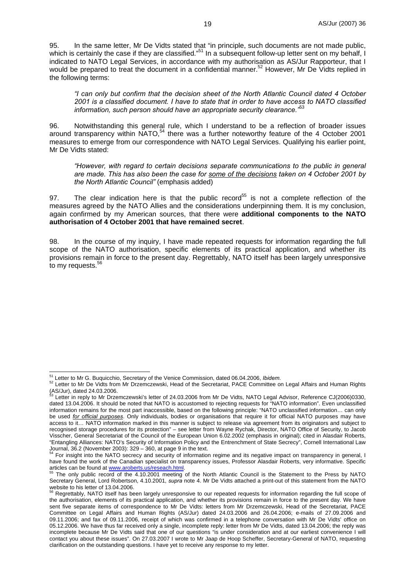95. In the same letter, Mr De Vidts stated that "in principle, such documents are not made public, which is certainly the case if they are classified."<sup>51</sup> In a subsequent follow-up letter sent on my behalf, I indicated to NATO Legal Services, in accordance with my authorisation as AS/Jur Rapporteur, that I would be prepared to treat the document in a confidential manner.<sup>52</sup> However, Mr De Vidts replied in the following terms:

*"I can only but confirm that the decision sheet of the North Atlantic Council dated 4 October 2001 is a classified document. I have to state that in order to have access to NATO classified information, such person should have an appropriate security clearance."*<sup>53</sup>

96. Notwithstanding this general rule, which I understand to be a reflection of broader issues around transparency within NATO,<sup>54</sup> there was a further noteworthy feature of the 4 October 2001 measures to emerge from our correspondence with NATO Legal Services. Qualifying his earlier point, Mr De Vidts stated:

*"However, with regard to certain decisions separate communications to the public in general are made. This has also been the case for some of the decisions taken on 4 October 2001 by the North Atlantic Council"* (emphasis added)

97. The clear indication here is that the public record<sup>55</sup> is not a complete reflection of the measures agreed by the NATO Allies and the considerations underpinning them. It is my conclusion, again confirmed by my American sources, that there were **additional components to the NATO authorisation of 4 October 2001 that have remained secret**.

98. In the course of my inquiry, I have made repeated requests for information regarding the full scope of the NATO authorisation, specific elements of its practical application, and whether its provisions remain in force to the present day. Regrettably, NATO itself has been largely unresponsive to my requests.<sup>56</sup>

<sup>&</sup>lt;sup>51</sup> Letter to Mr G. Buquicchio, Secretary of the Venice Commission, dated 06.04.2006, Ibidem.

<sup>51</sup> Letter to Mr G. Buquicchio, Secretary of the Venice Commission, dated 06.04.2006, *Ibidem*. 52 Letter to Mr De Vidts from Mr Drzemczewski, Head of the Secretariat, PACE Committee on Legal Affairs and Human Rights (AS/Jur), dated 24.03.2006.

Letter in reply to Mr Drzemczewski's letter of 24.03.2006 from Mr De Vidts, NATO Legal Advisor, Reference CJ(2006)0330, dated 13.04.2006. It should be noted that NATO is accustomed to rejecting requests for "NATO information". Even unclassified information remains for the most part inaccessible, based on the following principle: "NATO unclassified information… can only be used *for official purposes*. Only individuals, bodies or organisations that require it for official NATO purposes may have access to it… NATO information marked in this manner is subject to release via agreement from its originators and subject to recognised storage procedures for its protection" – see letter from Wayne Rychak, Director, NATO Office of Security, to Jacob Visscher, General Secretariat of the Council of the European Union 6.02.2002 (emphasis in original); cited in Alasdair Roberts, "Entangling Alliances: NATO's Security of Information Policy and the Entrenchment of State Secrecy", Cornell International Law Journal, 36.2 (November 2003):  $329 - 360$ , at page 9 in the text.

<sup>54</sup> For insight into the NATO secrecy and security of information regime and its negative impact on transparency in general, I have found the work of the Canadian specialist on transparency issues, Professor Alasdair Roberts, very informative. Specific<br>articles can be found at www.aroberts.us/reseach.html.

The only public record of the 4.10.2001 meeting of the North Atlantic Council is the Statement to the Press by NATO Secretary General, Lord Robertson, 4.10.2001, *supra* note 4. Mr De Vidts attached a print-out of this statement from the NATO

website to his letter of 13.04.2006.<br><sup>56</sup> Regrettably, NATO itself has been largely unresponsive to our repeated requests for information regarding the full scope of the authorisation, elements of its practical application, and whether its provisions remain in force to the present day. We have sent five separate items of correspondence to Mr De Vidts: letters from Mr Drzemczewski, Head of the Secretariat, PACE Committee on Legal Affairs and Human Rights (AS/Jur) dated 24.03.2006 and 26.04.2006; e-mails of 27.09.2006 and 09.11.2006; and fax of 09.11.2006, receipt of which was confirmed in a telephone conversation with Mr De Vidts' office on 05.12.2006. We have thus far received only a single, incomplete reply: letter from Mr De Vidts, dated 13.04.2006; the reply was incomplete because Mr De Vidts said that one of our questions "is under consideration and at our earliest convenience I will contact you about these issues". On 27.03.2007 I wrote to Mr Jaap de Hoop Scheffer, Secretary-General of NATO, requesting clarification on the outstanding questions. I have yet to receive any response to my letter.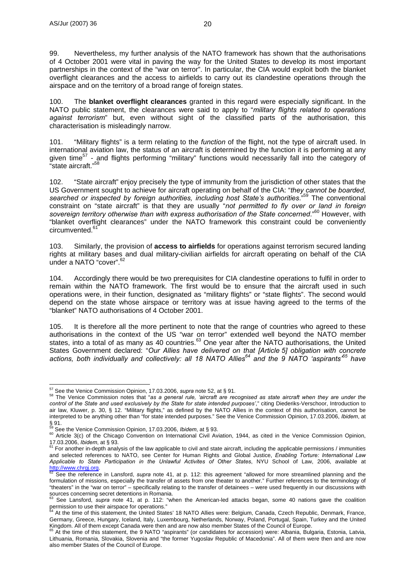99. Nevertheless, my further analysis of the NATO framework has shown that the authorisations of 4 October 2001 were vital in paving the way for the United States to develop its most important partnerships in the context of the "war on terror". In particular, the CIA would exploit both the blanket overflight clearances and the access to airfields to carry out its clandestine operations through the airspace and on the territory of a broad range of foreign states.

100. The **blanket overflight clearances** granted in this regard were especially significant. In the NATO public statement, the clearances were said to apply to "*military flights related to operations against terrorism*" but, even without sight of the classified parts of the authorisation, this characterisation is misleadingly narrow.

101. "Military flights" is a term relating to the *function* of the flight, not the type of aircraft used. In international aviation law, the status of an aircraft is determined by the function it is performing at any given time57 - and flights performing "military" functions would necessarily fall into the category of "state aircraft."58

102. "State aircraft" enjoy precisely the type of immunity from the jurisdiction of other states that the US Government sought to achieve for aircraft operating on behalf of the CIA: "*they cannot be boarded, searched or inspected by foreign authorities, including host State's authorities*."59 The conventional constraint on "state aircraft" is that they are usually "*not permitted to fly over or land in foreign sovereign territory otherwise than with express authorisation of the State concerned*."60 However, with "blanket overflight clearances" under the NATO framework this constraint could be conveniently circumvented.<sup>61</sup>

103. Similarly, the provision of **access to airfields** for operations against terrorism secured landing rights at military bases and dual military-civilian airfields for aircraft operating on behalf of the CIA under a NATO "cover".<sup>62</sup>

104. Accordingly there would be two prerequisites for CIA clandestine operations to fulfil in order to remain within the NATO framework. The first would be to ensure that the aircraft used in such operations were, in their function, designated as "military flights" or "state flights". The second would depend on the state whose airspace or territory was at issue having agreed to the terms of the "blanket" NATO authorisations of 4 October 2001.

105. It is therefore all the more pertinent to note that the range of countries who agreed to these authorisations in the context of the US "war on terror" extended well beyond the NATO member states, into a total of as many as 40 countries.<sup>63</sup> One year after the NATO authorisations, the United States Government declared: "*Our Allies have delivered on that [Article 5] obligation with concrete actions, both individually and collectively: all 18 NATO Allies64 and the 9 NATO 'aspirants'65 have* 

<sup>&</sup>lt;sup>57</sup> See the Venice Commission Opinion, 17.03.2006, *supra* note 52, at § 91.

<sup>57</sup> See the Venice Commission Opinion, 17.03.2006, *supra* note 52, at § 91. 58 The Venice Commission notes that "*as a general rule, 'aircraft are recognised as state aircraft when they are under the control of the State and used exclusively by the State for state intended purposes'*," citing Diederiks-Verschoor, Introduction to air law, Kluwer, p. 30, § 12. "Military flights," as defined by the NATO Allies in the context of this authorisation, cannot be interpreted to be anything other than "for state intended purposes." See the Venice Commission Opinion, 17.03.2006, *Ibidem*, at  $§ 91.$ 

<sup>&</sup>lt;sup>59</sup> See the Venice Commission Opinion, 17.03.2006, *Ibidem*, at § 93.<br><sup>60</sup> Article 3(c) of the Chicago Convention on International Civil Aviation, 1944, as cited in the Venice Commission Opinion,

<sup>17.03.2006,</sup> *Ibidem*, at § 93.<br><sup>61</sup> For another in-depth analysis of the law applicable to civil and state aircraft, including the applicable permissions / immunities and selected references to NATO, see Center for Human Rights and Global Justice, *Enabling Torture: International Law Applicable to State Participation in the Unlawful Activites of Other States*, NYU School of Law, 2006, available at http://www.chrgj.org.<br><sup>62</sup> See the reference in Lansford, *supra* note 41, at p. 112: this agreement "allowed for more streamlined planning and the

formulation of missions, especially the transfer of assets from one theater to another." Further references to the terminology of "theaters" in the "war on terror" – specifically relating to the transfer of detainees – were used frequently in our discussions with

sources concerning secret detentions in Romania. 63 See Lansford, *supra* note 41, at p. 112: "when the American-led attacks began, some 40 nations gave the coalition permission to use their airspace for operations."<br>
<sup>64</sup> At the time of this statement, the United States' 18 NATO Allies were: Belgium, Canada, Czech Republic, Denmark, France,

Germany, Greece, Hungary, Iceland, Italy, Luxembourg, Netherlands, Norway, Poland, Portugal, Spain, Turkey and the United Kingdom. All of them except Canada were then and are now also member States of the Council of Europe.<br><sup>65</sup> At the time of this statement, the 9 NATO "aspirants" (or candidates for accession) were: Albania, Bulgaria, Estoni

Lithuania, Romania, Slovakia, Slovenia and "the former Yugoslav Republic of Macedonia". All of them were then and are now also member States of the Council of Europe.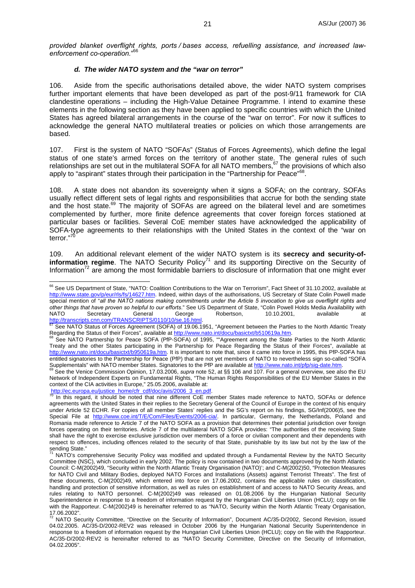*provided blanket overflight rights, ports / bases access, refuelling assistance, and increased lawenforcement co-operation.*" 66

#### *d. The wider NATO system and the "war on terror"*

106. Aside from the specific authorisations detailed above, the wider NATO system comprises further important elements that have been developed as part of the post-9/11 framework for CIA clandestine operations – including the High-Value Detainee Programme. I intend to examine these elements in the following section as they have been applied to specific countries with which the United States has agreed bilateral arrangements in the course of the "war on terror". For now it suffices to acknowledge the general NATO multilateral treaties or policies on which those arrangements are based.

107. First is the system of NATO "SOFAs" (Status of Forces Agreements), which define the legal status of one state's armed forces on the territory of another state. The general rules of such relationships are set out in the multilateral SOFA for all NATO members,  $67$  the provisions of which also apply to "aspirant" states through their participation in the "Partnership for Peace"<sup>68</sup>.

108. A state does not abandon its sovereignty when it signs a SOFA; on the contrary, SOFAs usually reflect different sets of legal rights and responsibilities that accrue for both the sending state and the host state. $^{69}$  The majority of SOFAs are agreed on the bilateral level and are sometimes complemented by further, more finite defence agreements that cover foreign forces stationed at particular bases or facilities. Several CoE member states have acknowledged the applicability of SOFA-type agreements to their relationships with the United States in the context of the "war on terror."70

109. An additional relevant element of the wider NATO system is its **secrecy and security-ofinformation regime**. The NATO Security Policy<sup>71</sup> and its supporting Directive on the Security of Information<sup>72</sup> are among the most formidable barriers to disclosure of information that one might ever

 $\overline{a}$  $^{66}$  See US Department of State, "NATO: Coalition Contributions to the War on Terrorism", Fact Sheet of 31.10.2002, available at http://www.state.gov/p/eur/rls/fs/14627.htm. Indeed, within days of the authorisations, US Secretary of State Colin Powell made special mention of "*all the NATO nations making commitments under the Article 5 invocation to give us overflight rights and other things that have proven so helpful to our efforts*." See US Department of State, "Colin Powell Holds Media Availability with NATO Secretary General George Robertson, 10.10.2001, available at<br>http://transcripts.cnn.com/TRANSCRIPTS/0110/10/se.16.html.<br>
<u>87.Cos.NATO Citilis is a</u>

the See NATO Status of Forces Agreement (SOFA) of 19.06.1951, "Agreement between the Parties to the North Atlantic Treaty<br>Regarding the Status of their Forces", available at http://www.nato.int/docu/basictxt/b510619a.htm.

Regarding the Status of the Status of the Status of the Status of the State Partnership for Peace SOFA (PfP-SOFA) of 1995, ""Agreement among the State Parties to the North Atlantic Treaty and the other States participating in the Partnership for Peace Regarding the Status of their Forces", available at http://www.nato.int/docu/basictxt/b950619a.htm. It is important to note that, since it came into force in 1995, this PfP-SOFA has entitled signatories to the Partnership for Peace (PfP) that are not yet members of NATO to nevertheless sign so-called "SOFA Supplementals" with NATO member States. Signatories to the PfP are available at http://www.nato.int/pfp/sig-date.html SOFA<br>Supplementals" with NATO member States. Signatories to the PfP are available at http://www.nato.int

Network of Independent Experts on Fundamental Rights, "The Human Rights Responsibilities of the EU Member States in the context of the CIA activities in Europe," 25.05.2006, available at:<br>http://ec.europa.eu/justice\_home/cfr\_cdf/doc/avis/2006\_3\_en.pdf.<br> $\frac{70}{10}$  in this record, it abould be noted that will be writed.

In this regard, it should be noted that nine different CoE member States made reference to NATO, SOFAs or defence agreements with the United States in their replies to the Secretary General of the Council of Europe in the context of his enquiry under Article 52 ECHR. For copies of all member States' replies and the SG's report on his findings, SG/Inf(2006)5, see the Special File at http://www.coe.int/T/E/Com/Files/Events/2006-cia/. In particular, Germany, the Netherlands, Poland and Romania made reference to Article 7 of the NATO SOFA as a provision that determines their potential jurisdiction over foreign forces operating on their territories. Article 7 of the multilateral NATO SOFA provides: "The authorities of the receiving State shall have the right to exercise exclusive jurisdiction over members of a force or civilian component and their dependents with respect to offences, including offences related to the security of that State, punishable by its law but not by the law of the sending State."

NATO's comprehensive Security Policy was modified and updated through a Fundamental Review by the NATO Security Committee (NSC), which concluded in early 2002. The policy is now contained in two documents approved by the North Atlantic Council: C-M(2002)49, "Security within the North Atlantic Treaty Organisation (NATO)'; and C-M(2002)50, "Protection Measures for NATO Civil and Military Bodies, deployed NATO Forces and Installations (Assets) against Terrorist Threats". The first of these documents, C-M(2002)49, which entered into force on 17.06.2002, contains the applicable rules on classification, handling and protection of sensitive information, as well as rules on establishment of and access to NATO Security Areas, and rules relating to NATO personnel. C-M(2002)49 was released on 01.08.2006 by the Hungarian National Security Superintendence in response to a freedom of information request by the Hungarian Civil Liberties Union (HCLU); copy on file with the Rapporteur. C-M(2002)49 is hereinafter referred to as "NATO, Security within the North Atlantic Treaty Organisation,

<sup>17.06.2002&</sup>quot;.<br><sup>72</sup> NATO Security Committee, "Directive on the Security of Information", Document AC/35-D/2002, Second Revision, issued 04.02.2005. AC/35-D/2002-REV2 was released in October 2006 by the Hungarian National Security Superintendence in response to a freedom of information request by the Hungarian Civil Liberties Union (HCLU); copy on file with the Rapporteur. AC/35-D/2002-REV2 is hereinafter referred to as "NATO Security Committee, Directive on the Security of Information, 04.02.2005".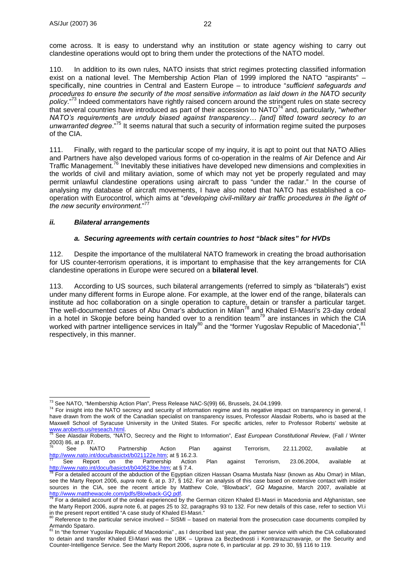come across. It is easy to understand why an institution or state agency wishing to carry out clandestine operations would opt to bring them under the protections of the NATO model.

110. In addition to its own rules, NATO insists that strict regimes protecting classified information exist on a national level. The Membership Action Plan of 1999 implored the NATO "aspirants" – specifically, nine countries in Central and Eastern Europe – to introduce "*sufficient safeguards and procedures to ensure the security of the most sensitive information as laid down in the NATO security policy*."73 Indeed commentators have rightly raised concern around the stringent rules on state secrecy that several countries have introduced as part of their accession to NATO74 and, particularly, "*whether NATO's requirements are unduly biased against transparency… [and] tilted toward secrecy to an unwarranted degree*."75 It seems natural that such a security of information regime suited the purposes of the CIA.

111. Finally, with regard to the particular scope of my inquiry, it is apt to point out that NATO Allies and Partners have also developed various forms of co-operation in the realms of Air Defence and Air Traffic Management.<sup>76</sup> Inevitably these initiatives have developed new dimensions and complexities in the worlds of civil and military aviation, some of which may not yet be properly regulated and may permit unlawful clandestine operations using aircraft to pass "under the radar." In the course of analysing my database of aircraft movements, I have also noted that NATO has established a cooperation with Eurocontrol, which aims at "*developing civil-military air traffic procedures in the light of the new security environment.*" 77

#### *ii. Bilateral arrangements*

#### *a. Securing agreements with certain countries to host "black sites" for HVDs*

112. Despite the importance of the multilateral NATO framework in creating the broad authorisation for US counter-terrorism operations, it is important to emphasise that the key arrangements for CIA clandestine operations in Europe were secured on a **bilateral level**.

113. According to US sources, such bilateral arrangements (referred to simply as "bilaterals") exist under many different forms in Europe alone. For example, at the lower end of the range, bilaterals can institute ad hoc collaboration on a single operation to capture, detain or transfer a particular target. The well-documented cases of Abu Omar's abduction in Milan<sup>78</sup> and Khaled El-Masri's 23-day ordeal in a hotel in Skopje before being handed over to a rendition team<sup>79</sup> are instances in which the CIA worked with partner intelligence services in Italy<sup>80</sup> and the "former Yugoslav Republic of Macedonia", respectively, in this manner.

<sup>&</sup>lt;sup>73</sup> See NATO, "Membership Action Plan", Press Release NAC-S(99) 66, Brussels, 24.04.1999.

<sup>&</sup>lt;sup>74</sup> For insight into the NATO secrecy and security of information regime and its negative impact on transparency in general, I have drawn from the work of the Canadian specialist on transparency issues, Professor Alasdair Roberts, who is based at the Maxwell School of Syracuse University in the United States. For specific articles, refer to Professor Roberts' website at www.aroberts.us/reseach.html.<br>Way and the State of The State of The State of The State of The State

See Alasdair Roberts, "NATO, Secrecy and the Right to Information", *East European Constitutional Review*, (Fall / Winter 2003) 86, at p. 87.

 $^{76}$  See NATO Partnership Action Plan against Terrorism, 22.11.2002, available at http://www.nato.int/docu/basictxt/b021122e.htm; at § 16.2.3.<br>The See Report on the Partnership Action Plan against Terrorism, 23.06.2004, available at

http://www.nato.int/docu/basictxt/b040623be.htm; at § 7.4.<br><sup>78</sup> For a detailed account of the abduction of the Egyptian citizen Hassan Osama Mustafa Nasr (known as Abu Omar) in Milan,

see the Marty Report 2006, *supra* note 6, at p. 37, § 162. For an analysis of this case based on extensive contact with insider sources in the CIA, see the recent article by Matthew Cole, "Blowback", *GQ Magazine*, March 2007, available at http://www.matthewacole.com/pdfs/Blowback-GQ.pdf.<br>
<sup>79</sup> For a detailed account of the ordeal experienced by the German citizen Khaled El-Masri in Macedonia and Afghanistan, see

the Marty Report 2006, *supra* note 6, at pages 25 to 32, paragraphs 93 to 132. For new details of this case, refer to section VI.i in the present report entitled "A case study of Khaled El-Masri."

Reference to the particular service involved – SISMI – based on material from the prosecution case documents compiled by

Armando Spataro.<br><sup>81</sup> In "the former Yugoslav Republic of Macedonia" , as I described last year, the partner service with which the CIA collaborated to detain and transfer Khaled El-Masri was the UBK – Uprava za Bezbednosti i Kontrarazuznavanje, or the Security and Counter-Intelligence Service. See the Marty Report 2006, *supra* note 6, in particular at pp. 29 to 30, §§ 116 to 119.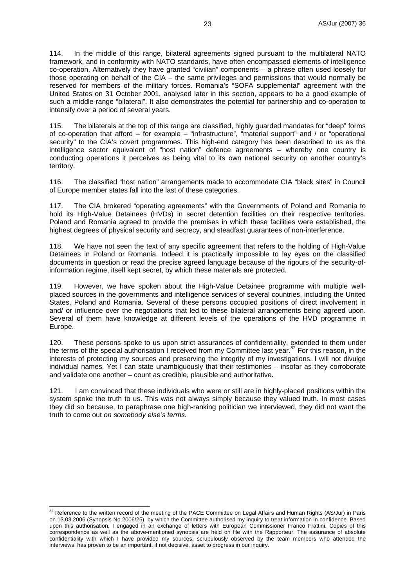114. In the middle of this range, bilateral agreements signed pursuant to the multilateral NATO framework, and in conformity with NATO standards, have often encompassed elements of intelligence co-operation. Alternatively they have granted "civilian" components – a phrase often used loosely for those operating on behalf of the CIA – the same privileges and permissions that would normally be reserved for members of the military forces. Romania's "SOFA supplemental" agreement with the United States on 31 October 2001, analysed later in this section, appears to be a good example of such a middle-range "bilateral". It also demonstrates the potential for partnership and co-operation to intensify over a period of several years.

115. The bilaterals at the top of this range are classified, highly guarded mandates for "deep" forms of co-operation that afford – for example – "infrastructure", "material support" and / or "operational security" to the CIA's covert programmes. This high-end category has been described to us as the intelligence sector equivalent of "host nation" defence agreements – whereby one country is conducting operations it perceives as being vital to its own national security on another country's territory.

116. The classified "host nation" arrangements made to accommodate CIA "black sites" in Council of Europe member states fall into the last of these categories.

117. The CIA brokered "operating agreements" with the Governments of Poland and Romania to hold its High-Value Detainees (HVDs) in secret detention facilities on their respective territories. Poland and Romania agreed to provide the premises in which these facilities were established, the highest degrees of physical security and secrecy, and steadfast guarantees of non-interference.

118. We have not seen the text of any specific agreement that refers to the holding of High-Value Detainees in Poland or Romania. Indeed it is practically impossible to lay eyes on the classified documents in question or read the precise agreed language because of the rigours of the security-ofinformation regime, itself kept secret, by which these materials are protected.

119. However, we have spoken about the High-Value Detainee programme with multiple wellplaced sources in the governments and intelligence services of several countries, including the United States, Poland and Romania. Several of these persons occupied positions of direct involvement in and/ or influence over the negotiations that led to these bilateral arrangements being agreed upon. Several of them have knowledge at different levels of the operations of the HVD programme in Europe.

120. These persons spoke to us upon strict assurances of confidentiality, extended to them under the terms of the special authorisation I received from my Committee last year.<sup>82</sup> For this reason, in the interests of protecting my sources and preserving the integrity of my investigations, I will not divulge individual names. Yet I can state unambiguously that their testimonies – insofar as they corroborate and validate one another – count as credible, plausible and authoritative.

121. I am convinced that these individuals who were or still are in highly-placed positions within the system spoke the truth to us. This was not always simply because they valued truth. In most cases they did so because, to paraphrase one high-ranking politician we interviewed, they did not want the truth to come out *on somebody else's terms*.

 $\overline{a}$ <sup>82</sup> Reference to the written record of the meeting of the PACE Committee on Legal Affairs and Human Rights (AS/Jur) in Paris on 13.03.2006 (Synopsis No 2006/25), by which the Committee authorised my inquiry to treat information in confidence. Based upon this authorisation, I engaged in an exchange of letters with European Commissioner Franco Frattini. Copies of this correspondence as well as the above-mentioned synopsis are held on file with the Rapporteur. The assurance of absolute confidentiality with which I have provided my sources, scrupulously observed by the team members who attended the interviews, has proven to be an important, if not decisive, asset to progress in our inquiry.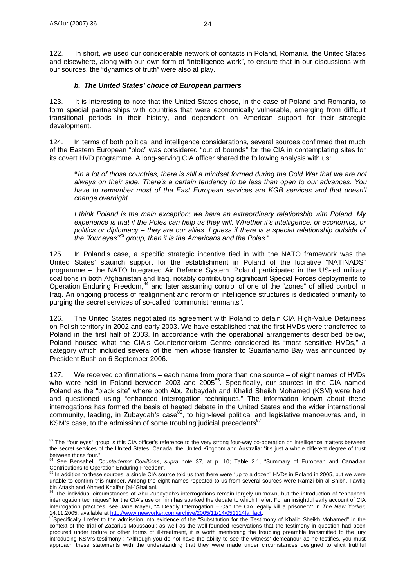122. In short, we used our considerable network of contacts in Poland, Romania, the United States and elsewhere, along with our own form of "intelligence work", to ensure that in our discussions with our sources, the "dynamics of truth" were also at play.

#### *b. The United States' choice of European partners*

123. It is interesting to note that the United States chose, in the case of Poland and Romania, to form special partnerships with countries that were economically vulnerable, emerging from difficult transitional periods in their history, and dependent on American support for their strategic development.

124. In terms of both political and intelligence considerations, several sources confirmed that much of the Eastern European "bloc" was considered "out of bounds" for the CIA in contemplating sites for its covert HVD programme. A long-serving CIA officer shared the following analysis with us:

**"***In a lot of those countries, there is still a mindset formed during the Cold War that we are not always on their side. There's a certain tendency to be less than open to our advances. You*  have to remember most of the East European services are KGB services and that doesn't *change overnight.* 

*I think Poland is the main exception; we have an extraordinary relationship with Poland. My experience is that if the Poles can help us they will. Whether it's intelligence, or economics, or politics or diplomacy – they are our allies. I guess if there is a special relationship outside of the "four eyes"83 group, then it is the Americans and the Poles*."

125. In Poland's case, a specific strategic incentive tied in with the NATO framework was the United States' staunch support for the establishment in Poland of the lucrative "NATINADS" programme – the NATO Integrated Air Defence System. Poland participated in the US-led military coalitions in both Afghanistan and Iraq, notably contributing significant Special Forces deployments to Operation Enduring Freedom,84 and later assuming control of one of the "zones" of allied control in Iraq. An ongoing process of realignment and reform of intelligence structures is dedicated primarily to purging the secret services of so-called "communist remnants".

126. The United States negotiated its agreement with Poland to detain CIA High-Value Detainees on Polish territory in 2002 and early 2003. We have established that the first HVDs were transferred to Poland in the first half of 2003. In accordance with the operational arrangements described below, Poland housed what the CIA's Counterterrorism Centre considered its "most sensitive HVDs," a category which included several of the men whose transfer to Guantanamo Bay was announced by President Bush on 6 September 2006.

127. We received confirmations – each name from more than one source – of eight names of HVDs who were held in Poland between 2003 and 2005<sup>85</sup>. Specifically, our sources in the CIA named Poland as the "black site" where both Abu Zubaydah and Khalid Sheikh Mohamed (KSM) were held and questioned using "enhanced interrogation techniques." The information known about these interrogations has formed the basis of heated debate in the United States and the wider international community, leading, in Zubaydah's case<sup>86</sup>, to high-level political and legislative manoeuvres and, in KSM's case, to the admission of some troubling judicial precedents<sup>87</sup>.

 $\overline{a}$ <sup>83</sup> The "four eyes" group is this CIA officer's reference to the very strong four-way co-operation on intelligence matters between the secret services of the United States, Canada, the United Kingdom and Australia: "it's just a whole different degree of trust

between those four." 84 See Bensahel, *Counterterror Coalitions*, *supra* note 37, at p. 10; Table 2.1, "Summary of European and Canadian Contributions to Operation Enduring Freedom".

In addition to these sources, a single CIA source told us that there were "up to a dozen" HVDs in Poland in 2005, but we were unable to confirm this number. Among the eight names repeated to us from several sources were Ramzi bin al-Shibh, Tawfiq bin Attash and Ahmed Khalfan [al-]Ghailani.

The individual circumstances of Abu Zubaydah's interrogations remain largely unknown, but the introduction of "enhanced interrogation techniques" for the CIA's use on him has sparked the debate to which I refer. For an insightful early account of CIA interrogation practices, see Jane Mayer, "A Deadly Interrogation – Can the CIA legally kill a prisoner?" in *The New Yorker*,

<sup>14.11.2005,</sup> available at http://www.newyorker.com/archive-2005/11/14/05/11/2005/11/2005, available at the admission into evidence of the "Substitution for the Testimony of Khalid Sheikh Mohamed" in the Testimony of Khalid context of the trial of Zacarius Moussaoui; as well as the well-founded reservations that the testimony in question had been procured under torture or other forms of ill-treatment, it is worth mentioning the troubling preamble transmitted to the jury introducing KSM's testimony : "Although you do not have the ability to see the witness' demeanour as he testifies, you must approach these statements with the understanding that they were made under circumstances designed to elicit truthful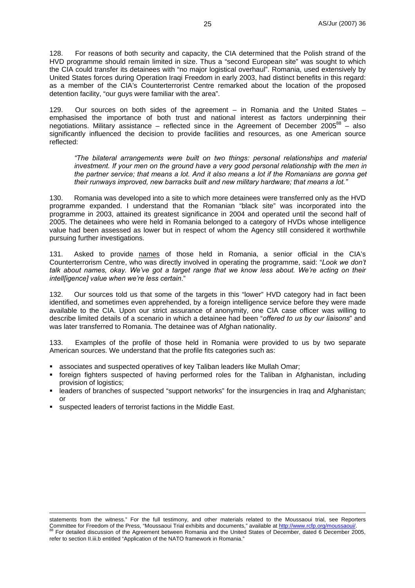128. For reasons of both security and capacity, the CIA determined that the Polish strand of the HVD programme should remain limited in size. Thus a "second European site" was sought to which the CIA could transfer its detainees with "no major logistical overhaul". Romania, used extensively by United States forces during Operation Iraqi Freedom in early 2003, had distinct benefits in this regard: as a member of the CIA's Counterterrorist Centre remarked about the location of the proposed detention facility, "our guys were familiar with the area".

129. Our sources on both sides of the agreement – in Romania and the United States – emphasised the importance of both trust and national interest as factors underpinning their negotiations. Military assistance – reflected since in the Agreement of December  $2005^{88}$  – also significantly influenced the decision to provide facilities and resources, as one American source reflected:

*"The bilateral arrangements were built on two things: personal relationships and material investment. If your men on the ground have a very good personal relationship with the men in the partner service; that means a lot. And it also means a lot if the Romanians are gonna get their runways improved, new barracks built and new military hardware; that means a lot."* 

130. Romania was developed into a site to which more detainees were transferred only as the HVD programme expanded. I understand that the Romanian "black site" was incorporated into the programme in 2003, attained its greatest significance in 2004 and operated until the second half of 2005. The detainees who were held in Romania belonged to a category of HVDs whose intelligence value had been assessed as lower but in respect of whom the Agency still considered it worthwhile pursuing further investigations.

131. Asked to provide names of those held in Romania, a senior official in the CIA's Counterterrorism Centre, who was directly involved in operating the programme, said: "*Look we don't talk about names, okay. We've got a target range that we know less about. We're acting on their intell[igence] value when we're less certain*."

132. Our sources told us that some of the targets in this "lower" HVD category had in fact been identified, and sometimes even apprehended, by a foreign intelligence service before they were made available to the CIA. Upon our strict assurance of anonymity, one CIA case officer was willing to describe limited details of a scenario in which a detainee had been "*offered to us by our liaisons*" and was later transferred to Romania. The detainee was of Afghan nationality.

133. Examples of the profile of those held in Romania were provided to us by two separate American sources. We understand that the profile fits categories such as:

- associates and suspected operatives of key Taliban leaders like Mullah Omar;
- foreign fighters suspected of having performed roles for the Taliban in Afghanistan, including provision of logistics;
- leaders of branches of suspected "support networks" for the insurgencies in Iraq and Afghanistan; or
- suspected leaders of terrorist factions in the Middle East.

statements from the witness." For the full testimony, and other materials related to the Moussaoui trial, see Reporters Committee for Freedom of the Press, "Moussaoui Trial exhibits and documents," available at http://www.rcfp.org/moussaoui/.<br><sup>88</sup> For detailed discussion of the Agreement between Romania and the United States of December, da refer to section II.iii.b entitled "Application of the NATO framework in Romania."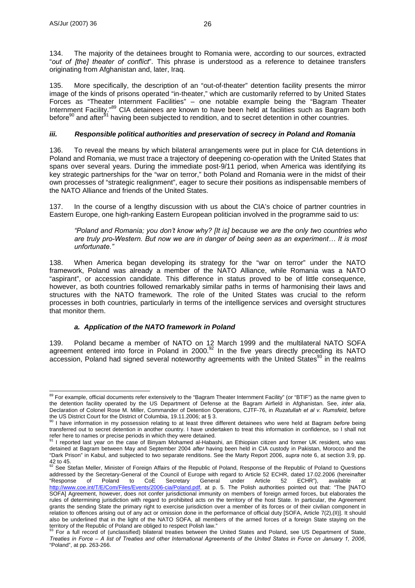134. The majority of the detainees brought to Romania were, according to our sources, extracted "*out of [the] theater of conflict*". This phrase is understood as a reference to detainee transfers originating from Afghanistan and, later, Iraq.

135. More specifically, the description of an "out-of-theater" detention facility presents the mirror image of the kinds of prisons operated "in-theater," which are customarily referred to by United States Forces as "Theater Internment Facilities" – one notable example being the "Bagram Theater Internment Facility."<sup>89</sup> CIA detainees are known to have been held at facilities such as Bagram both before<sup>90</sup> and after<sup>91</sup> having been subjected to rendition, and to secret detention in other countries.

#### *iii. Responsible political authorities and preservation of secrecy in Poland and Romania*

136. To reveal the means by which bilateral arrangements were put in place for CIA detentions in Poland and Romania, we must trace a trajectory of deepening co-operation with the United States that spans over several years. During the immediate post-9/11 period, when America was identifying its key strategic partnerships for the "war on terror," both Poland and Romania were in the midst of their own processes of "strategic realignment", eager to secure their positions as indispensable members of the NATO Alliance and friends of the United States.

137. In the course of a lengthy discussion with us about the CIA's choice of partner countries in Eastern Europe, one high-ranking Eastern European politician involved in the programme said to us:

*"Poland and Romania; you don't know why? [It is] because we are the only two countries who are truly pro-Western. But now we are in danger of being seen as an experiment… It is most unfortunate."* 

138. When America began developing its strategy for the "war on terror" under the NATO framework, Poland was already a member of the NATO Alliance, while Romania was a NATO "aspirant", or accession candidate. This difference in status proved to be of little consequence, however, as both countries followed remarkably similar paths in terms of harmonising their laws and structures with the NATO framework. The role of the United States was crucial to the reform processes in both countries, particularly in terms of the intelligence services and oversight structures that monitor them.

#### *a. Application of the NATO framework in Poland*

139. Poland became a member of NATO on 12 March 1999 and the multilateral NATO SOFA agreement entered into force in Poland in 2000. $92$  In the five years directly preceding its NATO accession. Poland had signed several noteworthy agreements with the United States<sup>93</sup> in the realms

 $\overline{a}$ <sup>89</sup> For example, official documents refer extensively to the "Bagram Theater Internment Facility" (or "BTIF") as the name given to the detention facility operated by the US Department of Defense at the Bagram Airfield in Afghanistan. See, *inter alia*, Declaration of Colonel Rose M. Miller, Commander of Detention Operations, CJTF-76, in *Ruzatullah et al v. Rumsfeld*, before

the US District Court for the District of Columbia, 19.11.2006; at § 3. 90 I have information in my possession relating to at least three different detainees who were held at Bagram *before* being transferred out to secret detention in another country. I have undertaken to treat this information in confidence, so I shall not refer here to names or precise periods in which they were detained.<br><sup>91</sup> I reported last year on the case of Binyam Mohamed al-Habashi, an Ethiopian citizen and former UK resident, who was

detained at Bagram between May and September 2004 *after* having been held in CIA custody in Pakistan, Morocco and the "Dark Prison" in Kabul, and subjected to two separate renditions. See the Marty Report 2006, *supra* note 6, at section 3.9, pp.  $42$  to 45.

See Stefan Meller, Minister of Foreign Affairs of the Republic of Poland, Response of the Republic of Poland to Questions addressed by the Secretary-General of the Council of Europe with regard to Article 52 ECHR, dated 17.02.2006 (hereinafter<br>"Response of Poland to CoE Secretary General under Article 52 ECHR"), available at "Response of Poland to CoE Secretary General under Article 52 ECHR"), available at http://www.coe.int/T/E/Com/Files/Events/2006-cia/Poland.pdf, at p. 5. The Polish authorities pointed out that: "The [NATO SOFA] Agreement, however, does not confer jurisdictional immunity on members of foreign armed forces, but elaborates the rules of determining jurisdiction with regard to prohibited acts on the territory of the host State. In particular, the Agreement grants the sending State the primary right to exercise jurisdiction over a member of its forces or of their civilian component in relation to offences arising out of any act or omission done in the performance of official duty [SOFA, Article 7(2),(II)]. It should also be underlined that in the light of the NATO SOFA, all members of the armed forces of a foreign State staying on the territory of the Republic of Poland are obliged to respect Polish law."<br><sup>93</sup> For a full record of (unclassified) bilateral treaties between the United States and Poland, see US Department of State,

*Treaties in Force – A list of Treaties and other International Agreements of the United States in Force on January 1, 2006*, "Poland", at pp. 263-266.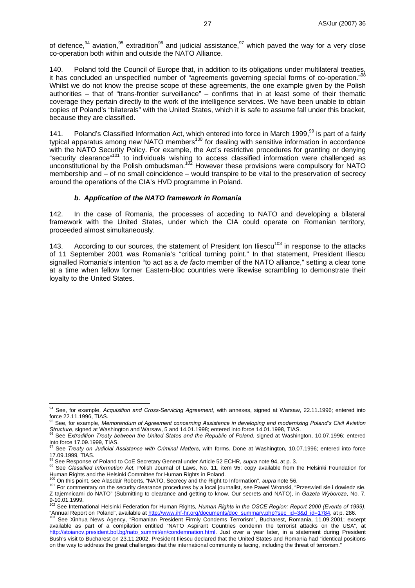of defence,  $94$  aviation,  $95$  extradition  $96$  and judicial assistance,  $97$  which paved the way for a very close co-operation both within and outside the NATO Alliance.

140. Poland told the Council of Europe that, in addition to its obligations under multilateral treaties, it has concluded an unspecified number of "agreements governing special forms of co-operation."<sup>98</sup> Whilst we do not know the precise scope of these agreements, the one example given by the Polish authorities – that of "trans-frontier surveillance" – confirms that in at least some of their thematic coverage they pertain directly to the work of the intelligence services. We have been unable to obtain copies of Poland's "bilaterals" with the United States, which it is safe to assume fall under this bracket, because they are classified.

141. Poland's Classified Information Act, which entered into force in March 1999,<sup>99</sup> is part of a fairly typical apparatus among new NATO members<sup>100</sup> for dealing with sensitive information in accordance with the NATO Security Policy. For example, the Act's restrictive procedures for granting or denying "security clearance"<sup>101</sup> to individuals wishing to access classified information were challenged as unconstitutional by the Polish ombudsman.<sup>102</sup> However these provisions were compulsory for NATO membership and – of no small coincidence – would transpire to be vital to the preservation of secrecy around the operations of the CIA's HVD programme in Poland.

#### *b. Application of the NATO framework in Romania*

142. In the case of Romania, the processes of acceding to NATO and developing a bilateral framework with the United States, under which the CIA could operate on Romanian territory, proceeded almost simultaneously.

143. According to our sources, the statement of President Ion Iliescu<sup>103</sup> in response to the attacks of 11 September 2001 was Romania's "critical turning point." In that statement, President Iliescu signalled Romania's intention "to act as a *de facto* member of the NATO alliance," setting a clear tone at a time when fellow former Eastern-bloc countries were likewise scrambling to demonstrate their loyalty to the United States.

 $\overline{a}$ 

<sup>94</sup> See, for example, *Acquisition and Cross-Servicing Agreement*, with annexes, signed at Warsaw, 22.11.1996; entered into force 22.11.1996, TIAS.

<sup>95</sup> See, for example, *Memorandum of Agreement concerning Assistance in developing and modernising Poland's Civil Aviation*  Structure, signed at Washington and Warsaw, 5 and 14.01.1998; entered into force 14.01.1998; TIAS.<br><sup>96</sup> See Extradition Treaty between the United States and the Republic of Poland, signed at Washington, 10.07.1996; entered

into force 17.09.1999, TIAS.

<sup>97</sup> See *Treaty on Judicial Assistance with Criminal Matters*, with forms. Done at Washington, 10.07.1996; entered into force 17.09.1999, TIAS.<br><sup>98</sup> See Response of Poland to CoE Secretary General under Article 52 ECHR, *supra* note 94, at p. 3.

<sup>&</sup>lt;sup>99</sup> See Classified Information Act, Polish Journal of Laws, No. 11, item 95; copy available from the Helsinki Foundation for Human Rights and the Helsinki Committee for Human Rights and the Helsinki Committee for Human Rights in Poland.<br><sup>100</sup> On this point, see Alasdair Roberts, "NATO, Secrecy and the Right to Information", *supra* note 56.

<sup>&</sup>lt;sup>101</sup> For commentary on the security clearance procedures by a local journalist, see Pawel Wronski, "Przeswietl sie i dowiedz sie. Z tajemnicami do NATO" (Submitting to clearance and getting to know. Our secrets and NATO), in *Gazeta Wyborcza*, No. 7,

<sup>9-10.01.1999.</sup> 102 See International Helsinki Federation for Human Rights, *Human Rights in the OSCE Region: Report 2000 (Events of 1999)*, "Annual Report on Poland", available at http://www.ihf-hr.org/documents/doc\_summary.php?sec\_id=3&d\_id=1784, at p. 286.<br><sup>103</sup> See Xinhua News Agency, "Romanian President Firmly Condems Terrorism", Bucharest, Romania, 11.09.

available as part of a compilation entitled "NATO Aspirant Countries condemn the terrorist attacks on the USA", at http://stoianov.president.bol.bg/nato\_summit/en/condemnation.html. Just over a year later, in a statement during President Bush's visit to Bucharest on 23.11.2002, President Iliescu declared that the United States and Romania had "identical positions on the way to address the great challenges that the international community is facing, including the threat of terrorism."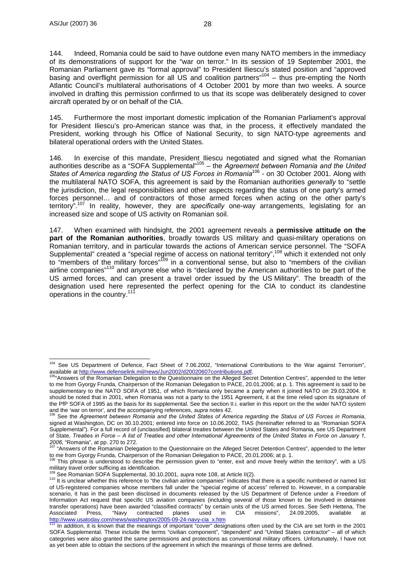144. Indeed, Romania could be said to have outdone even many NATO members in the immediacy of its demonstrations of support for the "war on terror." In its session of 19 September 2001, the Romanian Parliament gave its "formal approval" to President Iliescu's stated position and "approved basing and overflight permission for all US and coalition partners"<sup>104</sup> – thus pre-empting the North Atlantic Council's multilateral authorisations of 4 October 2001 by more than two weeks. A source involved in drafting this permission confirmed to us that its scope was deliberately designed to cover aircraft operated by or on behalf of the CIA.

145. Furthermore the most important domestic implication of the Romanian Parliament's approval for President Iliescu's pro-American stance was that, in the process, it effectively mandated the President, working through his Office of National Security, to sign NATO-type agreements and bilateral operational orders with the United States.

146. In exercise of this mandate, President Iliescu negotiated and signed what the Romanian authorities describe as a "SOFA Supplemental"105 – the *Agreement between Romania and the United States of America regarding the Status of US Forces in Romania*106 - on 30 October 2001. Along with the multilateral NATO SOFA, this agreement is said by the Romanian authorities *generally* to "settle the jurisdiction, the legal responsibilities and other aspects regarding the status of one party's armed forces personnel… and of contractors of those armed forces when acting on the other party's territory".107 In reality, however, they are *specifically* one-way arrangements, legislating for an increased size and scope of US activity on Romanian soil.

147. When examined with hindsight, the 2001 agreement reveals a **permissive attitude on the part of the Romanian authorities**, broadly towards US military and quasi-military operations on Romanian territory, and in particular towards the actions of American service personnel. The "SOFA Supplemental" created a "special regime of access on national territory",<sup>108</sup> which it extended not only to "members of the military forces"<sup>109</sup> in a conventional sense, but also to "members of the civilian airline companies"<sup>110</sup> and anyone else who is "declared by the American authorities to be part of the US armed forces, and can present a travel order issued by the US Military". The breadth of the designation used here represented the perfect opening for the CIA to conduct its clandestine operations in the country.

 $\overline{a}$ <sup>104</sup> See US Department of Defence, Fact Sheet of 7.06.2002, "International Contributions to the War against Terrorism", available at http://www.defenselink.mil/news/Jun2002/d20020607contributions.pdf.<br><sup>105</sup>"Answers of the Romanian Delegation to the Questionnaire on the Alleged Secret Detention Centres", appended to the letter

to me from Gyorgy Frunda, Chairperson of the Romanian Delegation to PACE, 20.01.2006; at p. 1. This agreement is said to be supplementary to the NATO SOFA of 1951, of which Romania only became a party when it joined NATO on 29.03.2004. It should be noted that in 2001, when Romania was not a party to the 1951 Agreement, it at the time relied upon its signature of the PfP SOFA of 1995 as the basis for its supplemental. See the section II.i. earlier in this report on the the wider NATO system

and the 'war on terror', and the accompanying references, *supra* notes 42.<br><sup>106</sup> See the *Agreement between Romania and the United States of America regarding the Status of US Forces in Romania,* signed at Washington, DC on 30.10.2001; entered into force on 10.06.2002, TIAS (hereinafter referred to as "Romanian SOFA Supplemental"). For a full record of (unclassified) bilateral treaties between the United States and Romania, see US Department of State, *Treaties in Force – A list of Treaties and other International Agreements of the United States in Force on January 1, 2006, "Romania", at pp. 270 to 272.* 

<sup>&</sup>quot;Answers of the Romanian Delegation to the Questionnaire on the Alleged Secret Detention Centres", appended to the letter to me from Gyorgy Frunda, Chairperson of the Romanian Delegation to PACE, 20.01.2006; at p. 1.

<sup>&</sup>lt;sup>108</sup> This phrase is understood to describe the permission given to "enter, exit and move freely within the territory", with a US

military travel order sufficing as identification.<br><sup>109</sup> See Romanian SOFA Supplemental, 30.10.2001, *supra* note 108, at Article II(2).

<sup>109</sup> See Romanian SOFA Supplemental, 30.10.2001, *supra* note 108, at Article II(2). 110 It is unclear whether this reference to "the civilian airline companies" indicates that there is a specific numbered or named list of US-registered companies whose members fall under the "special regime of access" referred to. However, in a comparable scenario, it has in the past been disclosed in documents released by the US Department of Defence under a Freedom of Information Act request that specific US aviation companies (including several of those known to be involved in detainee transfer operations) have been awarded "classified contracts" by certain units of the US armed forces. See Seth Hettena, The Associated Press, "Navy contracted planes used in CIA missions", 24.09.2005, available at http://www.usatoday.com/news/washington/2005-09-24-navy-cia\_x.htm

In addition, it is known that the meanings of important "cover" designations often used by the CIA are set forth in the 2001 SOFA Supplemental. These include the terms "civilian component", "dependent" and "United States contractor" – all of which categories were also granted the same permissions and protections as conventional military officers. Unfortunately, I have not as yet been able to obtain the sections of the agreement in which the meanings of those terms are defined.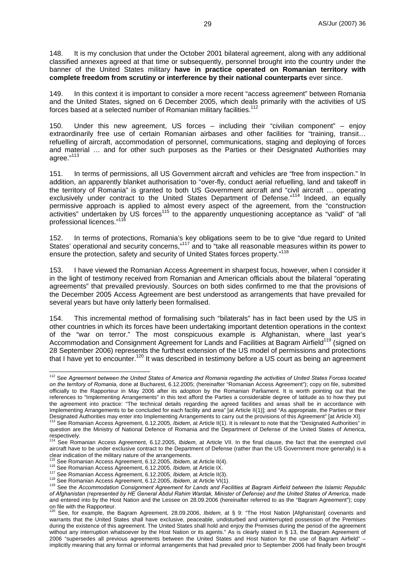148. It is my conclusion that under the October 2001 bilateral agreement, along with any additional classified annexes agreed at that time or subsequently, personnel brought into the country under the banner of the United States military **have in practice operated on Romanian territory with complete freedom from scrutiny or interference by their national counterparts** ever since.

149. In this context it is important to consider a more recent "access agreement" between Romania and the United States, signed on 6 December 2005, which deals primarily with the activities of US forces based at a selected number of Romanian military facilities.<sup>112</sup>

150. Under this new agreement, US forces – including their "civilian component" – enjoy extraordinarily free use of certain Romanian airbases and other facilities for "training, transit... refuelling of aircraft, accommodation of personnel, communications, staging and deploying of forces and material … and for other such purposes as the Parties or their Designated Authorities may agree."113

151. In terms of permissions, all US Government aircraft and vehicles are "free from inspection." In addition, an apparently blanket authorisation to "over-fly, conduct aerial refuelling, land and takeoff in the territory of Romania" is granted to both US Government aircraft and "civil aircraft … operating exclusively under contract to the United States Department of Defense."<sup>114</sup> Indeed, an equally permissive approach is applied to almost every aspect of the agreement, from the "construction activities" undertaken by US forces<sup>115</sup> to the apparently unquestioning acceptance as "valid" of "all professional licences."<sup>116</sup>

152. In terms of protections, Romania's key obligations seem to be to give "due regard to United States' operational and security concerns,"<sup>117</sup> and to "take all reasonable measures within its power to ensure the protection, safety and security of United States forces property."<sup>118</sup>

153. I have viewed the Romanian Access Agreement in sharpest focus, however, when I consider it in the light of testimony received from Romanian and American officials about the bilateral "operating agreements" that prevailed previously. Sources on both sides confirmed to me that the provisions of the December 2005 Access Agreement are best understood as arrangements that have prevailed for several years but have only latterly been formalised.

154. This incremental method of formalising such "bilaterals" has in fact been used by the US in other countries in which its forces have been undertaking important detention operations in the context of the "war on terror." The most conspicuous example is Afghanistan, where last year's Accommodation and Consignment Agreement for Lands and Facilities at Bagram Airfield<sup>119</sup> (signed on 28 September 2006) represents the furthest extension of the US model of permissions and protections that I have yet to encounter.<sup>120</sup> It was described in testimony before a US court as being an agreement

 $\overline{a}$ 

<sup>112</sup> See *Agreement between the United States of America and Romania regarding the activities of United States Forces located on the territory of Romania*, done at Bucharest, 6.12.2005; (hereinafter "Romanian Access Agreement"); copy on file, submitted officially to the Rapporteur in May 2006 after its adoption by the Romanian Parliament. It is worth pointing out that the references to "Implementing Arrangements" in this text afford the Parties a considerable degree of latitude as to how they put the agreement into practice: "The technical details regarding the agreed facilities and areas shall be in accordance with Implementing Arrangements to be concluded for each facility and area" [at Article II(1)]; and "As appropriate, the Parties or their Designated Authorities may enter into Implementing Arrangements to carry out the provisions of this Agreement" [at Article XI].<br><sup>113</sup> See Romanian Access Agreement, 6.12.2005, *Ibidem*, at Article II(1). It is relevant to

question are the Ministry of National Defence of Romania and the Department of Defense of the United States of America,

respectively. 114 See Romanian Access Agreement, 6.12.2005, *Ibidem*, at Article VII. In the final clause, the fact that the exempted civil aircraft have to be under exclusive contract to the Department of Defense (rather than the US Government more generally) is a clear indication of the military nature of the arrangements.<br><sup>115</sup> See Romanian Access Agreement, 6.12.2005, *Ibidem*, at Article II(4).

<sup>&</sup>lt;sup>116</sup> See Romanian Access Agreement, 6.12.2005, *Ibidem*, at Article IX.<br><sup>117</sup> See Romanian Access Agreement, 6.12.2005, *Ibidem*, at Article II(3).<br><sup>118</sup> See Romanian Access Agreement, 6.12.2005, *Ibidem*, at Article VI(1 *of Afghanistan (represented by HE General Abdul Rahim Wardak, Minister of Defense) and the United States of America*, made and entered into by the Host Nation and the Lessee on 28.09.2006 (hereinafter referred to as the "Bagram Agreement"); copy on file with the Rapporteur.<br><sup>120</sup> See, for example, the Bagram Agreement, 28.09.2006, *Ibidem*, at § 9: "The Host Nation [Afghanistan] covenants and

warrants that the United States shall have exclusive, peaceable, undisturbed and uninterrupted possession of the Premises during the existence of this agreement. The United States shall hold and enjoy the Premises during the period of the agreement without any interruption whatsoever by the Host Nation or its agents." As is clearly stated in § 13, the Bagram Agreement of 2006 "supersedes all previous agreements between the United States and Host Nation for the use of Bagram Airfield" – implicitly meaning that any formal or informal arrangements that had prevailed prior to September 2006 had finally been brought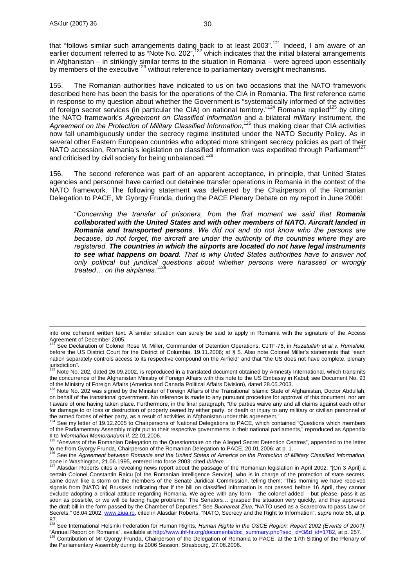that "follows similar such arrangements dating back to at least 2003".<sup>121</sup> Indeed, I am aware of an earlier document referred to as "Note No. 202",<sup>122</sup> which indicates that the initial bilateral arrangements in Afghanistan – in strikingly similar terms to the situation in Romania – were agreed upon essentially by members of the executive<sup>123</sup> without reference to parliamentary oversight mechanisms.

155. The Romanian authorities have indicated to us on two occasions that the NATO framework described here has been the basis for the operations of the CIA in Romania. The first reference came in response to my question about whether the Government is "systematically informed of the activities of foreign secret services (in particular the CIA) on national territory."124 Romania replied125 by citing the NATO framework's *Agreement on Classified Information* and a bilateral *military* instrument, the Agreement on the Protection of Military Classified Information,<sup>126</sup> thus making clear that CIA activities now fall unambiguously under the secrecy regime instituted under the NATO Security Policy. As in several other Eastern European countries who adopted more stringent secrecy policies as part of their NATO accession, Romania's legislation on classified information was expedited through Parliament<sup>12</sup> and criticised by civil society for being unbalanced.<sup>128</sup>

156. The second reference was part of an apparent acceptance, in principle, that United States agencies and personnel have carried out detainee transfer operations in Romania in the context of the NATO framework. The following statement was delivered by the Chairperson of the Romanian Delegation to PACE, Mr Gyorgy Frunda, during the PACE Plenary Debate on my report in June 2006:

"*Concerning the transfer of prisoners, from the first moment we said that Romania collaborated with the United States and with other members of NATO. Aircraft landed in Romania and transported persons. We did not and do not know who the persons are because, do not forget, the aircraft are under the authority of the countries where they are registered. The countries in which the airports are located do not have legal instruments to see what happens on board. That is why United States authorities have to answer not only political but juridical questions about whether persons were harassed or wrongly treated… on the airplanes.*" 129

into one coherent written text. A similar situation can surely be said to apply in Romania with the signature of the Access Agreement of December 2005.

<sup>121</sup> See Declaration of Colonel Rose M. Miller, Commander of Detention Operations, CJTF-76, in *Ruzatullah et al v. Rumsfeld*, before the US District Court for the District of Columbia, 19.11.2006; at § 5. Also note Colonel Miller's statements that "each nation separately controls access to its respective compound on the Airfield" and that "the US does not have complete, plenary

jurisdiction".<br><sup>122</sup> Note No. 202, dated 26.09.2002, is reproduced in a translated document obtained by Amnesty International, which transmits the concurrence of the Afghanistan Ministry of Foreign Affairs with this note to the US Embassy in Kabul; see Document No. 93 of the Ministry of Foreign Affairs (America and Canada Political Affairs Division), dated 28.05.2003.<br><sup>123</sup> Note No. 202 was signed by the Minister of Foreign Affairs of the Transitional Islamic State of Afghanistan, Docto

on behalf of the transitional government. No reference is made to any pursuant procedure for approval of this document, nor am I aware of one having taken place. Furthermore, in the final paragraph, "the parties waive any and all claims against each other for damage to or loss or destruction of property owned by either party, or death or injury to any military or civilian personnel of the armed forces of either party, as a result of activities in Afghanistan under this agreement."<br><sup>124</sup> See my letter of 19.12.2005 to Chairpersons of National Delegations to PACE, which contained "Questions which members

of the Parliamentary Assembly might put to their respective governments in their national parliaments," reproduced as Appendix II to *Information Memorandum II*, 22.01.2006.<br><sup>125</sup> "Answers of the Romanian Delegation to the Questionnaire on the Alleged Secret Detention Centres", appended to the letter

to me from Gyorgy Frunda, Chairperson of the Romanian Delegation to PACE, 20.01.2006; at p. 1.

<sup>&</sup>lt;sup>126</sup> See the *Agreement between Romania and the United States of America on the Protection of Military Classified Information, done in Washington, 21.06.1995, entered into force 2003; cited <i>Ibidem*.

Alasdair Roberts cites a revealing news report about the passage of the Romanian legislation in April 2002: "[On 3 April] a certain Colonel Constantin Raicu [of the Romanian Intelligence Service], who is in charge of the protection of state secrets, came down like a storm on the members of the Senate Juridical Commission, telling them: 'This morning we have received signals from [NATO in] Brussels indicating that if the bill on classified information is not passed before 16 April, they cannot exclude adopting a critical attitude regarding Romania. We agree with any form – the colonel added – but please, pass it as soon as possible, or we will be facing huge problems.' The Senators… grasped the situation very quickly, and they approved the draft bill in the form passed by the Chamber of Deputies." See *Bucharest Ziua*, "NATO used as a Scarecrow to pass Law on Secrets," 08.04.2002, www.ziua.ro, cited in Alasdair Roberts, "NATO, Secrecy and the Right to Information", *supra* note 56, at p.

<sup>87.&</sup>lt;br><sup>128</sup> See International Helsinki Federation for Human Rights, *Human Rights in the OSCE Region: Report 2002 (Events of 2001)*,

<sup>&</sup>quot;Annual Report on Romania", available at <u>http://www.ihf-hr.org/documents/doc\_summary.php?sec\_id=3&d\_id=1782,</u> at p. 257.<br><sup>129</sup> Contribution of Mr Gyorgy Frunda, Chairperson of the Delegation of Romania to PACE, at the 17t the Parliamentary Assembly during its 2006 Session, Strasbourg, 27.06.2006.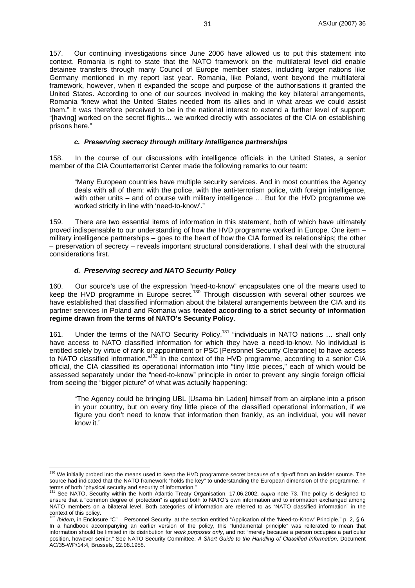157. Our continuing investigations since June 2006 have allowed us to put this statement into context. Romania is right to state that the NATO framework on the multilateral level did enable detainee transfers through many Council of Europe member states, including larger nations like Germany mentioned in my report last year. Romania, like Poland, went beyond the multilateral framework, however, when it expanded the scope and purpose of the authorisations it granted the United States. According to one of our sources involved in making the key bilateral arrangements, Romania "knew what the United States needed from its allies and in what areas we could assist them." It was therefore perceived to be in the national interest to extend a further level of support: "[having] worked on the secret flights… we worked directly with associates of the CIA on establishing prisons here."

#### *c. Preserving secrecy through military intelligence partnerships*

158. In the course of our discussions with intelligence officials in the United States, a senior member of the CIA Counterterrorist Center made the following remarks to our team:

"Many European countries have multiple security services. And in most countries the Agency deals with all of them: with the police, with the anti-terrorism police, with foreign intelligence, with other units – and of course with military intelligence … But for the HVD programme we worked strictly in line with 'need-to-know'."

159. There are two essential items of information in this statement, both of which have ultimately proved indispensable to our understanding of how the HVD programme worked in Europe. One item – military intelligence partnerships – goes to the heart of how the CIA formed its relationships; the other – preservation of secrecy – reveals important structural considerations. I shall deal with the structural considerations first.

#### *d. Preserving secrecy and NATO Security Policy*

160. Our source's use of the expression "need-to-know" encapsulates one of the means used to keep the HVD programme in Europe secret.130 Through discussion with several other sources we have established that classified information about the bilateral arrangements between the CIA and its partner services in Poland and Romania was **treated according to a strict security of information regime drawn from the terms of NATO's Security Policy**.

161. Under the terms of the NATO Security Policy,<sup>131</sup> "individuals in NATO nations ... shall only have access to NATO classified information for which they have a need-to-know. No individual is entitled solely by virtue of rank or appointment or PSC [Personnel Security Clearance] to have access to NATO classified information."132 In the context of the HVD programme, according to a senior CIA official, the CIA classified its operational information into "tiny little pieces," each of which would be assessed separately under the "need-to-know" principle in order to prevent any single foreign official from seeing the "bigger picture" of what was actually happening:

"The Agency could be bringing UBL [Usama bin Laden] himself from an airplane into a prison in your country, but on every tiny little piece of the classified operational information, if we figure you don't need to know that information then frankly, as an individual, you will never know it."

 $\overline{a}$ <sup>130</sup> We initially probed into the means used to keep the HVD programme secret because of a tip-off from an insider source. The source had indicated that the NATO framework "holds the key" to understanding the European dimension of the programme, in

terms of both "physical security and security of information." 131 See NATO, Security within the North Atlantic Treaty Organisation, 17.06.2002, *supra* note 73. The policy is designed to ensure that a "common degree of protection" is applied both to NATO's own information and to information exchanged among NATO members on a bilateral level. Both categories of information are referred to as "NATO classified information" in the context of this policy.

<sup>132</sup> *Ibidem*, in Enclosure "C" – Personnel Security, at the section entitled "Application of the 'Need-to-Know' Principle," p. 2, § 6. In a handbook accompanying an earlier version of the policy, this "fundamental principle" was reiterated to mean that information should be limited in its distribution for *work purposes only*, and not "merely because a person occupies a particular position, however senior." See NATO Security Committee, *A Short Guide to the Handling of Classified Information*, Document AC/35-WP/14:4, Brussels, 22.08.1958.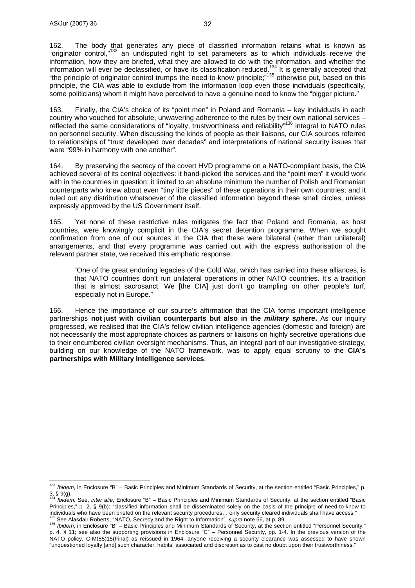162. The body that generates any piece of classified information retains what is known as "originator control,"133 an undisputed right to set parameters as to which individuals receive the information, how they are briefed, what they are allowed to do with the information, and whether the information will ever be declassified, or have its classification reduced.<sup>134</sup> It is generally accepted that "the principle of originator control trumps the need-to-know principle;"135 otherwise put, based on this principle, the CIA was able to exclude from the information loop even those individuals (specifically, some politicians) whom it might have perceived to have a genuine need to know the "bigger picture."

163. Finally, the CIA's choice of its "point men" in Poland and Romania – key individuals in each country who vouched for absolute, unwavering adherence to the rules by their own national services – reflected the same considerations of "loyalty, trustworthiness and reliability"136 integral to NATO rules on personnel security. When discussing the kinds of people as their liaisons, our CIA sources referred to relationships of "trust developed over decades" and interpretations of national security issues that were "99% in harmony with one another".

164. By preserving the secrecy of the covert HVD programme on a NATO-compliant basis, the CIA achieved several of its central objectives: it hand-picked the services and the "point men" it would work with in the countries in question; it limited to an absolute minimum the number of Polish and Romanian counterparts who knew about even "tiny little pieces" of these operations in their own countries; and it ruled out any distribution whatsoever of the classified information beyond these small circles, unless expressly approved by the US Government itself.

165. Yet none of these restrictive rules mitigates the fact that Poland and Romania, as host countries, were knowingly complicit in the CIA's secret detention programme. When we sought confirmation from one of our sources in the CIA that these were bilateral (rather than unilateral) arrangements, and that every programme was carried out with the express authorisation of the relevant partner state, we received this emphatic response:

"One of the great enduring legacies of the Cold War, which has carried into these alliances, is that NATO countries don't run unilateral operations in other NATO countries. It's a tradition that is almost sacrosanct. We [the CIA] just don't go trampling on other people's turf, especially not in Europe."

166. Hence the importance of our source's affirmation that the CIA forms important intelligence partnerships **not just with civilian counterparts but also in the** *military sphere***.** As our inquiry progressed, we realised that the CIA's fellow civilian intelligence agencies (domestic and foreign) are not necessarily the most appropriate choices as partners or liaisons on highly secretive operations due to their encumbered civilian oversight mechanisms. Thus, an integral part of our investigative strategy, building on our knowledge of the NATO framework, was to apply equal scrutiny to the **CIA's partnerships with Military Intelligence services**.

 $\overline{a}$ <sup>133</sup> *Ibidem*, in Enclosure "B" – Basic Principles and Minimum Standards of Security, at the section entitled "Basic Principles," p.  $3,$  § 9(g).

<sup>134</sup> *Ibidem*. See, *inter alia*, Enclosure "B" – Basic Principles and Minimum Standards of Security, at the section entitled "Basic Principles," p. 2, § 9(b): "classified information shall be disseminated solely on the basis of the principle of need-to-know to individuals who have been briefed on the relevant security procedures... only security cleared individuals shall have access."<br><sup>135</sup> See Alasdair Roberts, "NATO, Secrecy and the Right to Information", *supra* note 56, at p

p. 4, § 11; see also the supporting provisions in Enclosure "C" – Personnel Security, pp. 1-4. In the previous version of the NATO policy, C-M(55)15(Final) as reissued in 1964, anyone receiving a security clearance was assessed to have shown "unquestioned loyalty [and] such character, habits, associated and discretion as to cast no doubt upon their trustworthiness."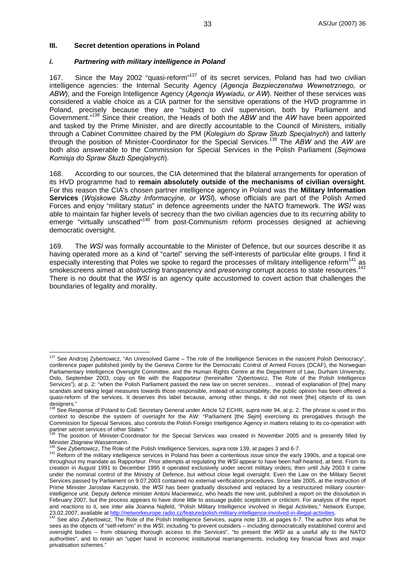#### **III. Secret detention operations in Poland**

#### *i. Partnering with military intelligence in Poland*

167. Since the May 2002 "quasi-reform"<sup>137</sup> of its secret services, Poland has had two civilian intelligence agencies: the Internal Security Agency (*Agencja Bezpieczenstwa Wewnetrznego, or ABW*); and the Foreign Intelligence Agency (*Agencja Wywiadu, or AW*). Neither of these services was considered a viable choice as a CIA partner for the sensitive operations of the HVD programme in Poland, precisely because they are "subject to civil supervision, both by Parliament and Government."138 Since their creation, the Heads of both the *ABW* and the *AW* have been appointed and tasked by the Prime Minister, and are directly accountable to the Council of Ministers, initially through a Cabinet Committee chaired by the PM (*Kolegium do Spraw Słuzb Specjalnych*) and latterly through the position of Minister-Coordinator for the Special Services.139 The *ABW* and the *AW* are both also answerable to the Commission for Special Services in the Polish Parliament (*Sejmowa Komisja do Spraw Słuzb Specjalnych*).

168. According to our sources, the CIA determined that the bilateral arrangements for operation of its HVD programme had to **remain absolutely outside of the mechanisms of civilian oversight**. For this reason the CIA's chosen partner intelligence agency in Poland was the **Military Information Services** (*Wojskowe Słuzby Informacyjne, or WSI*), whose officials are part of the Polish Armed Forces and enjoy "military status" in defence agreements under the NATO framework. The *WSI* was able to maintain far higher levels of secrecy than the two civilian agencies due to its recurring ability to emerge "virtually unscathed"<sup>140</sup> from post-Communism reform processes designed at achieving democratic oversight.

169. The *WSI* was formally accountable to the Minister of Defence, but our sources describe it as having operated more as a kind of "cartel" serving the self-interests of particular elite groups. I find it especially interesting that Poles we spoke to regard the processes of military intelligence reform<sup>141</sup> as smokescreens aimed at *obstructing* transparency and *preserving* corrupt access to state resources.<sup>142</sup> There is no doubt that the *WSI* is an agency quite accustomed to covert action that challenges the boundaries of legality and morality.

 $\overline{a}$ <sup>137</sup> See Andrzej Zybertowicz, "An Unresolved Game – The role of the Intelligence Services in the nascent Polish Democracy", conference paper published jointly by the Geneva Centre for the Democratic Control of Armed Forces (DCAF), the Norwegian Parliamentary Intelligence Oversight Committee, and the Human Rights Centre at the Department of Law, Durham University, Oslo, September 2003, copy on file with the Rapporteur (hereinafter "Zybertowicz, The Role of the Polish Intelligence Services"), at p. 2: "when the Polish Parliament passed the new law on secret services… instead of explanation of [the] many scandals and taking legal measures towards those responsible, instead of accountability, the public opinion has been offered a quasi-reform of the services. It deserves this label because, among other things, it did not meet [the] objects of its own designers."<br><sup>138</sup> See Response of Poland to CoE Secretary General under Article 52 ECHR, *supra* note 94, at p. 2. The phrase is used in this

context to describe the system of oversight for the AW: "Parliament [the *Sejm*] exercising its prerogatives through the Commission for Special Services, also controls the Polish Foreign Intelligence Agency in matters relating to its co-operation with partner secret services of other States."

The position of Minister-Coordinator for the Special Services was created in November 2005 and is presently filled by Minister Zbigniew Wassermann.<br><sup>140</sup> See Zybertowicz, The Role of the Polish Intelligence Services, *supra* note 139, at pages 3 and 6-7.

<sup>&</sup>lt;sup>141</sup> Reform of the military intelligence services in Poland has been a contentious issue since the early 1990s, and a topical one throughout my mandate as Rapporteur. Prior attempts at regulating the *WSI* appear to have been half-hearted, at best. From its creation in August 1991 to December 1995 it operated exclusively under secret military orders; then until July 2003 it came under the nominal control of the Ministry of Defence, but without close legal oversight. Even the Law on the Military Secret Services passed by Parliament on 9.07.2003 contained no external verification procedures. Since late 2005, at the instruction of Prime Minister Jaroslaw Kaczynski, the *WSI* has been gradually dissolved and replaced by a restructured military counterintelligence unit. Deputy defence minister Antoni Macierewicz, who heads the new unit, published a report on the dissolution in February 2007, but the process appears to have done little to assuage public scepticism or criticism. For analysis of the report and reactions to it, see *inter alia* Joanna Najfeld, "Polish Military Intelligence involved in Illegal Activities," Network Europe, 23.02.2007, available at http://networkeurope.radio.cz/feature/polish-military-intelligence-involved in inegal Activities, Network Europe,<br><sup>142</sup> See also Zybertowicz, The Role of the Polish Intelligence Services, *supra* n

sees as the objects of "self-reform" in the *WSI*, including "to prevent outsiders – including democratically established control and oversight bodies – from obtaining thorough access to the Services", "to present the *WSI* as a useful ally to the NATO authorities", and to retain an "upper hand in economic institutional rearrangements, including key financial flows and major privatisation schemes."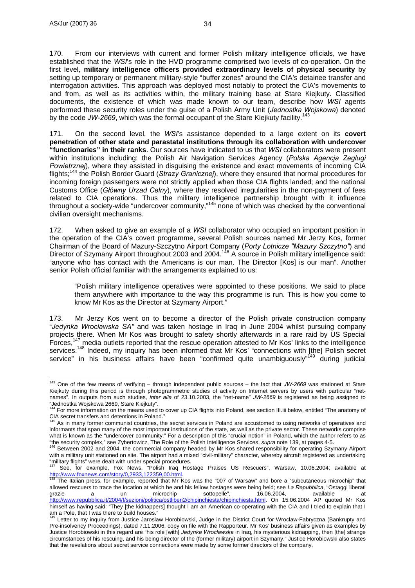$\overline{a}$ 

170. From our interviews with current and former Polish military intelligence officials, we have established that the *WSI*'s role in the HVD programme comprised two levels of co-operation. On the first level, **military intelligence officers provided extraordinary levels of physical security** by setting up temporary or permanent military-style "buffer zones" around the CIA's detainee transfer and interrogation activities. This approach was deployed most notably to protect the CIA's movements to and from, as well as its activities within, the military training base at Stare Kiejkuty. Classified documents, the existence of which was made known to our team, describe how *WSI* agents performed these security roles under the guise of a Polish Army Unit (*Jednostka Wojskowa*) denoted by the code JW-2669, which was the formal occupant of the Stare Kiejkuty facility.<sup>143</sup>

171. On the second level, the *WSI*'s assistance depended to a large extent on its **covert penetration of other state and parastatal institutions through its collaboration with undercover "functionaries" in their ranks**. Our sources have indicated to us that *WSI* collaborators were present within institutions including: the Polish Air Navigation Services Agency (*Polska Agencja Zeglugi Powietrznej*), where they assisted in disguising the existence and exact movements of incoming CIA flights;144 the Polish Border Guard (*Strazy Granicznej*), where they ensured that normal procedures for incoming foreign passengers were not strictly applied when those CIA flights landed; and the national Customs Office (*Główny Urzad Celny*), where they resolved irregularities in the non-payment of fees related to CIA operations. Thus the military intelligence partnership brought with it influence throughout a society-wide "undercover community."<sup>145</sup> none of which was checked by the conventional civilian oversight mechanisms.

172. When asked to give an example of a *WSI* collaborator who occupied an important position in the operation of the CIA's covert programme, several Polish sources named Mr Jerzy Kos, former Chairman of the Board of Mazury-Szczytno Airport Company (*Porty Lotnicze "Mazury Szczytno"*) and Director of Szymany Airport throughout 2003 and 2004.<sup>146</sup> A source in Polish military intelligence said: "anyone who has contact with the Americans is our man. The Director [Kos] is our man". Another senior Polish official familiar with the arrangements explained to us:

"Polish military intelligence operatives were appointed to these positions. We said to place them anywhere with importance to the way this programme is run. This is how you come to know Mr Kos as the Director at Szymany Airport."

173. Mr Jerzy Kos went on to become a director of the Polish private construction company "*Jedynka Wroclawska SA"* and was taken hostage in Iraq in June 2004 whilst pursuing company projects there. When Mr Kos was brought to safety shortly afterwards in a rare raid by US Special Forces.<sup>147</sup> media outlets reported that the rescue operation attested to Mr Kos' links to the intelligence  $\tilde{f}$  media outlets reported that the rescue operation attested to Mr Kos' links to the intelligence services.<sup>148</sup> Indeed, my inquiry has been informed that Mr Kos' "connections with [the] Polish secret service" in his business affairs have been "confirmed quite unambiguously"<sup>149</sup> during judicial

<sup>143</sup> One of the few means of verifying – through independent public sources – the fact that *JW-2669* was stationed at Stare Kiejkuty during this period is through photogrammetric studies of activity on Internet servers by users with particular "netnames". In outputs from such studies, *inter alia* of 23.10.2003, the "net-name" *JW-2669* is registered as being assigned to

<sup>&</sup>quot;Jednostka Wojskowa 2669, Stare Kiejkuty".<br><sup>144</sup> For more information on the means used to cover up CIA flights into Poland, see section III.iii below, entitled "The anatomy of CIA secret transfers and detentions in Poland."

As in many former communist countries, the secret services in Poland are accustomed to using networks of operatives and informants that span many of the most important institutions of the state, as well as the private sector. These networks comprise what is known as the "undercover community." For a description of this "crucial notion" in Poland, which the author refers to as "the security complex," see Zybertowicz, The Role of the Polish Intelligence Services, *supra* 

Between 2002 and 2004, the commercial company headed by Mr Kos shared responsibility for operating Szymany Airport with a military unit stationed on site. The airport had a mixed "civil-military" character, whereby aircraft registered as undertaking<br>"military flights" were dealt with under special procedures.<br> $\frac{147}{2}$ 

<sup>&</sup>quot;military flights" were dealt with under special procedures.<br><sup>147</sup> See, for example, Fox News, "Polish Iraq Hostage Praises US Rescuers", Warsaw, 10.06.2004; available at

<sup>&</sup>lt;u>http://www.foxnews.com/story/0,2933,122359,00.html</u>.<br><sup>148</sup> The Italian press, for example, reported that Mr Kos was the "007 of Warsaw" and bore a "subcutaneous microchip" that allowed rescuers to trace the location at which he and his fellow hostages were being held; see *La Repubblica*, "Ostaggi liberati grazie a un microchip sottopelle", 16.06.2004, available at http://www.repubblica.it/2004/f/sezioni/politica/ostliberi2/chipinchiesta/chipinchiesta.html. On 15.06.2004 AP quoted Mr Kos himself as having said: "They [the kidnappers] thought I am an American co-operating with the CIA and I tried to explain that I am a Pole, that I was there to build houses."

Letter to my inquiry from Justice Jaroslaw Horobiowski, Judge in the District Court for Wroclaw-Fabryczna (Bankrupty and Pre-insolvency Proceedings), dated 7.11.2006, copy on file with the Rapporteur. Mr Kos' business affairs given as examples by Justice Horobiowski in this regard are "his role [with] *Jedynka Wroclawska* in Iraq, his mysterious kidnapping, then [the] strange circumstances of his rescuing, and his being director of the (former military) airport in Szymany." Justice Horobiowski also states that the revelations about secret service connections were made by some former directors of the company.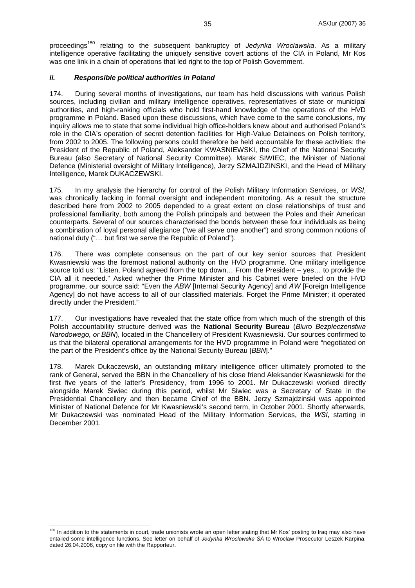proceedings150 relating to the subsequent bankruptcy of *Jedynka Wroclawska*. As a military intelligence operative facilitating the uniquely sensitive covert actions of the CIA in Poland, Mr Kos was one link in a chain of operations that led right to the top of Polish Government.

#### *ii. Responsible political authorities in Poland*

174. During several months of investigations, our team has held discussions with various Polish sources, including civilian and military intelligence operatives, representatives of state or municipal authorities, and high-ranking officials who hold first-hand knowledge of the operations of the HVD programme in Poland. Based upon these discussions, which have come to the same conclusions, my inquiry allows me to state that some individual high office-holders knew about and authorised Poland's role in the CIA's operation of secret detention facilities for High-Value Detainees on Polish territory, from 2002 to 2005. The following persons could therefore be held accountable for these activities: the President of the Republic of Poland, Aleksander KWASNIEWSKI, the Chief of the National Security Bureau (also Secretary of National Security Committee), Marek SIWIEC, the Minister of National Defence (Ministerial oversight of Military Intelligence), Jerzy SZMAJDZINSKI, and the Head of Military Intelligence, Marek DUKACZEWSKI.

175. In my analysis the hierarchy for control of the Polish Military Information Services, or *WSI*, was chronically lacking in formal oversight and independent monitoring. As a result the structure described here from 2002 to 2005 depended to a great extent on close relationships of trust and professional familiarity, both among the Polish principals and between the Poles and their American counterparts. Several of our sources characterised the bonds between these four individuals as being a combination of loyal personal allegiance ("we all serve one another") and strong common notions of national duty ("… but first we serve the Republic of Poland").

176. There was complete consensus on the part of our key senior sources that President Kwasniewski was the foremost national authority on the HVD programme. One military intelligence source told us: "Listen, Poland agreed from the top down… From the President – yes… to provide the CIA all it needed." Asked whether the Prime Minister and his Cabinet were briefed on the HVD programme, our source said: "Even the *ABW* [Internal Security Agency] and *AW* [Foreign Intelligence Agency] do not have access to all of our classified materials. Forget the Prime Minister: it operated directly under the President."

177. Our investigations have revealed that the state office from which much of the strength of this Polish accountability structure derived was the **National Security Bureau** (*Biuro Bezpieczenstwa Narodowego, or BBN*), located in the Chancellery of President Kwasniewski. Our sources confirmed to us that the bilateral operational arrangements for the HVD programme in Poland were "negotiated on the part of the President's office by the National Security Bureau [*BBN*]."

178. Marek Dukaczewski, an outstanding military intelligence officer ultimately promoted to the rank of General, served the BBN in the Chancellery of his close friend Aleksander Kwasniewski for the first five years of the latter's Presidency, from 1996 to 2001. Mr Dukaczewski worked directly alongside Marek Siwiec during this period, whilst Mr Siwiec was a Secretary of State in the Presidential Chancellery and then became Chief of the BBN. Jerzy Szmajdzinski was appointed Minister of National Defence for Mr Kwasniewski's second term, in October 2001. Shortly afterwards, Mr Dukaczewski was nominated Head of the Military Information Services, the *WSI*, starting in December 2001.

 $\overline{a}$ 

<sup>&</sup>lt;sup>150</sup> In addition to the statements in court, trade unionists wrote an open letter stating that Mr Kos' posting to Iraq may also have entailed some intelligence functions. See letter on behalf of *Jedynka Wroclawska SA* to Wroclaw Prosecutor Leszek Karpina, dated 26.04.2006, copy on file with the Rapporteur.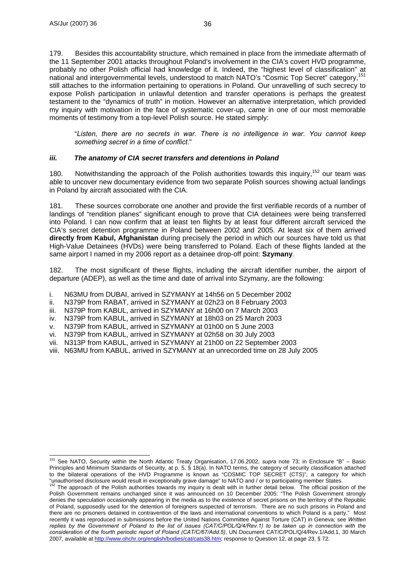$\overline{a}$ 

179. Besides this accountability structure, which remained in place from the immediate aftermath of the 11 September 2001 attacks throughout Poland's involvement in the CIA's covert HVD programme, probably no other Polish official had knowledge of it. Indeed, the "highest level of classification" at national and intergovernmental levels, understood to match NATO's "Cosmic Top Secret" category,<sup>1</sup> still attaches to the information pertaining to operations in Poland. Our unravelling of such secrecy to expose Polish participation in unlawful detention and transfer operations is perhaps the greatest testament to the "dynamics of truth" in motion. However an alternative interpretation, which provided my inquiry with motivation in the face of systematic cover-up, came in one of our most memorable moments of testimony from a top-level Polish source. He stated simply:

"*Listen, there are no secrets in war. There is no intelligence in war. You cannot keep something secret in a time of conflict*."

#### *iii. The anatomy of CIA secret transfers and detentions in Poland*

180. Notwithstanding the approach of the Polish authorities towards this inquiry,<sup>152</sup> our team was able to uncover new documentary evidence from two separate Polish sources showing actual landings in Poland by aircraft associated with the CIA.

181. These sources corroborate one another and provide the first verifiable records of a number of landings of "rendition planes" significant enough to prove that CIA detainees were being transferred into Poland. I can now confirm that at least ten flights by at least four different aircraft serviced the CIA's secret detention programme in Poland between 2002 and 2005. At least six of them arrived **directly from Kabul, Afghanistan** during precisely the period in which our sources have told us that High-Value Detainees (HVDs) were being transferred to Poland. Each of these flights landed at the same airport I named in my 2006 report as a detainee drop-off point: **Szymany**.

182. The most significant of these flights, including the aircraft identifier number, the airport of departure (ADEP), as well as the time and date of arrival into Szymany, are the following:

- i. N63MU from DUBAI, arrived in SZYMANY at 14h56 on 5 December 2002
- ii. N379P from RABAT, arrived in SZYMANY at 02h23 on 8 February 2003
- iii. N379P from KABUL, arrived in SZYMANY at 16h00 on 7 March 2003
- iv. N379P from KABUL, arrived in SZYMANY at 18h03 on 25 March 2003
- v. N379P from KABUL, arrived in SZYMANY at 01h00 on 5 June 2003
- vi. N379P from KABUL, arrived in SZYMANY at 02h58 on 30 July 2003
- vii. N313P from KABUL, arrived in SZYMANY at 21h00 on 22 September 2003
- viii. N63MU from KABUL, arrived in SZYMANY at an unrecorded time on 28 July 2005

<sup>151</sup> See NATO, Security within the North Atlantic Treaty Organisation, 17.06.2002, *supra* note 73; in Enclosure "B" – Basic Principles and Minimum Standards of Security, at p. 5, § 18(a). In NATO terms, the category of security classification attached to the bilateral operations of the HVD Programme is known as "COSMIC TOP SECRET (CTS)", a category for which "unauthorised disclosure would result in exceptionally grave damage" to NATO and / or to participating member Sta

<sup>&</sup>lt;sup>152</sup> The approach of the Polish authorities towards my inquiry is dealt with in further detail below. The official position of the Polish Government remains unchanged since it was announced on 10 December 2005: "The Polish Government strongly denies the speculation occasionally appearing in the media as to the existence of secret prisons on the territory of the Republic of Poland, supposedly used for the detention of foreigners suspected of terrorism. There are no such prisons in Poland and there are no prisoners detained in contravention of the laws and international conventions to which Poland is a party." Most recently it was reproduced in submissions before the United Nations Committee Against Torture (CAT) in Geneva; see *Written*  replies by the Government of Poland to the list of issues (CAT/C/POL/Q/4/Rev.1) to be taken up in connection with the *consideration of the fourth periodic report of Poland (CAT/C/67/Add.5)*, UN Document CAT/C/POL/Q/4/Rev.1/Add.1, 30 March 2007, available at http://www.ohchr.org/english/bodies/cat/cats38.htm; response to Question 12, at page 23, § 72.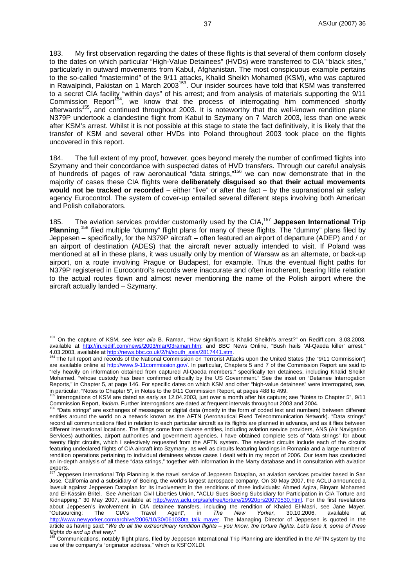183. My first observation regarding the dates of these flights is that several of them conform closely to the dates on which particular "High-Value Detainees" (HVDs) were transferred to CIA "black sites," particularly in outward movements from Kabul, Afghanistan. The most conspicuous example pertains to the so-called "mastermind" of the 9/11 attacks, Khalid Sheikh Mohamed (KSM), who was captured in Rawalpindi, Pakistan on 1 March 2003153. Our insider sources have told that KSM was transferred to a secret CIA facility "within days" of his arrest; and from analysis of materials supporting the 9/11 Commission Report<sup>154</sup>, we know that the process of interrogating him commenced shortly afterwards<sup>155</sup>, and continued throughout 2003. It is noteworthy that the well-known rendition plane N379P undertook a clandestine flight from Kabul to Szymany on 7 March 2003, less than one week after KSM's arrest. Whilst it is not possible at this stage to state the fact definitively, it is likely that the transfer of KSM and several other HVDs into Poland throughout 2003 took place on the flights uncovered in this report.

184. The full extent of my proof, however, goes beyond merely the number of confirmed flights into Szymany and their concordance with suspected dates of HVD transfers. Through our careful analysis of hundreds of pages of raw aeronautical "data strings,"156 we can now demonstrate that in the majority of cases these CIA flights were **deliberately disguised so that their actual movements would not be tracked or recorded** – either "live" or after the fact – by the supranational air safety agency Eurocontrol. The system of cover-up entailed several different steps involving both American and Polish collaborators.

185. The aviation services provider customarily used by the CIA,<sup>157</sup> Jeppesen International Trip **Planning**, 158 filed multiple "dummy" flight plans for many of these flights. The "dummy" plans filed by Jeppesen – specifically, for the N379P aircraft – often featured an airport of departure (ADEP) and / or an airport of destination (ADES) that the aircraft never actually intended to visit. If Poland was mentioned at all in these plans, it was usually only by mention of Warsaw as an alternate, or back-up airport, on a route involving Prague or Budapest, for example. Thus the eventual flight paths for N379P registered in Eurocontrol's records were inaccurate and often incoherent, bearing little relation to the actual routes flown and almost never mentioning the name of the Polish airport where the aircraft actually landed – Szymany.

 $\overline{a}$ 

<sup>153</sup> On the capture of KSM, see *inter alia* B. Raman, "How significant is Khalid Sheikh's arrest?" on Rediff.com, 3.03.2003, available at http://in.rediff.com/news/2003/mar/03raman.htm; and BBC News Online, "Bush hails 'Al-Qaeda killer' arrest," 4.03.2003, available at http://news.bbc.co.uk/2/hi/south\_asia/2817441.stm. 154 The full report and records of the National Commission on Terrorist Attacks upon the United States (the "9/11 Commission")

are available online at http://www.9-11commission.gov/. In particular, Chapters 5 and 7 of the Commission Report are said to "rely heavily on information obtained from captured Al-Qaeda members;" specifically ten detainees, including Khalid Sheikh Mohamed, "whose custody has been confirmed officially by the US Government." See the inset on "Detainee Interrogation Reports," in Chapter 5, at page 146. For specific dates on which KSM and other "high-value detainees" were interrogated, see, in particular, "Notes to Chapter 5", in Notes to the 9/11 Commission Report, at pages 488 to 499.

<sup>155</sup> Interrogations of KSM are dated as early as 12.04.2003, just over a month after his capture; see "Notes to Chapter 5", 9/11 Commission Report, *ibidem*. Further interrogations are dated at frequent intervals throughout 2003 and 2004.<br><sup>156</sup> "Data strings" are exchanges of messages or digital data (mostly in the form of coded text and numbers) be

entities around the world on a network known as the AFTN (Aeronautical Fixed Telecommunication Network). "Data strings" record all communications filed in relation to each particular aircraft as its flights are planned in advance, and as it flies between different international locations. The filings come from diverse entities, including aviation service providers, ANS (Air Navigation Services) authorities, airport authorities and government agencies. I have obtained complete sets of "data strings" for about twenty flight circuits, which I selectively requested from the AFTN system. The selected circuits include each of the circuits featuring undeclared flights of CIA aircraft into Szymany, as well as circuits featuring landings in Romania and a large number of rendition operations pertaining to individual detainees whose cases I dealt with in my report of 2006. Our team has conducted an in-depth analysis of all these "data strings," together with information in the Marty database and in consultation with aviation experts.

Jeppesen International Trip Planning is the travel service of Jeppesen Dataplan, an aviation services provider based in San Jose, California and a subsidiary of Boeing, the world's largest aerospace company. On 30 May 2007, the ACLU announced a lawsuit against Jeppesen Dataplan for its involvement in the renditions of three individuals: Ahmed Agiza, Binyam Mohamed and El-Kassim Britel. See American Civil Liberties Union, "ACLU Sues Boeing Subsidiary for Participation in CIA Torture and Kidnapping," 30 May 2007, available at http://www.aclu.org/safefree/torture/29920prs20070530.html. For the first revelations about Jeppesen's involvement in CIA detainee transfers, including the rendition of Khaled El-Masri, see Jane Mayer, "Outsourcing: The CIA's Travel Agent", in *The New Yorker*, 30.10.2006, available at http://www.newyorker.com/archive/2006/10/30/061030ta\_talk\_mayer. The Managing Director of Jeppesen is quoted in the article as having said: "*We do all the extraordinary rendition flights – you know, the torture flights. Let's face it, some of these* 

*flights do end up that way.*"<br><sup>158</sup> Communications, notably flight plans, filed by Jeppesen International Trip Planning are identified in the AFTN system by the use of the company's "originator address," which is KSFOXLDI.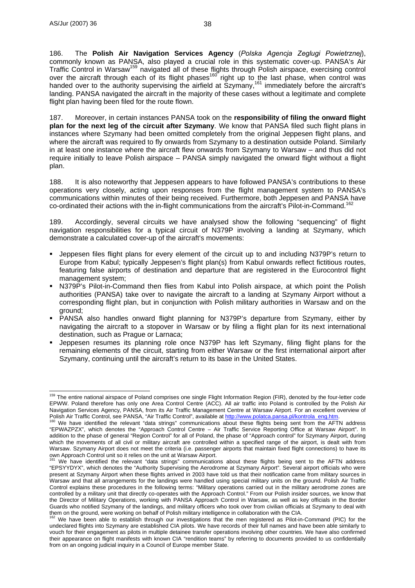186. The **Polish Air Navigation Services Agency** (*Polska Agencja Zeglugi Powietrznej*), commonly known as PANSA, also played a crucial role in this systematic cover-up. PANSA's Air Traffic Control in Warsaw<sup>159</sup> navigated all of these flights through Polish airspace, exercising control over the aircraft through each of its flight phases<sup>160</sup> right up to the last phase, when control was handed over to the authority supervising the airfield at Szymany,<sup>161</sup> immediately before the aircraft's landing. PANSA navigated the aircraft in the majority of these cases without a legitimate and complete flight plan having been filed for the route flown.

187. Moreover, in certain instances PANSA took on the **responsibility of filing the onward flight plan for the next leg of the circuit after Szymany**. We know that PANSA filed such flight plans in instances where Szymany had been omitted completely from the original Jeppesen flight plans, and where the aircraft was required to fly onwards from Szymany to a destination outside Poland. Similarly in at least one instance where the aircraft flew onwards from Szymany to Warsaw – and thus did not require initially to leave Polish airspace – PANSA simply navigated the onward flight without a flight plan.

188. It is also noteworthy that Jeppesen appears to have followed PANSA's contributions to these operations very closely, acting upon responses from the flight management system to PANSA's communications within minutes of their being received. Furthermore, both Jeppesen and PANSA have co-ordinated their actions with the in-flight communications from the aircraft's Pilot-in-Command.<sup>162</sup>

189. Accordingly, several circuits we have analysed show the following "sequencing" of flight navigation responsibilities for a typical circuit of N379P involving a landing at Szymany, which demonstrate a calculated cover-up of the aircraft's movements:

- Jeppesen files flight plans for every element of the circuit up to and including N379P's return to Europe from Kabul; typically Jeppesen's flight plan(s) from Kabul onwards reflect fictitious routes, featuring false airports of destination and departure that are registered in the Eurocontrol flight management system;
- N379P's Pilot-in-Command then flies from Kabul into Polish airspace, at which point the Polish authorities (PANSA) take over to navigate the aircraft to a landing at Szymany Airport without a corresponding flight plan, but in conjunction with Polish military authorities in Warsaw and on the ground;
- PANSA also handles onward flight planning for N379P's departure from Szymany, either by navigating the aircraft to a stopover in Warsaw or by filing a flight plan for its next international destination, such as Prague or Larnaca;
- Jeppesen resumes its planning role once N379P has left Szymany, filing flight plans for the remaining elements of the circuit, starting from either Warsaw or the first international airport after Szymany, continuing until the aircraft's return to its base in the United States.

 $\overline{a}$ <sup>159</sup> The entire national airspace of Poland comprises one single Flight Information Region (FIR), denoted by the four-letter code EPWW. Poland therefore has only one Area Control Centre (ACC). All air traffic into Poland is controlled by the Polish Air Navigation Services Agency, PANSA, from its Air Traffic Management Centre at Warsaw Airport. For an excellent overview of Polish Air Traffic Control, see PANSA, "Air Traffic Control", available at http://www.polatca.pansa.pl/kontrola\_eng.htm.<br><sup>160</sup> We have identified the relevant "data strings" communications about these flights being sent fr

<sup>&</sup>quot;EPWAZPZX", which denotes the "Approach Control Centre – Air Traffic Service Reporting Office at Warsaw Airport". In addition to the phase of general "Region Control" for all of Poland, the phase of "Approach control" for Szymany Airport, during which the movements of all civil or military aircraft are controlled within a specified range of the airport, is dealt with from Warsaw. Szymany Airport does not meet the criteria (i.e. passenger airports that maintain fixed flight connections) to have its own Approach Control unit so it relies on the unit at Warsaw Airport.<br><sup>161</sup> We have identified the relevant "data strings" communications about these flights being sent to the AFTN address

<sup>&</sup>quot;EPSYYDYX", which denotes the "Authority Supervising the Aerodrome at Szymany Airport". Several airport officials who were present at Szymany Airport when these flights arrived in 2003 have told us that their notification came from military sources in Warsaw and that all arrangements for the landings were handled using special military units on the ground. Polish Air Traffic Control explains these procedures in the following terms: "Military operations carried out in the military aerodrome zones are controlled by a military unit that directly co-operates with the Approach Control." From our Polish insider sources, we know that the Director of Military Operations, working with PANSA Approach Control in Warsaw, as well as key officials in the Border Guards who notified Szymany of the landings, and military officers who took over from civilian officials at Szymany to deal with the m on the ground, were working on behalf of Polish military intelligence in collaboration

We have been able to establish through our investigations that the men registered as Pilot-in-Command (PIC) for the undeclared flights into Szymany are established CIA pilots. We have records of their full names and have been able similarly to vouch for their engagement as pilots in multiple detainee transfer operations involving other countries. We have also confirmed their appearance on flight manifests with known CIA "rendition teams" by referring to documents provided to us confidentially from on an ongoing judicial inquiry in a Council of Europe member State.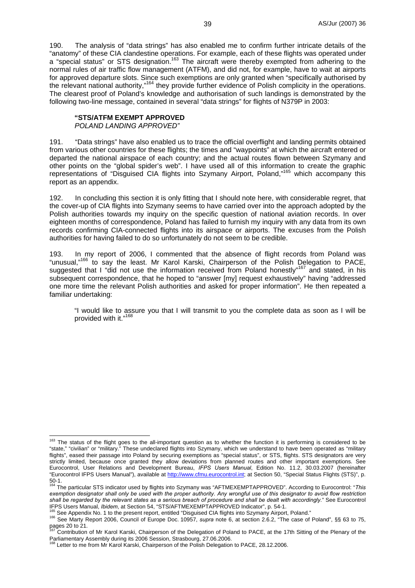190. The analysis of "data strings" has also enabled me to confirm further intricate details of the "anatomy" of these CIA clandestine operations. For example, each of these flights was operated under a "special status" or STS designation.<sup>163</sup> The aircraft were thereby exempted from adhering to the normal rules of air traffic flow management (ATFM), and did not, for example, have to wait at airports for approved departure slots. Since such exemptions are only granted when "specifically authorised by the relevant national authority,"164 they provide further evidence of Polish complicity in the operations. The clearest proof of Poland's knowledge and authorisation of such landings is demonstrated by the following two-line message, contained in several "data strings" for flights of N379P in 2003:

#### **"STS/ATFM EXEMPT APPROVED**

*POLAND LANDING APPROVED"* 

191. "Data strings" have also enabled us to trace the official overflight and landing permits obtained from various other countries for these flights; the times and "waypoints" at which the aircraft entered or departed the national airspace of each country; and the actual routes flown between Szymany and other points on the "global spider's web". I have used all of this information to create the graphic representations of "Disguised CIA flights into Szymany Airport, Poland,"165 which accompany this report as an appendix.

192. In concluding this section it is only fitting that I should note here, with considerable regret, that the cover-up of CIA flights into Szymany seems to have carried over into the approach adopted by the Polish authorities towards my inquiry on the specific question of national aviation records. In over eighteen months of correspondence, Poland has failed to furnish my inquiry with any data from its own records confirming CIA-connected flights into its airspace or airports. The excuses from the Polish authorities for having failed to do so unfortunately do not seem to be credible.

193. In my report of 2006, I commented that the absence of flight records from Poland was "unusual,"166 to say the least. Mr Karol Karski, Chairperson of the Polish Delegation to PACE, suggested that I "did not use the information received from Poland honestly"<sup>167</sup> and stated, in his subsequent correspondence, that he hoped to "answer [my] request exhaustively" having "addressed one more time the relevant Polish authorities and asked for proper information". He then repeated a familiar undertaking:

"I would like to assure you that I will transmit to you the complete data as soon as I will be provided with it."<sup>168</sup>

 $\overline{a}$ <sup>163</sup> The status of the flight goes to the all-important question as to whether the function it is performing is considered to be "state," "civilian" or "military." These undeclared flights into Szymany, which we understand to have been operated as "military flights", eased their passage into Poland by securing exemptions as "special status", or STS, flights. STS designators are very strictly limited, because once granted they allow deviations from planned routes and other important exemptions. See Eurocontrol, User Relations and Development Bureau, *IFPS Users Manual*, Edition No. 11.2, 30.03.2007 (hereinafter "Eurocontrol IFPS Users Manual"), available at http://www.cfmu.eurocontrol.int; at Section 50, "Special Status Flights (STS)", p.

<sup>50-1.</sup>  164 The particular STS indicator used by flights into Szymany was "AFTMEXEMPTAPPROVED". According to Eurocontrol: "*This exemption designator shall only be used with the proper authority. Any wrongful use of this designator to avoid flow restriction shall be regarded by the relevant states as a serious breach of procedure and shall be dealt with accordingly.*" See Eurocontrol

<sup>&</sup>lt;sup>166</sup> See Appendix No. 1 to the present report, entitled "Disguised CIA flights into Szymany Airport, Poland."<br><sup>166</sup> See Marty Report 2006, Council of Europe Doc. 10957, *supra* note 6, at section 2.6.2, "The case of Polan

pages 20 to 21.<br><sup>167</sup> Contribution of Mr Karol Karski, Chairperson of the Delegation of Poland to PACE, at the 17th Sitting of the Plenary of the Parliamentary Assembly during its 2006 Session, Strasbourg, 27.06.2006.

Letter to me from Mr Karol Karski, Chairperson of the Polish Delegation to PACE, 28.12.2006.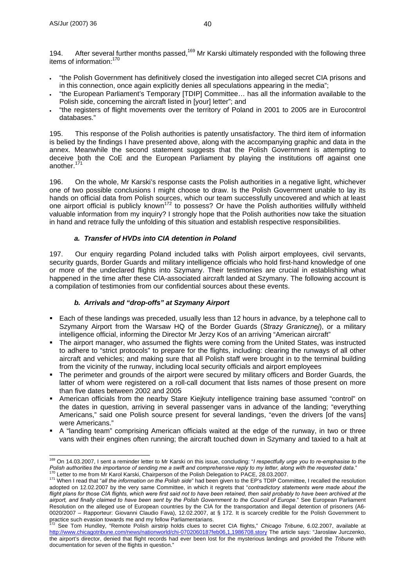194. After several further months passed,<sup>169</sup> Mr Karski ultimately responded with the following three items of information:170

- "the Polish Government has definitively closed the investigation into alleged secret CIA prisons and in this connection, once again explicitly denies all speculations appearing in the media";
- "the European Parliament's Temporary [TDIP] Committee… has all the information available to the Polish side, concerning the aircraft listed in [your] letter"; and
- "the registers of flight movements over the territory of Poland in 2001 to 2005 are in Eurocontrol databases."

195. This response of the Polish authorities is patently unsatisfactory. The third item of information is belied by the findings I have presented above, along with the accompanying graphic and data in the annex. Meanwhile the second statement suggests that the Polish Government is attempting to deceive both the CoE and the European Parliament by playing the institutions off against one another.<sup>171</sup>

196. On the whole, Mr Karski's response casts the Polish authorities in a negative light, whichever one of two possible conclusions I might choose to draw. Is the Polish Government unable to lay its hands on official data from Polish sources, which our team successfully uncovered and which at least one airport official is publicly known172 to possess? Or have the Polish authorities willfully withheld valuable information from my inquiry? I strongly hope that the Polish authorities now take the situation in hand and retrace fully the unfolding of this situation and establish respective responsibilities.

## *a. Transfer of HVDs into CIA detention in Poland*

197. Our enquiry regarding Poland included talks with Polish airport employees, civil servants, security guards, Border Guards and military intelligence officials who hold first-hand knowledge of one or more of the undeclared flights into Szymany. Their testimonies are crucial in establishing what happened in the time after these CIA-associated aircraft landed at Szymany. The following account is a compilation of testimonies from our confidential sources about these events.

# *b. Arrivals and "drop-offs" at Szymany Airport*

- Each of these landings was preceded, usually less than 12 hours in advance, by a telephone call to Szymany Airport from the Warsaw HQ of the Border Guards (*Strazy Granicznej*), or a military intelligence official, informing the Director Mr Jerzy Kos of an arriving "American aircraft"
- The airport manager, who assumed the flights were coming from the United States, was instructed to adhere to "strict protocols" to prepare for the flights, including: clearing the runways of all other aircraft and vehicles; and making sure that all Polish staff were brought in to the terminal building from the vicinity of the runway, including local security officials and airport employees
- The perimeter and grounds of the airport were secured by military officers and Border Guards, the latter of whom were registered on a roll-call document that lists names of those present on more than five dates between 2002 and 2005
- American officials from the nearby Stare Kiejkuty intelligence training base assumed "control" on the dates in question, arriving in several passenger vans in advance of the landing; "everything Americans," said one Polish source present for several landings, "even the drivers [of the vans] were Americans."
- A "landing team" comprising American officials waited at the edge of the runway, in two or three vans with their engines often running; the aircraft touched down in Szymany and taxied to a halt at

 $\overline{a}$ 169 On 14.03.2007, I sent a reminder letter to Mr Karski on this issue, concluding: "*I respectfully urge you to re-emphasise to the*  Polish authorities the importance of sending me a swift and comprehensive reply to my letter, along with the requested data."<br><sup>170</sup> Letter to me from Mr Karol Karski, Chairperson of the Polish Delegation to PACE, 28.03.200

adopted on 12.02.2007 by the very same Committee, in which it regrets that "*contradictory statements were made about the*  flight plans for those CIA flights, which were first said not to have been retained, then said probably to have been archived at the *airport, and finally claimed to have been sent by the Polish Government to the Council of Europe*." See European Parliament Resolution on the alleged use of European countries by the CIA for the transportation and illegal detention of prisoners (A6- 0020/2007 – Rapporteur: Giovanni Claudio Fava), 12.02.2007, at § 172. It is scarcely credible for the Polish Government to practice such evasion towards me and my fellow Parliamentarians.

See Tom Hundley, "Remote Polish airstrip holds clues to secret CIA flights," Chicago Tribune, 6.02.2007, available at http://www.chicagotribune.com/news/nationworld/chi-0702060187feb06,1,1986708.story The article says: "Jaroslaw Jurczenko, the airport's director, denied that flight records had ever been lost for the mysterious landings and provided the *Tribune* with documentation for seven of the flights in question."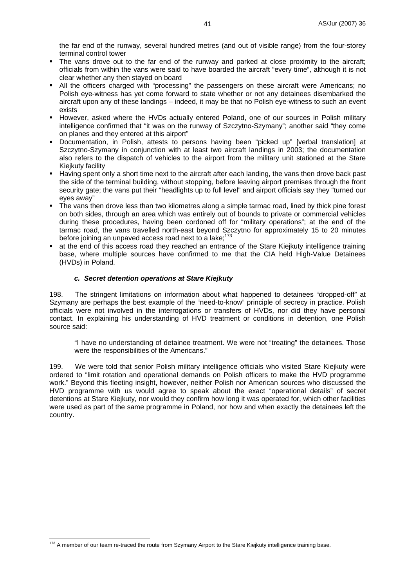the far end of the runway, several hundred metres (and out of visible range) from the four-storey terminal control tower

- The vans drove out to the far end of the runway and parked at close proximity to the aircraft; officials from within the vans were said to have boarded the aircraft "every time", although it is not clear whether any then stayed on board
- All the officers charged with "processing" the passengers on these aircraft were Americans; no Polish eye-witness has yet come forward to state whether or not any detainees disembarked the aircraft upon any of these landings – indeed, it may be that no Polish eye-witness to such an event exists
- However, asked where the HVDs actually entered Poland, one of our sources in Polish military intelligence confirmed that "it was on the runway of Szczytno-Szymany"; another said "they come on planes and they entered at this airport"
- Documentation, in Polish, attests to persons having been "picked up" [verbal translation] at Szczytno-Szymany in conjunction with at least two aircraft landings in 2003; the documentation also refers to the dispatch of vehicles to the airport from the military unit stationed at the Stare Kiejkuty facility
- **Having spent only a short time next to the aircraft after each landing, the vans then drove back past** the side of the terminal building, without stopping, before leaving airport premises through the front security gate; the vans put their "headlights up to full level" and airport officials say they "turned our eyes away"
- The vans then drove less than two kilometres along a simple tarmac road, lined by thick pine forest on both sides, through an area which was entirely out of bounds to private or commercial vehicles during these procedures, having been cordoned off for "military operations"; at the end of the tarmac road, the vans travelled north-east beyond Szczytno for approximately 15 to 20 minutes before joining an unpaved access road next to a lake; $^{173}$
- at the end of this access road they reached an entrance of the Stare Kiejkuty intelligence training base, where multiple sources have confirmed to me that the CIA held High-Value Detainees (HVDs) in Poland.

## *c. Secret detention operations at Stare Kiejkuty*

198. The stringent limitations on information about what happened to detainees "dropped-off" at Szymany are perhaps the best example of the "need-to-know" principle of secrecy in practice. Polish officials were not involved in the interrogations or transfers of HVDs, nor did they have personal contact. In explaining his understanding of HVD treatment or conditions in detention, one Polish source said:

"I have no understanding of detainee treatment. We were not "treating" the detainees. Those were the responsibilities of the Americans."

199. We were told that senior Polish military intelligence officials who visited Stare Kiejkuty were ordered to "limit rotation and operational demands on Polish officers to make the HVD programme work." Beyond this fleeting insight, however, neither Polish nor American sources who discussed the HVD programme with us would agree to speak about the exact "operational details" of secret detentions at Stare Kiejkuty, nor would they confirm how long it was operated for, which other facilities were used as part of the same programme in Poland, nor how and when exactly the detainees left the country.

 $\overline{a}$ 

<sup>&</sup>lt;sup>173</sup> A member of our team re-traced the route from Szymany Airport to the Stare Kiejkuty intelligence training base.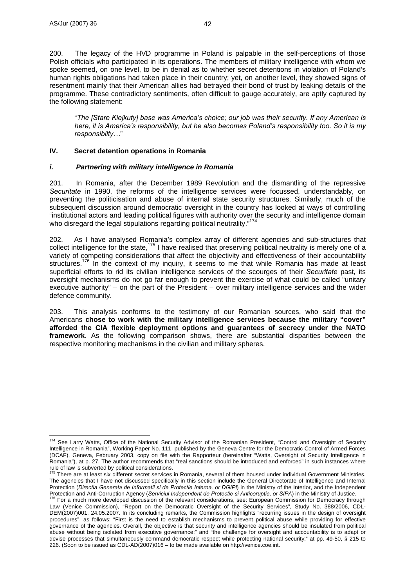200. The legacy of the HVD programme in Poland is palpable in the self-perceptions of those Polish officials who participated in its operations. The members of military intelligence with whom we spoke seemed, on one level, to be in denial as to whether secret detentions in violation of Poland's human rights obligations had taken place in their country; yet, on another level, they showed signs of resentment mainly that their American allies had betrayed their bond of trust by leaking details of the programme. These contradictory sentiments, often difficult to gauge accurately, are aptly captured by the following statement:

"*The [Stare Kiejkuty] base was America's choice; our job was their security. If any American is here, it is America's responsibility, but he also becomes Poland's responsibility too. So it is my responsibilty…*"

## **IV. Secret detention operations in Romania**

## *i. Partnering with military intelligence in Romania*

201. In Romania, after the December 1989 Revolution and the dismantling of the repressive *Securitate* in 1990, the reforms of the intelligence services were focussed, understandably, on preventing the politicisation and abuse of internal state security structures. Similarly, much of the subsequent discussion around democratic oversight in the country has looked at ways of controlling "institutional actors and leading political figures with authority over the security and intelligence domain who disregard the legal stipulations regarding political neutrality."<sup>174</sup>

202. As I have analysed Romania's complex array of different agencies and sub-structures that collect intelligence for the state,<sup>175</sup> I have realised that preserving political neutrality is merely one of a variety of competing considerations that affect the objectivity and effectiveness of their accountability structures.<sup>176</sup> In the context of my inquiry, it seems to me that while Romania has made at least superficial efforts to rid its civilian intelligence services of the scourges of their *Securitate* past, its oversight mechanisms do not go far enough to prevent the exercise of what could be called "unitary executive authority" – on the part of the President – over military intelligence services and the wider defence community.

203. This analysis conforms to the testimony of our Romanian sources, who said that the Americans **chose to work with the military intelligence services because the military "cover" afforded the CIA flexible deployment options and guarantees of secrecy under the NATO framework**. As the following comparison shows, there are substantial disparities between the respective monitoring mechanisms in the civilian and military spheres.

 $\overline{a}$ <sup>174</sup> See Larry Watts, Office of the National Security Advisor of the Romanian President, "Control and Oversight of Security Intelligence in Romania", Working Paper No. 111, published by the Geneva Centre for the Democratic Control of Armed Forces (DCAF), Geneva, February 2003, copy on file with the Rapporteur (hereinafter "Watts, Oversight of Security Intelligence in Romania"), at p. 27. The author recommends that "real sanctions should be introduced and enforced" in such instances where rule of law is subverted by political considerations.<br><sup>175</sup> There are at least six different secret services in Romania, several of them housed under individual Government Ministries.

The agencies that I have not discussed specifically in this section include the General Directorate of Intelligence and Internal Protection (*Directia Generala de Informatii si de Protectie Interna, or DGIPI*) in the Ministry of the Interior, and the Independent Protection and Anti-Corruption Agency (Serviciul Independent de Protectie si Anticorruptie, or SIPA) in the Ministry of Justice.<br><sup>176</sup> For a much more developed discussion of the relevant considerations, see: European Comm

Law (Venice Commission), "Report on the Democratic Oversight of the Security Services", Study No. 388/2006, CDL-DEM(2007)001, 24.05.2007. In its concluding remarks, the Commission highlights "recurring issues in the design of oversight procedures", as follows: "First is the need to establish mechanisms to prevent political abuse while providing for effective governance of the agencies. Overall, the objective is that security and intelligence agencies should be insulated from political abuse without being isolated from executive governance;" and "the challenge for oversight and accountability is to adapt or devise processes that simultaneously command democratic respect while protecting national security;" at pp. 49-50, § 215 to 226. (Soon to be issued as CDL-AD(2007)016 – to be made available on http://venice.coe.int.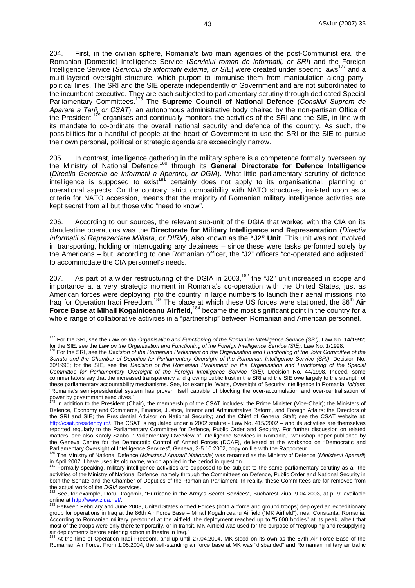204. First, in the civilian sphere, Romania's two main agencies of the post-Communist era, the Romanian [Domestic] Intelligence Service (*Serviciul roman de informatii, or SRI*) and the Foreign Intelligence Service (*Serviciul de informatii externe, or SIE*) were created under specific laws177 and a multi-layered oversight structure, which purport to immunise them from manipulation along partypolitical lines. The SRI and the SIE operate independently of Government and are not subordinated to the incumbent executive. They are each subjected to parliamentary scrutiny through dedicated Special Parliamentary Committees.178 The **Supreme Council of National Defence** (*Consiliul Suprem de Aparare a Tarii, or CSAT*), an autonomous administrative body chaired by the non-partisan Office of  $t_1$ ,  $\mu$  and  $\mu$  or  $\mu$  and  $\mu$  organises and continually monitors the activities of the SRI and the SIE, in line with the President,  $t_{12}$  organises and continually monitors the activities of the SRI and the SIE, its mandate to co-ordinate the overall national security and defence of the country. As such, the possibilities for a handful of people at the heart of Government to use the SRI or the SIE to pursue their own personal, political or strategic agenda are exceedingly narrow.

205. In contrast, intelligence gathering in the military sphere is a competence formally overseen by the Ministry of National Defence,180 through its **General Directorate for Defence Intelligence** (*Directia Generala de Informatii a Apararei, or DGIA*). What little parliamentary scrutiny of defence  $int$ intelligence is supposed to exist<sup>181</sup> certainly does not apply to its organisational, planning or operational aspects. On the contrary, strict compatibility with NATO structures, insisted upon as a criteria for NATO accession, means that the majority of Romanian military intelligence activities are kept secret from all but those who "need to know".

206. According to our sources, the relevant sub-unit of the DGIA that worked with the CIA on its clandestine operations was the **Directorate for Military Intelligence and Representation** (*Directia Informatii si Reprezentare Militara, or DIRM*), also known as the **"J2" Unit**. This unit was not involved in transporting, holding or interrogating any detainees – since these were tasks performed solely by the Americans – but, according to one Romanian officer, the "J2" officers "co-operated and adjusted" to accommodate the CIA personnel's needs.

207. As part of a wider restructuring of the DGIA in 2003,<sup>182</sup> the "J2" unit increased in scope and importance at a very strategic moment in Romania's co-operation with the United States, just as American forces were deploying into the country in large numbers to launch their aerial missions into Iraq for Operation Iraqi Freedom.<sup>183</sup> The place at which these US forces were stationed, the 86<sup>th</sup> Air Force Base at Mihail Kogalniceanu Airfield,<sup>184</sup> became the most significant point in the country for a whole range of collaborative activities in a "partnership" between Romanian and American personnel.

 $\overline{a}$ 

<sup>177</sup> For the SRI, see the *Law on the Organisation and Functioning of the Romanian Intelligence Service (SRI)*, Law No. 14/1992; for the SIE, see the Law on the Organisation and Functioning of the Foreign Intelligence Service (SIE), Law No. 1/1998.<br><sup>178</sup> For the SRI, see the Decision of the Romanian Parliament on the Organisation and Functioning of

*Senate and the Chamber of Deputies for Parliamentary Oversight of the Romanian Intelligence Service (SRI)*, Decision No. 30/1993; for the SIE, see the *Decision of the Romanian Parliament on the Organisation and Functioning of the Special Committee for Parliamentary Oversight of the Foreign Intelligence Service (SIE)*, Decision No. 44/1998. Indeed, some commentators say that the increased transparency and growing public trust in the SRI and the SIE owe largely to the strength of these parliamentary accountability mechanisms. See, for example, Watts, Oversight of Security Intelligence in Romania, *Ibidem*: "Romania's semi-presidential system has proven itself capable of blocking the over-accumulation and over-centralisation of power by government executives."

In addition to the President (Chair), the membership of the CSAT includes: the Prime Minister (Vice-Chair); the Ministers of Defence, Economy and Commerce, Finance, Justice, Interior and Administrative Reform, and Foreign Affairs; the Directors of the SRI and SIE; the Presidential Advisor on National Security; and the Chief of General Staff; see the CSAT website at: http://csat.presidency.ro/. The CSAT is regulated under a 2002 statute - Law No. 415/2002 - and its activities are themselves reported regularly to the Parliamentary Committee for Defence, Public Order and Security. For further discussion on related matters, see also Karoly Szabo, "Parliamentary Overview of Intelligence Services in Romania," workshop paper published by the Geneva Centre for the Democratic Control of Armed Forces (DCAF), delivered at the workshop on "Democratic and<br>Parliamentary Oversight of Intelligence Services", Geneva, 3-5.10.2002, copy on file with the Rapporteur.

The Ministry of National Defence (Ministerul Apararii Nationale) was renamed as the Ministry of Defence (Ministerul Apararii) in April 2007. I have used its old name, which applied in the period in question.

<sup>181</sup> Formally speaking, military intelligence activities are supposed to be subject to the same parliamentary scrutiny as all the activities of the Ministry of National Defence, namely through the Committees on Defence, Public Order and National Security in both the Senate and the Chamber of Deputies of the Romanian Parliament. In reality, these Committees are far removed from<br>the actual work of the *DGIA* services.<br><sup>182</sup> See far removed Deputies Presential Universe is the Ar

See, for example, Doru Dragomir, "Hurricane in the Army's Secret Services", Bucharest Ziua, 9.04.2003, at p. 9; available

online at http://www.ziua.net/.<br><sup>183</sup> Between February and June 2003, United States Armed Forces (both airforce and ground troops) deployed an expeditionary group for operations in Iraq at the 86th Air Force Base – Mihail Kogalniceanu Airfield ("MK Airfield"), near Constanta, Romania. According to Romanian military personnel at the airfield, the deployment reached up to "5,000 bodies" at its peak, albeit that most of the troops were only there temporarily, or in transit. MK Airfield was used for the purpose of "regrouping and resupplying air deployments before entering action in theatre in Iraq."<br><sup>184</sup>. At the time of Operation Iraq: Freedom, and up until

At the time of Operation Iraqi Freedom, and up until 27.04.2004, MK stood on its own as the 57th Air Force Base of the Romanian Air Force. From 1.05.2004, the self-standing air force base at MK was "disbanded" and Romanian military air traffic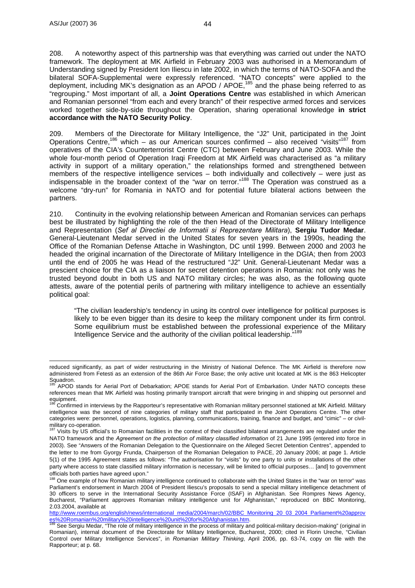208. A noteworthy aspect of this partnership was that everything was carried out under the NATO framework. The deployment at MK Airfield in February 2003 was authorised in a Memorandum of Understanding signed by President Ion Iliescu in late 2002, in which the terms of NATO-SOFA and the bilateral SOFA-Supplemental were expressly referenced. "NATO concepts" were applied to the deployment, including MK's designation as an APOD / APOE,<sup>185</sup> and the phase being referred to as "regrouping." Most important of all, a **Joint Operations Centre** was established in which American and Romanian personnel "from each and every branch" of their respective armed forces and services worked together side-by-side throughout the Operation, sharing operational knowledge **in strict accordance with the NATO Security Policy**.

209. Members of the Directorate for Military Intelligence, the "J2" Unit, participated in the Joint Operations Centre,<sup>186</sup> which – as our American sources confirmed – also received "visits"<sup>187</sup> from operatives of the CIA's Counterterrorist Centre (CTC) between February and June 2003. While the whole four-month period of Operation Iraqi Freedom at MK Airfield was characterised as "a military activity in support of a military operation," the relationships formed and strengthened between members of the respective intelligence services – both individually and collectively – were just as indispensable in the broader context of the "war on terror."188 The Operation was construed as a welcome "dry-run" for Romania in NATO and for potential future bilateral actions between the partners.

210. Continuity in the evolving relationship between American and Romanian services can perhaps best be illustrated by highlighting the role of the then Head of the Directorate of Military Intelligence and Representation (*Sef al Directiei de Informatii si Reprezentare Militara*), **Sergiu Tudor Medar**. General-Lieutenant Medar served in the United States for seven years in the 1990s, heading the Office of the Romanian Defense Attache in Washington, DC until 1999. Between 2000 and 2003 he headed the original incarnation of the Directorate of Military Intelligence in the DGIA; then from 2003 until the end of 2005 he was Head of the restructured "J2" Unit. General-Lieutenant Medar was a prescient choice for the CIA as a liaison for secret detention operations in Romania: not only was he trusted beyond doubt in both US and NATO military circles; he was also, as the following quote attests, aware of the potential perils of partnering with military intelligence to achieve an essentially political goal:

"The civilian leadership's tendency in using its control over intelligence for political purposes is likely to be even bigger than its desire to keep the military component under its firm control. Some equilibrium must be established between the professional experience of the Military Intelligence Service and the authority of the civilian political leadership."189

reduced significantly, as part of wider restructuring in the Ministry of National Defence. The MK Airfield is therefore now administered from Fetesti as an extension of the 86th Air Force Base; the only active unit located at MK is the 863 Helicopter Squadron.

APOD stands for Aerial Port of Debarkation; APOE stands for Aerial Port of Embarkation. Under NATO concepts these references mean that MK Airfield was hosting primarily transport aircraft that were bringing in and shipping out personnel and equipment.

<sup>186</sup> Confirmed in interviews by the Rapporteur's representative with Romanian military personnel stationed at MK Airfield. Military intelligence was the second of nine categories of military staff that participated in the Joint Operations Centre. The other categories were: personnel, operations, logistics, planning, communications, training, finance and budget, and "cimic" – or civilmilitary co-operation.

Visits by US official's to Romanian facilities in the context of their classified bilateral arrangements are regulated under the NATO framework and the *Agreement on the protection of military classified information* of 21 June 1995 (entered into force in 2003). See "Answers of the Romanian Delegation to the Questionnaire on the Alleged Secret Detention Centres", appended to the letter to me from Gyorgy Frunda, Chairperson of the Romanian Delegation to PACE, 20 January 2006; at page 1. Article 5(1) of the 1995 Agreement states as follows: "The authorisation for "visits" by one party to units or installations of the other party where access to state classified military information is necessary, will be limited to official purposes… [and] to government officials both parties have agreed upon."

<sup>&</sup>lt;sup>188</sup> One example of how Romanian military intelligence continued to collaborate with the United States in the "war on terror" was Parliament's endorsement in March 2004 of President Iliescu's proposals to send a special military intelligence detachment of 30 officers to serve in the International Security Assistance Force (ISAF) in Afghanistan. See Rompres News Agency, Bucharest, "Parliament approves Romanian military intelligence unit for Afghanistan," reproduced on BBC Monitoring, 2.03.2004, available at

http://www.roembus.org/english/news/international\_media/2004/march/02/BBC\_Monitoring\_20\_03\_2004\_Parliament%20approv es%20Romanian%20military%20intelligence%20unit%20for%20Afghanistan.htm.<br>
<sup>189</sup> See Sergiu Medar, "The role of military intelligence in the process of military and political-military decision-making" (original in

Romanian), internal document of the Directorate for Military Intelligence, Bucharest, 2000; cited in Florin Ureche, "Civilian Control over Military Intelligence Services", in *Romanian Military Thinking*, April 2006, pp. 63-74, copy on file with the Rapporteur; at p. 68.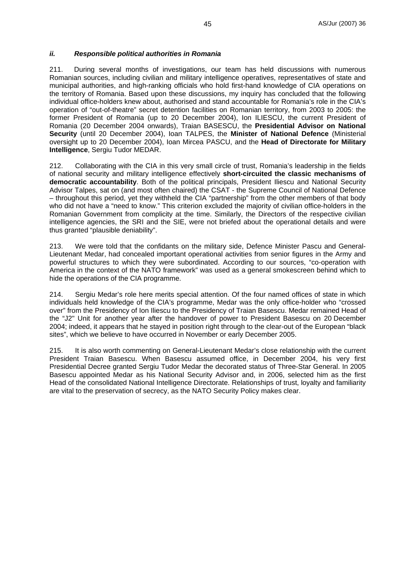#### *ii. Responsible political authorities in Romania*

211. During several months of investigations, our team has held discussions with numerous Romanian sources, including civilian and military intelligence operatives, representatives of state and municipal authorities, and high-ranking officials who hold first-hand knowledge of CIA operations on the territory of Romania. Based upon these discussions, my inquiry has concluded that the following individual office-holders knew about, authorised and stand accountable for Romania's role in the CIA's operation of "out-of-theatre" secret detention facilities on Romanian territory, from 2003 to 2005: the former President of Romania (up to 20 December 2004), Ion ILIESCU, the current President of Romania (20 December 2004 onwards), Traian BASESCU, the **Presidential Advisor on National Security** (until 20 December 2004), Ioan TALPES, the **Minister of National Defence** (Ministerial oversight up to 20 December 2004), Ioan Mircea PASCU, and the **Head of Directorate for Military Intelligence**, Sergiu Tudor MEDAR.

212. Collaborating with the CIA in this very small circle of trust, Romania's leadership in the fields of national security and military intelligence effectively **short-circuited the classic mechanisms of democratic accountability**. Both of the political principals, President Iliescu and National Security Advisor Talpes, sat on (and most often chaired) the CSAT - the Supreme Council of National Defence – throughout this period, yet they withheld the CIA "partnership" from the other members of that body who did not have a "need to know." This criterion excluded the majority of civilian office-holders in the Romanian Government from complicity at the time. Similarly, the Directors of the respective civilian intelligence agencies, the SRI and the SIE, were not briefed about the operational details and were thus granted "plausible deniability".

213. We were told that the confidants on the military side, Defence Minister Pascu and General-Lieutenant Medar, had concealed important operational activities from senior figures in the Army and powerful structures to which they were subordinated. According to our sources, "co-operation with America in the context of the NATO framework" was used as a general smokescreen behind which to hide the operations of the CIA programme.

214. Sergiu Medar's role here merits special attention. Of the four named offices of state in which individuals held knowledge of the CIA's programme, Medar was the only office-holder who "crossed over" from the Presidency of Ion Iliescu to the Presidency of Traian Basescu. Medar remained Head of the "J2" Unit for another year after the handover of power to President Basescu on 20 December 2004; indeed, it appears that he stayed in position right through to the clear-out of the European "black sites", which we believe to have occurred in November or early December 2005.

215. It is also worth commenting on General-Lieutenant Medar's close relationship with the current President Traian Basescu. When Basescu assumed office, in December 2004, his very first Presidential Decree granted Sergiu Tudor Medar the decorated status of Three-Star General. In 2005 Basescu appointed Medar as his National Security Advisor and, in 2006, selected him as the first Head of the consolidated National Intelligence Directorate. Relationships of trust, loyalty and familiarity are vital to the preservation of secrecy, as the NATO Security Policy makes clear.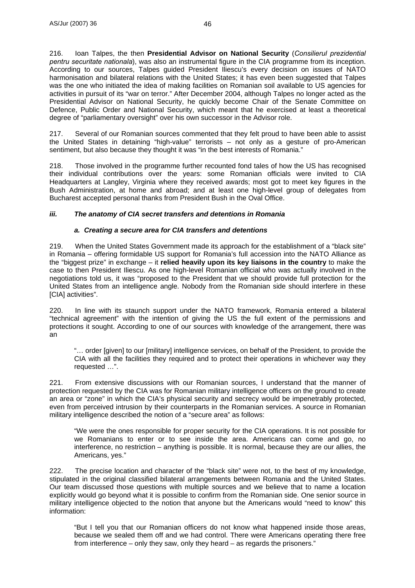216. Ioan Talpes, the then **Presidential Advisor on National Security** (*Consilierul prezidential pentru securitate nationala*), was also an instrumental figure in the CIA programme from its inception. According to our sources, Talpes guided President Iliescu's every decision on issues of NATO harmonisation and bilateral relations with the United States; it has even been suggested that Talpes was the one who initiated the idea of making facilities on Romanian soil available to US agencies for activities in pursuit of its "war on terror." After December 2004, although Talpes no longer acted as the Presidential Advisor on National Security, he quickly become Chair of the Senate Committee on Defence, Public Order and National Security, which meant that he exercised at least a theoretical degree of "parliamentary oversight" over his own successor in the Advisor role.

217. Several of our Romanian sources commented that they felt proud to have been able to assist the United States in detaining "high-value" terrorists – not only as a gesture of pro-American sentiment, but also because they thought it was "in the best interests of Romania."

218. Those involved in the programme further recounted fond tales of how the US has recognised their individual contributions over the years: some Romanian officials were invited to CIA Headquarters at Langley, Virginia where they received awards; most got to meet key figures in the Bush Administration, at home and abroad; and at least one high-level group of delegates from Bucharest accepted personal thanks from President Bush in the Oval Office.

## *iii. The anatomy of CIA secret transfers and detentions in Romania*

#### *a. Creating a secure area for CIA transfers and detentions*

219. When the United States Government made its approach for the establishment of a "black site" in Romania – offering formidable US support for Romania's full accession into the NATO Alliance as the "biggest prize" in exchange – it **relied heavily upon its key liaisons in the country** to make the case to then President Iliescu. As one high-level Romanian official who was actually involved in the negotiations told us, it was "proposed to the President that we should provide full protection for the United States from an intelligence angle. Nobody from the Romanian side should interfere in these [CIA] activities".

220. In line with its staunch support under the NATO framework, Romania entered a bilateral "technical agreement" with the intention of giving the US the full extent of the permissions and protections it sought. According to one of our sources with knowledge of the arrangement, there was an

"… order [given] to our [military] intelligence services, on behalf of the President, to provide the CIA with all the facilities they required and to protect their operations in whichever way they requested …".

221. From extensive discussions with our Romanian sources, I understand that the manner of protection requested by the CIA was for Romanian military intelligence officers on the ground to create an area or "zone" in which the CIA's physical security and secrecy would be impenetrably protected, even from perceived intrusion by their counterparts in the Romanian services. A source in Romanian military intelligence described the notion of a "secure area" as follows:

"We were the ones responsible for proper security for the CIA operations. It is not possible for we Romanians to enter or to see inside the area. Americans can come and go, no interference, no restriction – anything is possible. It is normal, because they are our allies, the Americans, yes."

222. The precise location and character of the "black site" were not, to the best of my knowledge, stipulated in the original classified bilateral arrangements between Romania and the United States. Our team discussed those questions with multiple sources and we believe that to name a location explicitly would go beyond what it is possible to confirm from the Romanian side. One senior source in military intelligence objected to the notion that anyone but the Americans would "need to know" this information:

"But I tell you that our Romanian officers do not know what happened inside those areas, because we sealed them off and we had control. There were Americans operating there free from interference – only they saw, only they heard – as regards the prisoners."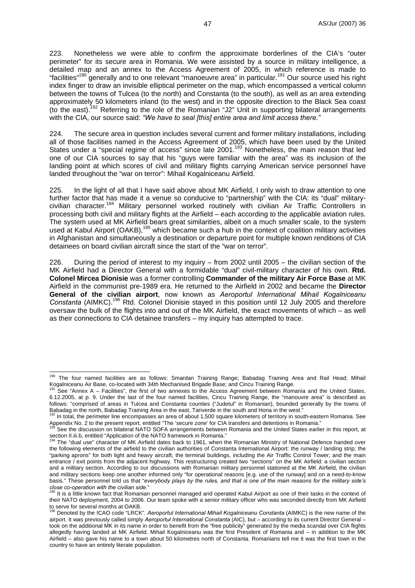223. Nonetheless we were able to confirm the approximate borderlines of the CIA's "outer perimeter" for its secure area in Romania. We were assisted by a source in military intelligence, a detailed map and an annex to the Access Agreement of 2005, in which reference is made to "facilities"<sup>190</sup> generally and to one relevant "manoeuvre area" in particular.<sup>191</sup> Our source used his right index finger to draw an invisible elliptical perimeter on the map, which encompassed a vertical column between the towns of Tulcea (to the north) and Constanta (to the south), as well as an area extending approximately 50 kilometers inland (to the west) and in the opposite direction to the Black Sea coast (to the east).192 Referring to the role of the Romanian "J2" Unit in supporting bilateral arrangements with the CIA, our source said: *"We have to seal [this] entire area and limit access there."*

224. The secure area in question includes several current and former military installations, including all of those facilities named in the Access Agreement of 2005, which have been used by the United States under a "special regime of access" since late 2001.<sup>193</sup> Nonetheless, the main reason that led one of our CIA sources to say that his "guys were familiar with the area" was its inclusion of the landing point at which scores of civil and military flights carrying American service personnel have landed throughout the "war on terror": Mihail Kogalniceanu Airfield.

225. In the light of all that I have said above about MK Airfield, I only wish to draw attention to one further factor that has made it a venue so conducive to "partnership" with the CIA: its "dual" militarycivilian character.<sup>194</sup> Military personnel worked routinely with civilian Air Traffic Controllers in processing both civil and military flights at the Airfield – each according to the applicable aviation rules. The system used at MK Airfield bears great similarities, albeit on a much smaller scale, to the system used at Kabul Airport (OAKB),<sup>195</sup> which became such a hub in the context of coalition military activities in Afghanistan and simultaneously a destination or departure point for multiple known renditions of CIA detainees on board civilian aircraft since the start of the "war on terror".

226. During the period of interest to my inquiry – from 2002 until 2005 – the civilian section of the MK Airfield had a Director General with a formidable "dual" civil-military character of his own. **Rtd. Colonel Mircea Dionisie** was a former controlling **Commander of the military Air Force Base** at MK Airfield in the communist pre-1989 era. He returned to the Airfield in 2002 and became the **Director General of the civilian airport**, now known as *Aeroportul International Mihail Kogalniceanu*  Constanta (AIMKC).<sup>196</sup> Rtd. Colonel Dionisie stayed in this position until 12 July 2005 and therefore oversaw the bulk of the flights into and out of the MK Airfield, the exact movements of which – as well as their connections to CIA detainee transfers – my inquiry has attempted to trace.

 $\overline{a}$ 

<sup>&</sup>lt;sup>190</sup> The four named facilities are as follows: Smardan Training Range; Babadag Training Area and Rail Head; Mihail Kogalniceanu Air Base, co-located with 34th Mechanised Brigade Base; and Cincu Training Range.<br><sup>191</sup> See "Annex A – Facilities", the first of two annexes to the Access Agreement between Romania and the United States,

<sup>6.12.2005,</sup> at p. 9. Under the last of the four named facilities, Cincu Training Range, the "manouvre area" is described as follows: "comprised of areas in Tulcea and Constanta counties ("Judetul" in Romanian), bounded generally by the towns of<br>Babadag in the north, Babadag Training Area in the east, Tariverde in the south and Horia in the west

<sup>192</sup> In total, the perimeter line encompasses an area of about 1,500 square kilometers of territory in south-eastern Romania. See Appendix No. 2 to the present report, entitled "The 'secure zone' for CIA transfers and detentions in Romania."<br><sup>193</sup> See the discussion on bilateral NATO SOFA arrangements between Romania and the United States earlier in

section II.iii.b, entitled "Application of the NATO framework in Romania."<br><sup>194</sup> The "dual use" character of MK Airfield dates back to 1961, when the Romanian Ministry of National Defence handed over the following elements of the airfield to the civilian authorities of Constanta International Airport: the runway / landing strip; the "parking aprons" for both light and heavy aircraft; the terminal buildings, including the Air Traffic Control Tower; and the main entrance / exit points from the adjacent highway. This restructuring created two "sections" on the MK Airfield: a civilian section and a military section. According to our discussions with Romanian military personnel stationed at the MK Airfield, the civilian and military sections keep one another informed only "for operational reasons [e.g. use of the runway] and on a need-to-know basis." These personnel told us that "*everybody plays by the rules, and that is one of the main reasons for the military side's close co-operation with the civilian side."* 195 11 195 11 196 11 196 It is a little known fact that Romanian personnel managed and operated Kabul Airport as one of their tasks in the context of

their NATO deployment, 2004 to 2006. Our team spoke with a senior military officer who was seconded directly from MK Airfield to serve for several months at OAKB.

<sup>196</sup> Denoted by the ICAO code "LRCK". *Aeroportul International Mihail Kogalniceanu Constanta* (AIMKC) is the new name of the airport. It was previously called simply *Aeroportul International Constanta* (AIC), but – according to its current Director General – took on the additional MK in its name in order to benefit from the "free publicity" generated by the media scandal over CIA flights allegedly having landed at MK Airfield. Mihail Kogalniceanu was the first President of Romania and – in addition to the MK Airfield – also gave his name to a town about 50 kilometres north of Constanta. Romanians tell me it was the first town in the country to have an entirely literate population.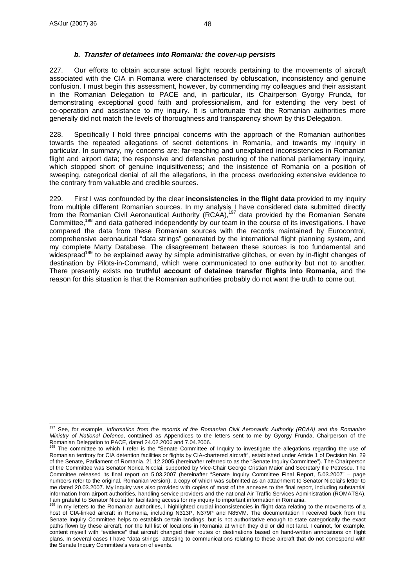## *b. Transfer of detainees into Romania: the cover-up persists*

227. Our efforts to obtain accurate actual flight records pertaining to the movements of aircraft associated with the CIA in Romania were characterised by obfuscation, inconsistency and genuine confusion. I must begin this assessment, however, by commending my colleagues and their assistant in the Romanian Delegation to PACE and, in particular, its Chairperson Gyorgy Frunda, for demonstrating exceptional good faith and professionalism, and for extending the very best of co-operation and assistance to my inquiry. It is unfortunate that the Romanian authorities more generally did not match the levels of thoroughness and transparency shown by this Delegation.

228. Specifically I hold three principal concerns with the approach of the Romanian authorities towards the repeated allegations of secret detentions in Romania, and towards my inquiry in particular. In summary, my concerns are: far-reaching and unexplained inconsistencies in Romanian flight and airport data; the responsive and defensive posturing of the national parliamentary inquiry, which stopped short of genuine inquisitiveness; and the insistence of Romania on a position of sweeping, categorical denial of all the allegations, in the process overlooking extensive evidence to the contrary from valuable and credible sources.

229. First I was confounded by the clear **inconsistencies in the flight data** provided to my inquiry from multiple different Romanian sources. In my analysis I have considered data submitted directly from the Romanian Civil Aeronautical Authority (RCAA),197 data provided by the Romanian Senate Committee,198 and data gathered independently by our team in the course of its investigations. I have compared the data from these Romanian sources with the records maintained by Eurocontrol, comprehensive aeronautical "data strings" generated by the international flight planning system, and my complete Marty Database. The disagreement between these sources is too fundamental and widespread<sup>199</sup> to be explained away by simple administrative glitches, or even by in-flight changes of destination by Pilots-in-Command, which were communicated to one authority but not to another. There presently exists **no truthful account of detainee transfer flights into Romania**, and the reason for this situation is that the Romanian authorities probably do not want the truth to come out.

 $\overline{a}$ 197 See, for example, *Information from the records of the Romanian Civil Aeronautic Authority (RCAA) and the Romanian Ministry of National Defence*, contained as Appendices to the letters sent to me by Gyorgy Frunda, Chairperson of the Romanian Delegation to PACE, dated 24.02.2006 and 7.04.2006.

The committee to which I refer is the "Senate Committee of Inquiry to investigate the allegations regarding the use of Romanian territory for CIA detention facilities or flights by CIA-chartered aircraft", established under Article 1 of Decision No. 29 of the Senate, Parliament of Romania, 21.12.2005 (hereinafter referred to as the "Senate Inquiry Committee"). The Chairperson of the Committee was Senator Norica Nicolai, supported by Vice-Chair George Cristian Maior and Secretary Ilie Petrescu. The Committee released its final report on 5.03.2007 (hereinafter "Senate Inquiry Committee Final Report, 5.03.2007" – page numbers refer to the original, Romanian version), a copy of which was submitted as an attachment to Senator Nicolai's letter to me dated 20.03.2007. My inquiry was also provided with copies of most of the annexes to the final report, including substantial information from airport authorities, handling service providers and the national Air Traffic Services Administration (ROMATSA). I am grateful to Senator Nicolai for facilitating access for my inquiry to important information in Romania.<br><sup>199</sup> In my letters to the Romanian authorities, I highlighted crucial inconsistencies in flight data relating to

host of CIA-linked aircraft in Romania, including N313P, N379P and N85VM. The documentation I received back from the Senate Inquiry Committee helps to establish certain landings, but is not authoritative enough to state categorically the exact paths flown by these aircraft, nor the full list of locations in Romania at which they did or did not land. I cannot, for example, content myself with "evidence" that aircraft changed their routes or destinations based on hand-written annotations on flight plans. In several cases I have "data strings" attesting to communications relating to these aircraft that do not correspond with the Senate Inquiry Committee's version of events.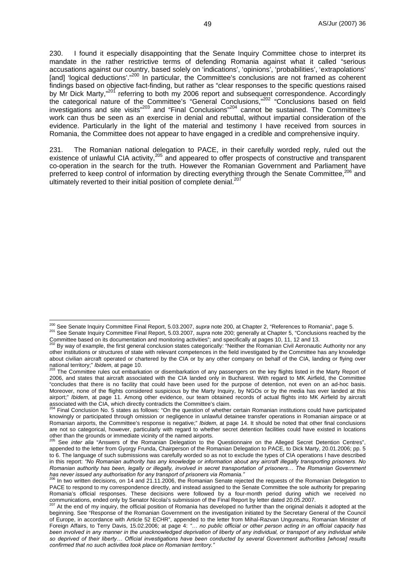230. I found it especially disappointing that the Senate Inquiry Committee chose to interpret its mandate in the rather restrictive terms of defending Romania against what it called "serious accusations against our country, based solely on 'indications', 'opinions', 'probabilities', 'extrapolations' [and] 'logical deductions'."<sup>200</sup> In particular, the Committee's conclusions are not framed as coherent findings based on objective fact-finding, but rather as "clear responses to the specific questions raised by Mr Dick Marty,"<sup>201</sup> referring to both my 2006 report and subsequent correspondence. Accordingly the categorical nature of the Committee's "General Conclusions,"<sup>202</sup> "Conclusions based on field investigations and site visits"<sup>203</sup> and "Final Conclusions"<sup>204</sup> cannot be sustained. The Committee's work can thus be seen as an exercise in denial and rebuttal, without impartial consideration of the evidence. Particularly in the light of the material and testimony I have received from sources in Romania, the Committee does not appear to have engaged in a credible and comprehensive inquiry.

231. The Romanian national delegation to PACE, in their carefully worded reply, ruled out the existence of unlawful CIA activity,  $205$  and appeared to offer prospects of constructive and transparent co-operation in the search for the truth. However the Romanian Government and Parliament have preferred to keep control of information by directing everything through the Senate Committee,<sup>206</sup> and ultimately reverted to their initial position of complete denial.<sup>207</sup>

<sup>&</sup>lt;sup>200</sup> See Senate Inquiry Committee Final Report, 5.03.2007, supra note 200, at Chapter 2, "References to Romania", page 5.

<sup>201</sup> See Senate Inquiry Committee Final Report, 5.03.2007, *supra* note 200; generally at Chapter 5, "Conclusions reached by the Committee based on its documentation and monitoring activities"; and specifically at pages 10,

By way of example, the first general conclusion states categorically: "Neither the Romanian Civil Aeronautic Authority nor any other institutions or structures of state with relevant competences in the field investigated by the Committee has any knowledge about civilian aircraft operated or chartered by the CIA or by any other company on behalf of the CIA, landing or flying over

national territory;" *Ibidem*, at page 10.<br><sup>203</sup> The Committee rules out embarkation or disembarkation of any passengers on the key flights listed in the Marty Report of 2006, and states that aircraft associated with the CIA landed only in Bucharest. With regard to MK Airfield, the Committee "concludes that there is no facility that could have been used for the purpose of detention, not even on an ad-hoc basis. Moreover, none of the flights considered suspicious by the Marty Inquiry, by NGOs or by the media has ever landed at this airport;" *Ibidem*, at page 11. Among other evidence, our team obtained records of actual flights into MK Airfield by aircraft associated with the CIA, which directly contradicts the Committee's claim.<br><sup>204</sup> Final Conclusion No. 5 states as follows: "On the question of whether certain Romanian institutions could have participated

knowingly or participated through omission or negligence in unlawful detainee transfer operations in Romanian airspace or at Romanian airports, the Committee's response is negative;" *Ibidem*, at page 14. It should be noted that other final conclusions are not so categorical, however, particularly with regard to whether secret detention facilities could have existed in locations other than the grounds or immediate vicinity of the named airports.

See *inter alia* "Answers of the Romanian Delegation to the Questionnaire on the Alleged Secret Detention Centres", appended to the letter from Gyorgy Frunda, Chairperson of the Romanian Delegation to PACE, to Dick Marty, 20.01.2006; pp. 5 to 6. The language of such submissions was carefully worded so as not to exclude the types of CIA operations I have described in this report: *"No Romanian authority has any knowledge or information about any aircraft illegally transporting prisoners. No Romanian authority has been, legally or illegally, involved in secret transportation of prisoners… The Romanian Government has never issued any authorisation for any transport of prisoners via Romania."* 206 In two written decisions, on 14 and 21.11.2006, the Romanian Senate rejected the requests of the Romanian Delegation to

PACE to respond to my correspondence directly, and instead assigned to the Senate Committee the sole authority for preparing Romania's official responses. These decisions were followed by a four-month period during which we received no<br>communications, ended only by Senator Nicolai's submission of the Final Report by letter dated 20.05.2007.

At the end of my inquiry, the official position of Romania has developed no further than the original denials it adopted at the beginning. See "Response of the Romanian Government on the investigation initiated by the Secretary General of the Council of Europe, in accordance with Article 52 ECHR", appended to the letter from Mihal-Razvan Ungureanu, Romanian Minister of Foreign Affairs, to Terry Davis, 15.02.2006; at page 4: *"… no public official or other person acting in an official capacity has*  been involved in any manner in the unacknowledged deprivation of liberty of any individual, or transport of any individual while *so deprived of their liberty… Official investigations have been conducted by several Government authorities [whose] results confirmed that no such activities took place on Romanian territory."*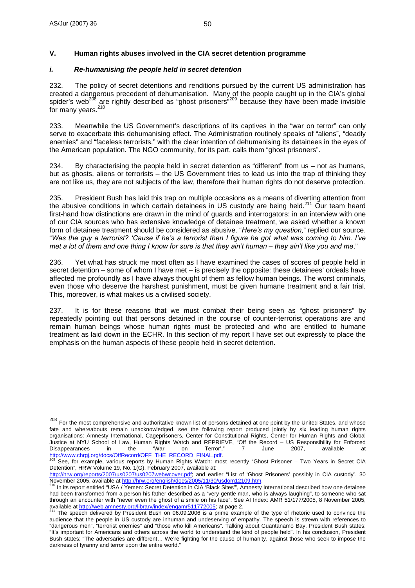$\overline{a}$ 

## *i. Re-humanising the people held in secret detention*

232. The policy of secret detentions and renditions pursued by the current US administration has created a dangerous precedent of dehumanisation. Many of the people caught up in the CIA's global spider's web<sup>208</sup> are rightly described as "ghost prisoners"<sup>209</sup> because they have been made invisible for many years.<sup>210</sup>

233. Meanwhile the US Government's descriptions of its captives in the "war on terror" can only serve to exacerbate this dehumanising effect. The Administration routinely speaks of "aliens", "deadly enemies" and "faceless terrorists," with the clear intention of dehumanising its detainees in the eyes of the American population. The NGO community, for its part, calls them "ghost prisoners".

234. By characterising the people held in secret detention as "different" from us – not as humans, but as ghosts, aliens or terrorists – the US Government tries to lead us into the trap of thinking they are not like us, they are not subjects of the law, therefore their human rights do not deserve protection.

235. President Bush has laid this trap on multiple occasions as a means of diverting attention from the abusive conditions in which certain detainees in US custody are being held.<sup>211</sup> Our team heard first-hand how distinctions are drawn in the mind of guards and interrogators: in an interview with one of our CIA sources who has extensive knowledge of detainee treatment, we asked whether a known form of detainee treatment should be considered as abusive. "*Here's my question,*" replied our source. "*Was the guy a terrorist? 'Cause if he's a terrorist then I figure he got what was coming to him. I've met a lot of them and one thing I know for sure is that they ain't human – they ain't like you and me*."

236. Yet what has struck me most often as I have examined the cases of scores of people held in secret detention – some of whom I have met – is precisely the opposite: these detainees' ordeals have affected me profoundly as I have always thought of them as fellow human beings. The worst criminals, even those who deserve the harshest punishment, must be given humane treatment and a fair trial. This, moreover, is what makes us a civilised society.

237. It is for these reasons that we must combat their being seen as "ghost prisoners" by repeatedly pointing out that persons detained in the course of counter-terrorist operations are and remain human beings whose human rights must be protected and who are entitled to humane treatment as laid down in the ECHR. In this section of my report I have set out expressly to place the emphasis on the human aspects of these people held in secret detention.

<sup>&</sup>lt;sup>208</sup> For the most comprehensive and authoritative known list of persons detained at one point by the United States, and whose fate and whereabouts remain unacknowledged, see the following report produced jointly by six leading human rights organisations: Amnesty International, Cageprisoners, Center for Constitutional Rights, Center for Human Rights and Global Justice at NYU School of Law, Human Rights Watch and REPRIEVE, "Off the Record – US Responsibility for Enforced<br>Disappearances in the "War on Terror"," 7 June 2007, available at Disappearances in the 'War on Terror'," 7 June 2007, available at

<sup>&</sup>lt;u>http://www.chrgj.org/docs/OffRecord/OFF\_THE\_RECORD\_FINAL.pdf</u>.<br><sup>209</sup> See, for example, various reports by Human Rights Watch: most recently "Ghost Prisoner – Two Years in Secret CIA Detention", HRW Volume 19, No. 1(G), February 2007, available at:

http://hrw.org/reports/2007/us0207/us0207webwcover.pdf; and earlier "List of 'Ghost Prisoners' possibly in CIA custody", 30<br>November 2005, available at http://hrw.org/english/docs/2005/11/30/usdom12109.htm.

November 2005, available at http://hrw.org/english/docs/2005/11/30/usdom12109.htm. 210 In its report entitled "USA / Yemen: Secret Detention in CIA 'Black Sites'", Amnesty International described how one detainee had been transformed from a person his father described as a "very gentle man, who is always laughing", to someone who sat through an encounter with "never even the ghost of a smile on his face". See AI Index: AMR 51/177/2005, 8 November 2005, available at http://web.amnesty.org/library/index/engamr511772005; at page 2.<br><sup>211</sup> The speech deliv

The speech delivered by President Bush on 06.09.2006 is a prime example of the type of rhetoric used to convince the audience that the people in US custody are inhuman and undeserving of empathy. The speech is strewn with references to "dangerous men", "terrorist enemies" and "those who kill Americans". Talking about Guantanamo Bay, President Bush states: "It's important for Americans and others across the world to understand the kind of people held". In his conclusion, President Bush states: "The adversaries are different… We're fighting for the cause of humanity, against those who seek to impose the darkness of tyranny and terror upon the entire world."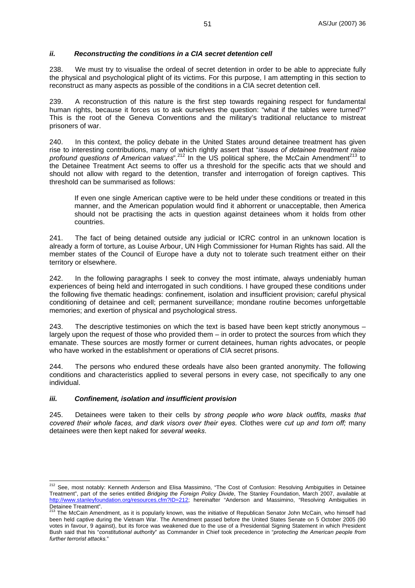#### *ii. Reconstructing the conditions in a CIA secret detention cell*

238. We must try to visualise the ordeal of secret detention in order to be able to appreciate fully the physical and psychological plight of its victims. For this purpose, I am attempting in this section to reconstruct as many aspects as possible of the conditions in a CIA secret detention cell.

239. A reconstruction of this nature is the first step towards regaining respect for fundamental human rights, because it forces us to ask ourselves the question: "what if the tables were turned?" This is the root of the Geneva Conventions and the military's traditional reluctance to mistreat prisoners of war.

240. In this context, the policy debate in the United States around detainee treatment has given rise to interesting contributions, many of which rightly assert that "*issues of detainee treatment raise profound questions of American values*".<sup>212</sup> In the US political sphere, the McCain Amendment<sup>213</sup> to the Detainee Treatment Act seems to offer us a threshold for the specific acts that we should and should not allow with regard to the detention, transfer and interrogation of foreign captives. This threshold can be summarised as follows:

If even one single American captive were to be held under these conditions or treated in this manner, and the American population would find it abhorrent or unacceptable, then America should not be practising the acts in question against detainees whom it holds from other countries.

241. The fact of being detained outside any judicial or ICRC control in an unknown location is already a form of torture, as Louise Arbour, UN High Commissioner for Human Rights has said. All the member states of the Council of Europe have a duty not to tolerate such treatment either on their territory or elsewhere.

242. In the following paragraphs I seek to convey the most intimate, always undeniably human experiences of being held and interrogated in such conditions. I have grouped these conditions under the following five thematic headings: confinement, isolation and insufficient provision; careful physical conditioning of detainee and cell; permanent surveillance; mondane routine becomes unforgettable memories; and exertion of physical and psychological stress.

243. The descriptive testimonies on which the text is based have been kept strictly anonymous – largely upon the request of those who provided them – in order to protect the sources from which they emanate. These sources are mostly former or current detainees, human rights advocates, or people who have worked in the establishment or operations of CIA secret prisons.

244. The persons who endured these ordeals have also been granted anonymity. The following conditions and characteristics applied to several persons in every case, not specifically to any one individual.

#### *iii. Confinement, isolation and insufficient provision*

245. Detainees were taken to their cells by *strong people who wore black outfits, masks that covered their whole faces, and dark visors over their eyes.* Clothes were *cut up and torn off;* many detainees were then kept naked for *several weeks*.

 $\overline{a}$ <sup>212</sup> See, most notably: Kenneth Anderson and Elisa Massimino, "The Cost of Confusion: Resolving Ambiguities in Detainee Treatment", part of the series entitled *Bridging the Foreign Policy Divide*, The Stanley Foundation, March 2007, available at http://www.stanleyfoundation.org/resources.cfm?ID=212; hereinafter "Anderson and Massimino, "Resolving Ambiguities in Detainee Treatment".

<sup>213</sup> The McCain Amendment, as it is popularly known, was the initiative of Republican Senator John McCain, who himself had been held captive during the Vietnam War. The Amendment passed before the United States Senate on 5 October 2005 (90 votes in favour, 9 against), but its force was weakened due to the use of a Presidential Signing Statement in which President Bush said that his "*constitutional authority*" as Commander in Chief took precedence in "*protecting the American people from further terrorist attacks.*"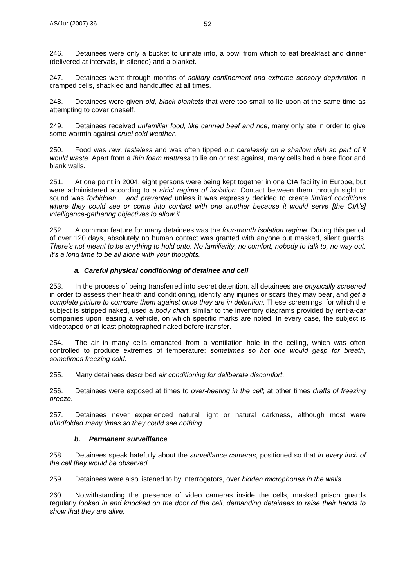246. Detainees were only a bucket to urinate into, a bowl from which to eat breakfast and dinner (delivered at intervals, in silence) and a blanket.

247. Detainees went through months of *solitary confinement and extreme sensory deprivation* in cramped cells, shackled and handcuffed at all times.

248. Detainees were given *old, black blankets* that were too small to lie upon at the same time as attempting to cover oneself.

249. Detainees received *unfamiliar food, like canned beef and rice*, many only ate in order to give some warmth against *cruel cold weather*.

250. Food was *raw*, *tasteless* and was often tipped out *carelessly on a shallow dish so part of it would waste*. Apart from a *thin foam mattress* to lie on or rest against, many cells had a bare floor and blank walls.

251. At one point in 2004, eight persons were being kept together in one CIA facility in Europe, but were administered according to *a strict regime of isolation*. Contact between them through sight or sound was *forbidden… and prevented* unless it was expressly decided to create *limited conditions where they could see or come into contact with one another because it would serve [the CIA's] intelligence-gathering objectives to allow it*.

252. A common feature for many detainees was the *four-month isolation regime*. During this period of over 120 days, absolutely no human contact was granted with anyone but masked, silent guards. *There's not meant to be anything to hold onto. No familiarity, no comfort, nobody to talk to, no way out. It's a long time to be all alone with your thoughts.*

#### *a. Careful physical conditioning of detainee and cell*

253. In the process of being transferred into secret detention, all detainees are *physically screened* in order to assess their health and conditioning, identify any injuries or scars they may bear, and *get a complete picture to compare them against once they are in detention*. These screenings, for which the subject is stripped naked, used a *body chart*, similar to the inventory diagrams provided by rent-a-car companies upon leasing a vehicle, on which specific marks are noted. In every case, the subject is videotaped or at least photographed naked before transfer.

254. The air in many cells emanated from a ventilation hole in the ceiling, which was often controlled to produce extremes of temperature: *sometimes so hot one would gasp for breath, sometimes freezing cold.*

255. Many detainees described *air conditioning for deliberate discomfort*.

256. Detainees were exposed at times to *over-heating in the cell*; at other times *drafts of freezing breeze*.

257. Detainees never experienced natural light or natural darkness, although most were *blindfolded many times so they could see nothing*.

## *b. Permanent surveillance*

258. Detainees speak hatefully about the *surveillance cameras*, positioned so that *in every inch of the cell they would be observed*.

259. Detainees were also listened to by interrogators, over *hidden microphones in the walls*.

260. Notwithstanding the presence of video cameras inside the cells, masked prison guards regularly *looked in and knocked on the door of the cell, demanding detainees to raise their hands to show that they are alive*.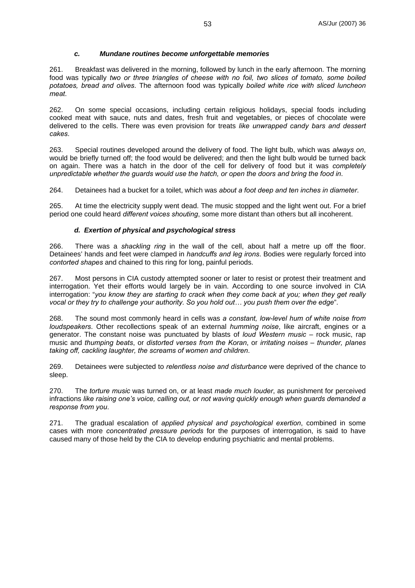#### *c. Mundane routines become unforgettable memories*

261. Breakfast was delivered in the morning, followed by lunch in the early afternoon. The morning food was typically *two or three triangles of cheese with no foil, two slices of tomato, some boiled potatoes, bread and olives*. The afternoon food was typically *boiled white rice with sliced luncheon meat*.

262. On some special occasions, including certain religious holidays, special foods including cooked meat with sauce, nuts and dates, fresh fruit and vegetables, or pieces of chocolate were delivered to the cells. There was even provision for treats *like unwrapped candy bars and dessert cakes*.

263. Special routines developed around the delivery of food. The light bulb, which was *always on*, would be briefly turned off; the food would be delivered; and then the light bulb would be turned back on again. There was a hatch in the door of the cell for delivery of food but it was *completely unpredictable whether the guards would use the hatch, or open the doors and bring the food in*.

264. Detainees had a bucket for a toilet, which was *about a foot deep and ten inches in diameter*.

265. At time the electricity supply went dead. The music stopped and the light went out. For a brief period one could heard *different voices shouting*, some more distant than others but all incoherent.

#### *d. Exertion of physical and psychological stress*

266. There was a *shackling ring* in the wall of the cell, about half a metre up off the floor. Detainees' hands and feet were clamped in *handcuffs and leg irons*. Bodies were regularly forced into *contorted shapes* and chained to this ring for long, painful periods.

267. Most persons in CIA custody attempted sooner or later to resist or protest their treatment and interrogation. Yet their efforts would largely be in vain. According to one source involved in CIA interrogation: "*you know they are starting to crack when they come back at you; when they get really vocal or they try to challenge your authority. So you hold out… you push them over the edge*".

268. The sound most commonly heard in cells was *a constant, low-level hum of white noise from loudspeakers*. Other recollections speak of an external *humming noise*, like aircraft, engines or a generator. The constant noise was punctuated by blasts of *loud Western music* – rock music, rap music and *thumping beats*, or *distorted verses from the Koran*, or *irritating noises – thunder, planes taking off, cackling laughter, the screams of women and children*.

269. Detainees were subjected to *relentless noise and disturbance* were deprived of the chance to sleep.

270. The *torture music* was turned on, or at least *made much louder*, as punishment for perceived infractions *like raising one's voice, calling out, or not waving quickly enough when guards demanded a response from you*.

271. The gradual escalation of *applied physical and psychological exertion*, combined in some cases with more *concentrated pressure periods* for the purposes of interrogation, is said to have caused many of those held by the CIA to develop enduring psychiatric and mental problems.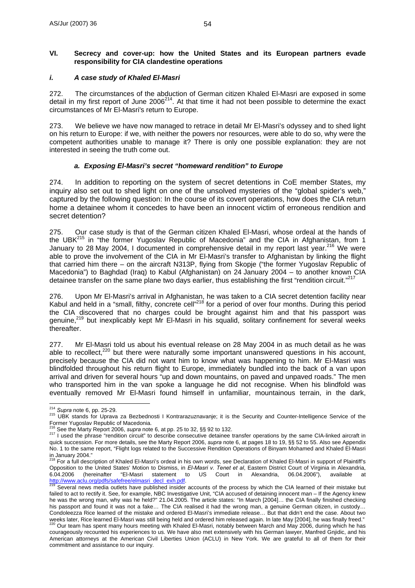### **VI. Secrecy and cover-up: how the United States and its European partners evade responsibility for CIA clandestine operations**

## *i. A case study of Khaled El-Masri*

272. The circumstances of the abduction of German citizen Khaled El-Masri are exposed in some detail in my first report of June  $2006^{214}$ . At that time it had not been possible to determine the exact circumstances of Mr El-Masri's return to Europe.

273. We believe we have now managed to retrace in detail Mr El-Masri's odyssey and to shed light on his return to Europe: if we, with neither the powers nor resources, were able to do so, why were the competent authorities unable to manage it? There is only one possible explanation: they are not interested in seeing the truth come out.

#### *a. Exposing El-Masri's secret "homeward rendition" to Europe*

274. In addition to reporting on the system of secret detentions in CoE member States, my inquiry also set out to shed light on one of the unsolved mysteries of the "global spider's web," captured by the following question: In the course of its covert operations, how does the CIA return home a detainee whom it concedes to have been an innocent victim of erroneous rendition and secret detention?

275. Our case study is that of the German citizen Khaled El-Masri, whose ordeal at the hands of the UBK<sup>215</sup> in "the former Yugoslav Republic of Macedonia" and the CIA in Afghanistan, from 1 January to 28 May 2004, I documented in comprehensive detail in my report last year.<sup>216</sup> We were able to prove the involvement of the CIA in Mr El-Masri's transfer to Afghanistan by linking the flight that carried him there – on the aircraft N313P, flying from Skopje ("the former Yugoslav Republic of Macedonia") to Baghdad (Iraq) to Kabul (Afghanistan) on 24 January 2004 – to another known CIA detainee transfer on the same plane two days earlier, thus establishing the first "rendition circuit."<sup>21</sup>

276. Upon Mr El-Masri's arrival in Afghanistan, he was taken to a CIA secret detention facility near Kabul and held in a "small, filthy, concrete cell"<sup>218</sup> for a period of over four months. During this period the CIA discovered that no charges could be brought against him and that his passport was genuine,<sup>219</sup> but inexplicably kept Mr El-Masri in his squalid, solitary confinement for several weeks thereafter.

277. Mr El-Masri told us about his eventual release on 28 May 2004 in as much detail as he was able to recollect,<sup>220</sup> but there were naturally some important unanswered questions in his account, precisely because the CIA did not want him to know what was happening to him. Mr El-Masri was blindfolded throughout his return flight to Europe, immediately bundled into the back of a van upon arrival and driven for several hours "up and down mountains, on paved and unpaved roads." The men who transported him in the van spoke a language he did not recognise. When his blindfold was eventually removed Mr El-Masri found himself in unfamiliar, mountainous terrain, in the dark,

<sup>&</sup>lt;sup>214</sup> Supra note 6, pp. 25-29.

<sup>214</sup> *Supra* note 6, pp. 25-29. 215 UBK stands for Uprava za Bezbednosti I Kontrarazuznavanje; it is the Security and Counter-Intelligence Service of the Former Yugoslav Republic of Macedonia.<br><sup>216</sup> See the Marty Report 2006, *supra* note 6, at pp. 25 to 32, §§ 92 to 132.

<sup>&</sup>lt;sup>217</sup> I used the phrase "rendition circuit" to describe consecutive detainee transfer operations by the same CIA-linked aircraft in quick succession. For more details, see the Marty Report 2006, *supra* note 6, at pages 18 to 19, §§ 52 to 55. Also see Appendix No. 1 to the same report, "Flight logs related to the Successive Rendition Operations of Binyam Mohamed and Khaled El-Masri

in January 2004."<br><sup>218</sup> For a full description of Khaled El-Masri's ordeal in his own words, see Declaration of Khaled El-Masri in support of Plaintiff's Opposition to the United States' Motion to Dismiss, in *El-Masri v. Tenet et al*, Eastern District Court of Virginia in Alexandria, 6.04.2006 (hereinafter "El-Masri statement to US Court in Alexandria, 06.04.2006"), available at<br>http://www.aclu.org/pdfs/safefree/elmasri\_decl\_exh.pdf.<br><sup>219</sup> Several power modio outlets house which is the think of the cou

Several news media outlets have published insider accounts of the process by which the CIA learned of their mistake but failed to act to rectify it. See, for example, NBC Investigative Unit, "CIA accused of detaining innocent man – If the Agency knew he was the wrong man, why was he held?" 21.04.2005. The article states: "In March [2004]… the CIA finally finished checking his passport and found it was not a fake... The CIA realised it had the wrong man, a genuine German citizen, in custody... Condoleezza Rice learned of the mistake and ordered El-Masri's immediate release… But that didn't end the case. About two weeks later, Rice learned El-Masri was still being held and ordered him released again. In late May [2004], he was finally freed."<br>"weeks later, Rice learned El-Masri was still being held and ordered him released again. In courageously recounted his experiences to us. We have also met extensively with his German lawyer, Manfred Gnjidic, and his American attorneys at the American Civil Liberties Union (ACLU) in New York. We are grateful to all of them for their commitment and assistance to our inquiry.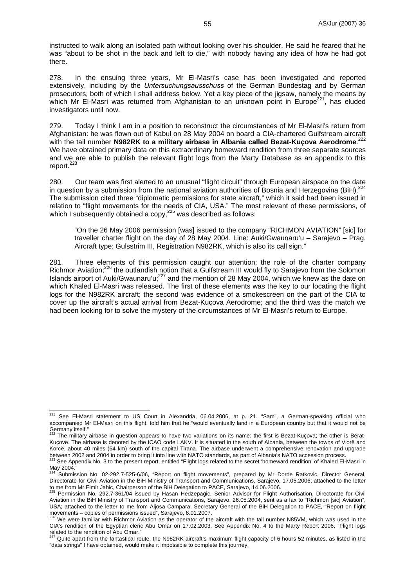instructed to walk along an isolated path without looking over his shoulder. He said he feared that he was "about to be shot in the back and left to die," with nobody having any idea of how he had got there.

278. In the ensuing three years, Mr El-Masri's case has been investigated and reported extensively, including by the *Untersuchungsausschuss* of the German Bundestag and by German prosecutors, both of which I shall address below. Yet a key piece of the jigsaw, namely the means by which Mr El-Masri was returned from Afghanistan to an unknown point in Europe<sup>221</sup>, has eluded which Mr El-Masri was returned from Afghanistan to an unknown point in Europe<sup>22</sup> investigators until now.

279. Today I think I am in a position to reconstruct the circumstances of Mr El-Masri's return from Afghanistan: he was flown out of Kabul on 28 May 2004 on board a CIA-chartered Gulfstream aircraft with the tail number **N982RK to a military airbase in Albania called Bezat-Kuçova Aerodrome**. 222 We have obtained primary data on this extraordinary homeward rendition from three separate sources and we are able to publish the relevant flight logs from the Marty Database as an appendix to this report.<sup>223</sup>

280. Our team was first alerted to an unusual "flight circuit" through European airspace on the date in question by a submission from the national aviation authorities of Bosnia and Herzegovina (BiH).<sup>224</sup> The submission cited three "diplomatic permissions for state aircraft," which it said had been issued in relation to "flight movements for the needs of CIA, USA." The most relevant of these permissions, of which I subsequently obtained a copy, $^{225}$  was described as follows:

"On the 26 May 2006 permission [was] issued to the company "RICHMON AVIATION" [sic] for traveller charter flight on the day of 28 May 2004. Line: Auki/Gwaunaru'u – Sarajevo – Prag. Aircraft type: Gulsstrim III, Registration N982RK, which is also its call sign."

281. Three elements of this permission caught our attention: the role of the charter company Richmor Aviation;<sup>226</sup> the outlandish notion that a Gulfstream III would fly to Sarajevo from the Solomon Islands airport of Auki/Gwaunaru'u;227 and the mention of 28 May 2004, which we knew as the date on which Khaled El-Masri was released. The first of these elements was the key to our locating the flight logs for the N982RK aircraft; the second was evidence of a smokescreen on the part of the CIA to cover up the aircraft's actual arrival from Bezat-Kuçova Aerodrome; and the third was the match we had been looking for to solve the mystery of the circumstances of Mr El-Masri's return to Europe.

 $\overline{a}$ See El-Masri statement to US Court in Alexandria, 06.04.2006, at p. 21. "Sam", a German-speaking official who accompanied Mr El-Masri on this flight, told him that he "would eventually land in a European country but that it would not be Germany itself."

The military airbase in question appears to have two variations on its name: the first is Bezat-Kuçova; the other is Berat-Kuçovë. The airbase is denoted by the ICAO code LAKV. It is situated in the south of Albania, between the towns of Vlorë and Korcë, about 40 miles (64 km) south of the capital Tirana. The airbase underwent a comprehensive renovation and upgrade between 2002 and 2004 in order to bring it into line with NATO standards, as part of Albania's NATO accession process.<br><sup>223</sup> See Appendix No. 3 to the present report, entitled "Flight logs related to the secret 'homeward r

May 2004."

<sup>224</sup> Submission No. 02-292.7-525-6/06, "Report on flight movements", prepared by Mr Dorde Ratkovic, Director General, Directorate for Civil Aviation in the BiH Ministry of Transport and Communications, Sarajevo, 17.05.2006; attached to the letter to me from Mr Elmir Jahic, Chairperson of the BiH Delegation to PACE, Sarajevo, 14.06.2006.<br><sup>225</sup> Permission No. 292.7-361/04 issued by Hasan Hedzepagic, Senior Advisor for Flight Authorisation, Directorate for Civil

Aviation in the BiH Ministry of Transport and Communications, Sarajevo, 26.05.2004, sent as a fax to "Richmon [sic] Aviation", USA; attached to the letter to me from Aljosa Campara, Secretary General of the BiH Delegation to PACE, "Report on flight movements – copies of permissions issued", Sarajevo, 8.01.2007.

<sup>226</sup> We were familiar with Richmor Aviation as the operator of the aircraft with the tail number N85VM, which was used in the CIA's rendition of the Egyptian cleric Abu Omar on 17.02.2003. See Appendix No. 4 to the Marty Report 2006, "Flight logs

related to the rendition of Abu Omar."<br><sup>227</sup> Quite apart from the fantastical route, the N982RK aircraft's maximum flight capacity of 6 hours 52 minutes, as listed in the "data strings" I have obtained, would make it impossible to complete this journey.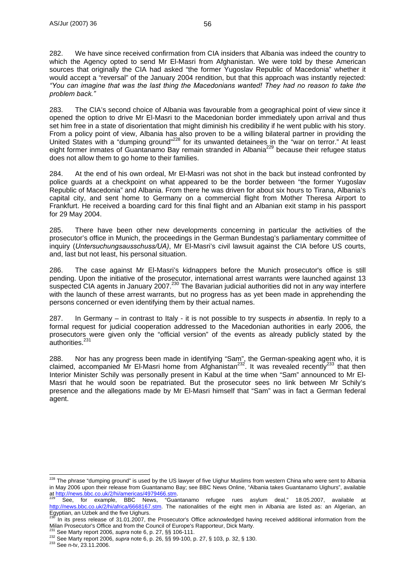282. We have since received confirmation from CIA insiders that Albania was indeed the country to which the Agency opted to send Mr El-Masri from Afghanistan. We were told by these American sources that originally the CIA had asked "the former Yugoslav Republic of Macedonia" whether it would accept a "reversal" of the January 2004 rendition, but that this approach was instantly rejected: *"You can imagine that was the last thing the Macedonians wanted! They had no reason to take the problem back."*

283. The CIA's second choice of Albania was favourable from a geographical point of view since it opened the option to drive Mr El-Masri to the Macedonian border immediately upon arrival and thus set him free in a state of disorientation that might diminish his credibility if he went public with his story. From a policy point of view, Albania has also proven to be a willing bilateral partner in providing the United States with a "dumping ground"228 for its unwanted detainees in the "war on terror." At least eight former inmates of Guantanamo Bay remain stranded in Albania<sup>229</sup> because their refugee status does not allow them to go home to their families.

284. At the end of his own ordeal, Mr El-Masri was not shot in the back but instead confronted by police guards at a checkpoint on what appeared to be the border between "the former Yugoslav Republic of Macedonia" and Albania. From there he was driven for about six hours to Tirana, Albania's capital city, and sent home to Germany on a commercial flight from Mother Theresa Airport to Frankfurt. He received a boarding card for this final flight and an Albanian exit stamp in his passport for 29 May 2004.

285. There have been other new developments concerning in particular the activities of the prosecutor's office in Munich, the proceedings in the German Bundestag's parliamentary committee of inquiry (*Untersuchungsausschuss/UA)*, Mr El-Masri's civil lawsuit against the CIA before US courts, and, last but not least, his personal situation.

286. The case against Mr El-Masri's kidnappers before the Munich prosecutor's office is still pending. Upon the initiative of the prosecutor, international arrest warrants were launched against 13 suspected CIA agents in January 2007.230 The Bavarian judicial authorities did not in any way interfere with the launch of these arrest warrants, but no progress has as yet been made in apprehending the persons concerned or even identifying them by their actual names.

287. In Germany – in contrast to Italy - it is not possible to try suspects *in absentia*. In reply to a formal request for judicial cooperation addressed to the Macedonian authorities in early 2006, the prosecutors were given only the "official version" of the events as already publicly stated by the .<br>authorities.<sup>231</sup>

288. Nor has any progress been made in identifying "Sam", the German-speaking agent who, it is claimed, accompanied Mr El-Masri home from Afghanistan<sup>232</sup>. It was revealed recently<sup>233</sup> that then Interior Minister Schily was personally present in Kabul at the time when "Sam" announced to Mr El-Masri that he would soon be repatriated. But the prosecutor sees no link between Mr Schily's presence and the allegations made by Mr El-Masri himself that "Sam" was in fact a German federal agent.

 $\overline{a}$ <sup>228</sup> The phrase "dumping ground" is used by the US lawyer of five Uighur Muslims from western China who were sent to Albania in May 2006 upon their release from Guantanamo Bay; see BBC News Online, "Albania takes Guantanamo Uighurs", available at http://news.bbc.co.uk/2/hi/americas/4979466.stm.

See, for example, BBC News, "Guantanamo refugee rues asylum deal," 18.05.2007, available at http://news.bbc.co.uk/2/hi/africa/6668167.stm. The nationalities of the eight men in Albania are listed as: an Algerian, an Egyptian, an Uzbek and the five Uighurs.

<sup>&</sup>lt;sup>230</sup> In its press release of 31.01.2007, the Prosecutor's Office acknowledged having received additional information from the Milan Prosecutor's Office and from the Council of Europe's Rapporteur. Dick Marty.

<sup>&</sup>lt;sup>231</sup> See Marty report 2006, *supra* note 6, p. 27, §§ 106-111.<br><sup>232</sup> See Marty report 2006, *supra* note 6, p. 26, §§ 99-100, p. 27, § 103, p. 32, § 130.<br><sup>232</sup> See n-tv. 23.11.2006.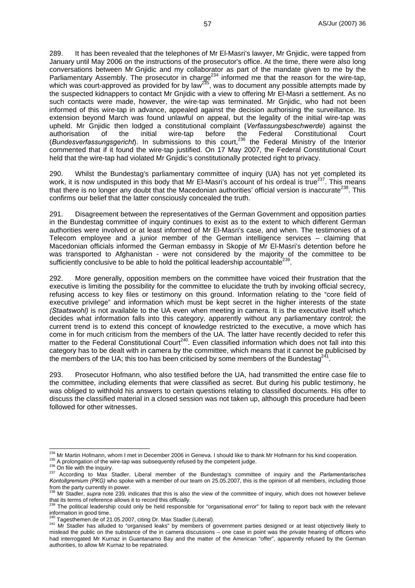289. It has been revealed that the telephones of Mr El-Masri's lawyer, Mr Gnjidic, were tapped from January until May 2006 on the instructions of the prosecutor's office. At the time, there were also long conversations between Mr Gnjidic and my collaborator as part of the mandate given to me by the Parliamentary Assembly. The prosecutor in charge<sup>234</sup> informed me that the reason for the wire-tap, which was court-approved as provided for by law<sup>235</sup>, was to document any possible attempts made by the suspected kidnappers to contact Mr Gnjidic with a view to offering Mr El-Masri a settlement. As no such contacts were made, however, the wire-tap was terminated. Mr Gnjidic, who had not been informed of this wire-tap in advance, appealed against the decision authorising the surveillance. Its extension beyond March was found unlawful on appeal, but the legality of the initial wire-tap was upheld. Mr Gnjidic then lodged a constitutional complaint (*Verfassungsbeschwerde*) against the authorisation of the initial wire-tap before the Federal Constitutional Court (*Bundesverfassungsgericht*). In submissions to this court,<sup>236</sup> the Federal Ministry of the Interior commented that if it found the wire-tap justified. On 17 May 2007, the Federal Constitutional Court held that the wire-tap had violated Mr Gnjidic's constitutionally protected right to privacy.

290. Whilst the Bundestag's parliamentary committee of inquiry (UA) has not yet completed its work, it is now undisputed in this body that Mr El-Masri's account of his ordeal is true<sup>237</sup>. This means that there is no longer any doubt that the Macedonian authorities' official version is inaccurate<sup>238</sup>. This confirms our belief that the latter consciously concealed the truth.

291. Disagreement between the representatives of the German Government and opposition parties in the Bundestag committee of inquiry continues to exist as to the extent to which different German authorities were involved or at least informed of Mr El-Masri's case, and when. The testimonies of a Telecom employee and a junior member of the German intelligence services – claiming that Macedonian officials informed the German embassy in Skopje of Mr El-Masri's detention before he was transported to Afghanistan - were not considered by the majority of the committee to be sufficiently conclusive to be able to hold the political leadership accountable<sup>239</sup>.

292. More generally, opposition members on the committee have voiced their frustration that the executive is limiting the possibility for the committee to elucidate the truth by invoking official secrecy, refusing access to key files or testimony on this ground. Information relating to the "core field of executive privilege" and information which must be kept secret in the higher interests of the state *(Staatswohl)* is not available to the UA even when meeting in camera. It is the executive itself which decides what information falls into this category, apparently without any parliamentary control; the current trend is to extend this concept of knowledge restricted to the executive, a move which has come in for much criticism from the members of the UA. The latter have recently decided to refer this matter to the Federal Constitutional Court<sup>240</sup>. Even classified information which does not fall into this category has to be dealt with in camera by the committee, which means that it cannot be publicised by the members of the UA; this too has been criticised by some members of the Bundestag<sup>24</sup>

293. Prosecutor Hofmann, who also testified before the UA, had transmitted the entire case file to the committee, including elements that were classified as secret. But during his public testimony, he was obliged to withhold his answers to certain questions relating to classified documents. His offer to discuss the classified material in a closed session was not taken up, although this procedure had been followed for other witnesses.

<sup>&</sup>lt;sup>234</sup> Mr Martin Hofmann, whom I met in December 2006 in Geneva. I should like to thank Mr Hofmann for his kind cooperation.

 $^{236}$  A prolongation of the wire-tap was subsequently refused by the competent judge.<br> $^{236}$  On file with the inquiry.<br> $^{236}$  On file with the inquiry.<br> $^{236}$  According to Max Stadler, Liberal member of the Bundestag *Kontollgremium (PKG)* who spoke with a member of our team on 25.05.2007, this is the opinion of all members, including those from the party currently in power.

<sup>&</sup>lt;sup>238</sup> Mr Stadler, *supra* note 239, indicates that this is also the view of the committee of inquiry, which does not however believe that its terms of reference allows it to record this officially.

The political leadership could only be held responsible for "organisational error" for failing to report back with the relevant information in good time.<br><sup>240</sup> Tagesthemen.de of 21.05.2007, citing Dr. Max Stadler (Liberal).

<sup>241</sup> Mr Stadler has alluded to "organised leaks" by members of government parties designed or at least objectively likely to mislead the public on the substance of the in camera discussions – one case in point was the private hearing of officers who had interrogated Mr Kurnaz in Guantanamo Bay and the matter of the American "offer", apparently refused by the German authorities, to allow Mr Kurnaz to be repatriated.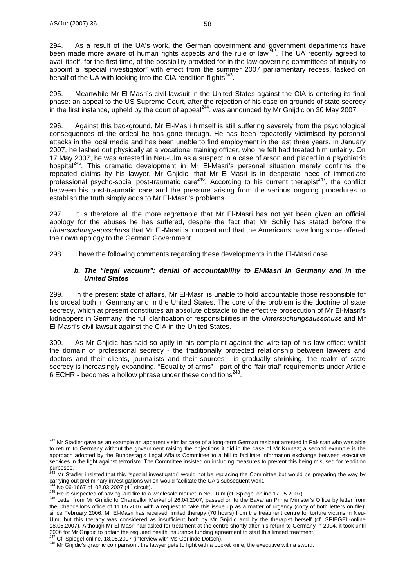294. As a result of the UA's work, the German government and government departments have been made more aware of human rights aspects and the rule of law<sup>242</sup>. The UA recently agreed to avail itself, for the first time, of the possibility provided for in the law governing committees of inquiry to appoint a "special investigator" with effect from the summer 2007 parliamentary recess, tasked on behalf of the UA with looking into the CIA rendition flights<sup>243</sup>.

295. Meanwhile Mr El-Masri's civil lawsuit in the United States against the CIA is entering its final phase: an appeal to the US Supreme Court, after the rejection of his case on grounds of state secrecy in the first instance, upheld by the court of appeal<sup>244</sup>, was announced by Mr Gnijdic on 30 May 2007.

296. Against this background, Mr El-Masri himself is still suffering severely from the psychological consequences of the ordeal he has gone through. He has been repeatedly victimised by personal attacks in the local media and has been unable to find employment in the last three years. In January 2007, he lashed out physically at a vocational training officer, who he felt had treated him unfairly. On 17 May 2007, he was arrested in Neu-Ulm as a suspect in a case of arson and placed in a psychiatric hospital<sup>245</sup>. This dramatic development in Mr El-Masri's personal situation merely confirms the repeated claims by his lawyer, Mr Gnjidic, that Mr El-Masri is in desperate need of immediate professional psycho-social post-traumatic care<sup>246</sup>. According to his current therapist<sup>247</sup>, the conflict between his post-traumatic care and the pressure arising from the various ongoing procedures to establish the truth simply adds to Mr El-Masri's problems.

297. It is therefore all the more regrettable that Mr El-Masri has not yet been given an official apology for the abuses he has suffered, despite the fact that Mr Schily has stated before the *Untersuchungsausschuss* that Mr El-Masri is innocent and that the Americans have long since offered their own apology to the German Government.

298. I have the following comments regarding these developments in the El-Masri case.

#### *b. The "legal vacuum": denial of accountability to El-Masri in Germany and in the United States*

299. In the present state of affairs, Mr El-Masri is unable to hold accountable those responsible for his ordeal both in Germany and in the United States. The core of the problem is the doctrine of state secrecy, which at present constitutes an absolute obstacle to the effective prosecution of Mr El-Masri's kidnappers in Germany, the full clarification of responsibilities in the *Untersuchungsausschuss* and Mr El-Masri's civil lawsuit against the CIA in the United States.

300. As Mr Gnjidic has said so aptly in his complaint against the wire-tap of his law office: whilst the domain of professional secrecy - the traditionally protected relationship between lawyers and doctors and their clients, journalists and their sources - is gradually shrinking, the realm of state secrecy is increasingly expanding. "Equality of arms" - part of the "fair trial" requirements under Article 6 ECHR - becomes a hollow phrase under these conditions<sup>248</sup>.

 $\overline{a}$ <sup>242</sup> Mr Stadler gave as an example an apparently similar case of a long-term German resident arrested in Pakistan who was able to return to Germany without the government raising the objections it did in the case of Mr Kurnaz; a second example is the approach adopted by the Bundestag's Legal Affairs Committee to a bill to facilitate information exchange between executive services in the fight against terrorism. The Committee insisted on including measures to prevent this being misused for rendition

purposes.<br><sup>243</sup> Mr Stadler insisted that this "special investigator" would not be replacing the Committee but would be preparing the way by carrying out preliminary investigations which would facilitate the UA's subsequent work.<br><sup>244</sup> No 06-1667 of 02.03.2007 (4<sup>th</sup> circuit).<br><sup>245</sup> He is suspected of having laid fire to a wholesale market in Neu-Ulm (cf. Spieg

the Chancellor's office of 11.05.2007 with a request to take this issue up as a matter of urgency (copy of both letters on file); since February 2006, Mr El-Masri has received limited therapy (70 hours) from the treatment centre for torture victims in Neu-Ulm, but this therapy was considered as insufficient both by Mr Gnjidic and by the therapist herself (cf. SPIEGEL-online 18.05.2007). Although Mr El-Masri had asked for treatment at the centre shortly after his return to Germany in 2004, it took until 2006 for Mr Gnjidic to obtain the required health insurance funding agreement to start this limited treatment.<br><sup>247</sup> Cf. Spiegel-online, 18.05.2007 (interview with Ms Gerlinde Dötsch).<br><sup>248</sup> Mr Gnjidic's graphic compariso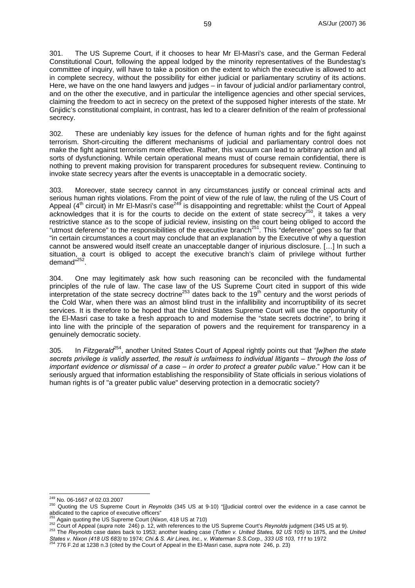301. The US Supreme Court, if it chooses to hear Mr El-Masri's case, and the German Federal Constitutional Court, following the appeal lodged by the minority representatives of the Bundestag's committee of inquiry, will have to take a position on the extent to which the executive is allowed to act in complete secrecy, without the possibility for either judicial or parliamentary scrutiny of its actions. Here, we have on the one hand lawyers and judges – in favour of judicial and/or parliamentary control, and on the other the executive, and in particular the intelligence agencies and other special services, claiming the freedom to act in secrecy on the pretext of the supposed higher interests of the state. Mr Gnjidic's constitutional complaint, in contrast, has led to a clearer definition of the realm of professional secrecy.

302. These are undeniably key issues for the defence of human rights and for the fight against terrorism. Short-circuiting the different mechanisms of judicial and parliamentary control does not make the fight against terrorism more effective. Rather, this vacuum can lead to arbitrary action and all sorts of dysfunctioning. While certain operational means must of course remain confidential, there is nothing to prevent making provision for transparent procedures for subsequent review. Continuing to invoke state secrecy years after the events is unacceptable in a democratic society.

303. Moreover, state secrecy cannot in any circumstances justify or conceal criminal acts and serious human rights violations. From the point of view of the rule of law, the ruling of the US Court of Appeal (4<sup>th</sup> circuit) in Mr El-Masri's case<sup>249</sup> is disappointing and regrettable: whilst the Court of Appeal acknowledges that it is for the courts to decide on the extent of state secrecy<sup>250</sup>, it takes a very restrictive stance as to the scope of judicial review, insisting on the court being obliged to accord the "utmost deference" to the responsibilities of the executive branch<sup>251</sup>. This "deference" goes so far that "in certain circumstances a court may conclude that an explanation by the Executive of why a question cannot be answered would itself create an unacceptable danger of injurious disclosure. […] In such a situation, a court is obliged to accept the executive branch's claim of privilege without further demand"<sup>252</sup>.

304. One may legitimately ask how such reasoning can be reconciled with the fundamental principles of the rule of law. The case law of the US Supreme Court cited in support of this wide interpretation of the state secrecy doctrine<sup>253</sup> dates back to the 19<sup>th</sup> century and the worst periods of the Cold War, when there was an almost blind trust in the infallibility and incorruptibility of its secret services. It is therefore to be hoped that the United States Supreme Court will use the opportunity of the El-Masri case to take a fresh approach to and modernise the "state secrets doctrine", to bring it into line with the principle of the separation of powers and the requirement for transparency in a genuinely democratic society.

305. In *Fitzgerald*254, another United States Court of Appeal rightly points out that *"[w]hen the state secrets privilege is validly asserted, the result is unfairness to individual litigants – through the loss of important evidence or dismissal of a case – in order to protect a greater public value.*" How can it be seriously argued that information establishing the responsibility of State officials in serious violations of human rights is of "a greater public value" deserving protection in a democratic society?

<sup>&</sup>lt;sup>249</sup> No. 06-1667 of 02.03.2007

<sup>&</sup>lt;sup>250</sup> Quoting the US Supreme Court in *Reynolds* (345 US at 9-10) "[j]udicial control over the evidence in a case cannot be abdicated to the caprice of executive officers"

<sup>&</sup>lt;sup>251</sup> Again quoting the US Supreme Court (*Nixon*, 418 US at 710)<br><sup>252</sup> Court of Appeal (*supra* note 246) p. 12, with references to the US Supreme Court's Reynolds judgment (345 US at 9).<br><sup>252</sup> Court of Appeal (*supra* no

States v. Nixon (418 US 683) to 1974; Chi & S. Air Lines, Inc., v. Waterman S.S.Corp., 333 US 103, 111 to 1972<br><sup>254</sup> 776 F.2d at 1238 n.3 (cited by the Court of Appeal in the El-Masri case, supra note 246, p. 23)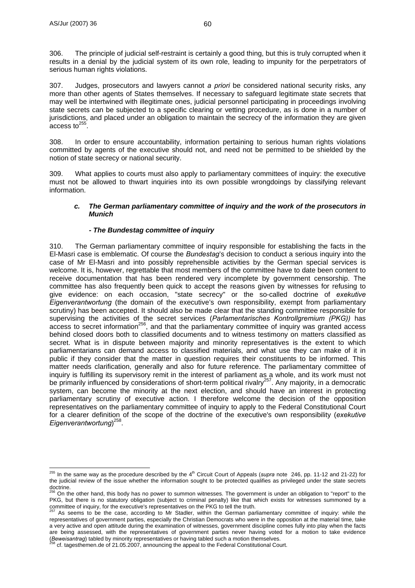306. The principle of judicial self-restraint is certainly a good thing, but this is truly corrupted when it results in a denial by the judicial system of its own role, leading to impunity for the perpetrators of serious human rights violations.

307. Judges, prosecutors and lawyers cannot *a priori* be considered national security risks, any more than other agents of States themselves. If necessary to safeguard legitimate state secrets that may well be intertwined with illegitimate ones, judicial personnel participating in proceedings involving state secrets can be subjected to a specific clearing or vetting procedure, as is done in a number of jurisdictions, and placed under an obligation to maintain the secrecy of the information they are given access to $^{255}$ 

308. In order to ensure accountability, information pertaining to serious human rights violations committed by agents of the executive should not, and need not be permitted to be shielded by the notion of state secrecy or national security.

309. What applies to courts must also apply to parliamentary committees of inquiry: the executive must not be allowed to thwart inquiries into its own possible wrongdoings by classifying relevant information.

### *c. The German parliamentary committee of inquiry and the work of the prosecutors in Munich*

## *- The Bundestag committee of inquiry*

310. The German parliamentary committee of inquiry responsible for establishing the facts in the El-Masri case is emblematic. Of course the *Bundestag*'s decision to conduct a serious inquiry into the case of Mr El-Masri and into possibly reprehensible activities by the German special services is welcome. It is, however, regrettable that most members of the committee have to date been content to receive documentation that has been rendered very incomplete by government censorship. The committee has also frequently been quick to accept the reasons given by witnesses for refusing to give evidence: on each occasion, "state secrecy" or the so-called doctrine of *exekutive Eigenverantwortung* (the domain of the executive's own responsibility, exempt from parliamentary scrutiny) has been accepted. It should also be made clear that the standing committee responsible for supervising the activities of the secret services (*Parlamentarisches Kontrollgremium (PKG))* has access to secret information<sup>256</sup>, and that the parliamentary committee of inquiry was granted access behind closed doors both to classified documents and to witness testimony on matters classified as secret. What is in dispute between majority and minority representatives is the extent to which parliamentarians can demand access to classified materials, and what use they can make of it in public if they consider that the matter in question requires their constituents to be informed. This matter needs clarification, generally and also for future reference. The parliamentary committee of inquiry is fulfilling its supervisory remit in the interest of parliament as a whole, and its work must not be primarily influenced by considerations of short-term political rivalry<sup>257</sup>. Any majority, in a democratic system, can become the minority at the next election, and should have an interest in protecting parliamentary scrutiny of executive action. I therefore welcome the decision of the opposition representatives on the parliamentary committee of inquiry to apply to the Federal Constitutional Court for a clearer definition of the scope of the doctrine of the executive's own responsibility (*exekutive Eigenverantwortung*) 258.

 $\overline{a}$  $^{255}$  In the same way as the procedure described by the 4<sup>th</sup> Circuit Court of Appeals (*supra* note 246, pp. 11-12 and 21-22) for the judicial review of the issue whether the information sought to be protected qualifies as privileged under the state secrets

doctrine.<br><sup>256</sup> On the other hand, this body has no power to summon witnesses. The government is under an obligation to "report" to the PKG, but there is no statutory obligation (subject to criminal penalty) like that which exists for witnesses summoned by a committee of inquiry, for the executive's representatives on the PKG to tell the truth.

As seems to be the case, according to Mr Stadler, within the German parliamentary committee of inquiry: while the representatives of government parties, especially the Christian Democrats who were in the opposition at the material time, take a very active and open attitude during the examination of witnesses, government discipline comes fully into play when the facts are being assessed, with the representatives of government parties never having voted for a motion to take evidence (Beweisantrag) tabled by minority representatives or having tabled such a motion themselves.

cf. tagesthemen.de of 21.05.2007, announcing the appeal to the Federal Constitutional Court.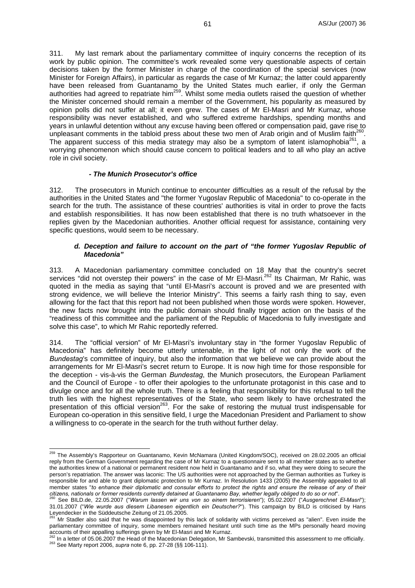311. My last remark about the parliamentary committee of inquiry concerns the reception of its work by public opinion. The committee's work revealed some very questionable aspects of certain decisions taken by the former Minister in charge of the coordination of the special services (now Minister for Foreign Affairs), in particular as regards the case of Mr Kurnaz; the latter could apparently have been released from Guantanamo by the United States much earlier, if only the German authorities had agreed to repatriate him<sup>259</sup>. Whilst some media outlets raised the question of whether the Minister concerned should remain a member of the Government, his popularity as measured by opinion polls did not suffer at all; it even grew. The cases of Mr El-Masri and Mr Kurnaz, whose responsibility was never established, and who suffered extreme hardships, spending months and years in unlawful detention without any excuse having been offered or compensation paid, gave rise to unpleasant comments in the tabloid press about these two men of Arab origin and of Muslim faith<sup>260</sup>. The apparent success of this media strategy may also be a symptom of latent islamophobia<sup>261</sup>, a worrying phenomenon which should cause concern to political leaders and to all who play an active role in civil society.

#### *- The Munich Prosecutor's office*

 $\overline{a}$ 

312. The prosecutors in Munich continue to encounter difficulties as a result of the refusal by the authorities in the United States and "the former Yugoslav Republic of Macedonia" to co-operate in the search for the truth. The assistance of these countries' authorities is vital in order to prove the facts and establish responsibilities. It has now been established that there is no truth whatsoever in the replies given by the Macedonian authorities. Another official request for assistance, containing very specific questions, would seem to be necessary.

#### *d. Deception and failure to account on the part of "the former Yugoslav Republic of Macedonia"*

313. A Macedonian parliamentary committee concluded on 18 May that the country's secret services "did not overstep their powers" in the case of Mr El-Masri.<sup>262</sup> Its Chairman, Mr Rahic, was quoted in the media as saying that "until El-Masri's account is proved and we are presented with strong evidence, we will believe the Interior Ministry". This seems a fairly rash thing to say, even allowing for the fact that this report had not been published when those words were spoken. However, the new facts now brought into the public domain should finally trigger action on the basis of the "readiness of this committee and the parliament of the Republic of Macedonia to fully investigate and solve this case", to which Mr Rahic reportedly referred.

314. The "official version" of Mr El-Masri's involuntary stay in "the former Yugoslav Republic of Macedonia" has definitely become utterly untenable, in the light of not only the work of the *Bundestag*'s committee of inquiry, but also the information that we believe we can provide about the arrangements for Mr El-Masri's secret return to Europe. It is now high time for those responsible for the deception - vis-à-vis the German *Bundestag*, the Munich prosecutors, the European Parliament and the Council of Europe - to offer their apologies to the unfortunate protagonist in this case and to divulge once and for all the whole truth. There is a feeling that responsibility for this refusal to tell the truth lies with the highest representatives of the State, who seem likely to have orchestrated the presentation of this official version<sup>263</sup>. For the sake of restoring the mutual trust indispensable for European co-operation in this sensitive field, I urge the Macedonian President and Parliament to show a willingness to co-operate in the search for the truth without further delay.

<sup>&</sup>lt;sup>259</sup> The Assembly's Rapporteur on Guantanamo, Kevin McNamara (United Kingdom/SOC), received on 28.02.2005 an official reply from the German Government regarding the case of Mr Kurnaz to a questionnaire sent to all member states as to whether the authorities knew of a national or permanent resident now held in Guantanamo and if so, what they were doing to secure the person's repatriation. The answer was laconic: The US authorities were not approached by the German authorities as Turkey is responsible for and able to grant diplomatic protection to Mr Kurnaz. In Resolution 1433 (2005) the Assembly appealed to all member states "*to enhance their diplomatic and consular efforts to protect the rights and ensure the release of any of their* 

<sup>&</sup>lt;sup>260</sup> See BILD.de, 22.05.2007 ("Warum lassen wir uns von so einem terrorisieren"); 05.02.2007 ("Ausgerechnet El-Masri"); 31.01.2007 ("*Wie wurde aus diesem Libanesen eigentlich ein Deutscher?*"). This campaign by BILD is criticised by Hans Leyendecker in the Süddeutsche Zeitung of 21.05.2005.

<sup>261</sup> Mr Stadler also said that he was disappointed by this lack of solidarity with victims perceived as "alien". Even inside the parliamentary committee of inquiry, some members remained hesitant until such time as the MPs personally heard moving<br>accounts of their appalling sufferings given by Mr El-Masri and Mr Kurnaz.

 $^{262}$  In a letter of 05.06.2007 the Head of the Macedonian Delegation, Mr Sambevski, transmitted this assessment to me officially.<br><sup>263</sup> See Marty report 2006, supra note 6, pp. 27-28 (§§ 106-111).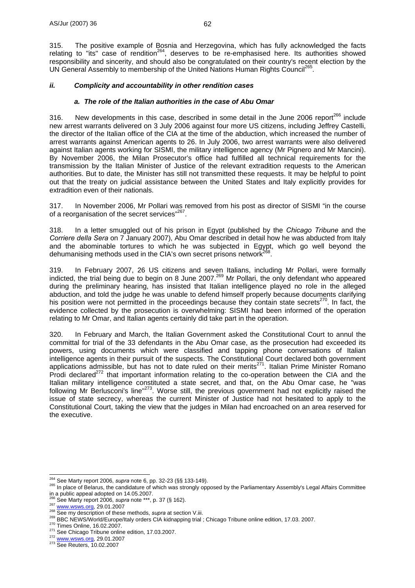315. The positive example of Bosnia and Herzegovina, which has fully acknowledged the facts relating to "its" case of rendition<sup>264</sup>, deserves to be re-emphasised here. Its authorities showed responsibility and sincerity, and should also be congratulated on their country's recent election by the UN General Assembly to membership of the United Nations Human Rights Council<sup>265</sup>.

### *ii. Complicity and accountability in other rendition cases*

#### *a. The role of the Italian authorities in the case of Abu Omar*

316. New developments in this case, described in some detail in the June 2006 report<sup>266</sup> include new arrest warrants delivered on 3 July 2006 against four more US citizens, including Jeffrey Castelli, the director of the Italian office of the CIA at the time of the abduction, which increased the number of arrest warrants against American agents to 26. In July 2006, two arrest warrants were also delivered against Italian agents working for SISMI, the military intelligence agency (Mr Pignero and Mr Mancini). By November 2006, the Milan Prosecutor's office had fulfilled all technical requirements for the transmission by the Italian Minister of Justice of the relevant extradition requests to the American authorities. But to date, the Minister has still not transmitted these requests. It may be helpful to point out that the treaty on judicial assistance between the United States and Italy explicitly provides for extradition even of their nationals.

317. In November 2006, Mr Pollari was removed from his post as director of SISMI "in the course of a reorganisation of the secret services"<sup>267</sup>.

318. In a letter smuggled out of his prison in Egypt (published by the *Chicago Tribune* and the *Corriere della Sera* on 7 January 2007), Abu Omar described in detail how he was abducted from Italy and the abominable tortures to which he was subjected in Egypt, which go well beyond the dehumanising methods used in the CIA's own secret prisons network<sup>2</sup>

319. In February 2007, 26 US citizens and seven Italians, including Mr Pollari, were formally indicted, the trial being due to begin on 8 June 2007.269 Mr Pollari, the only defendant who appeared during the preliminary hearing, has insisted that Italian intelligence played no role in the alleged abduction, and told the judge he was unable to defend himself properly because documents clarifying his position were not permitted in the proceedings because they contain state secrets<sup>270</sup>. In fact, the evidence collected by the prosecution is overwhelming: SISMI had been informed of the operation relating to Mr Omar, and Italian agents certainly did take part in the operation.

320. In February and March, the Italian Government asked the Constitutional Court to annul the committal for trial of the 33 defendants in the Abu Omar case, as the prosecution had exceeded its powers, using documents which were classified and tapping phone conversations of Italian intelligence agents in their pursuit of the suspects. The Constitutional Court declared both government applications admissible, but has not to date ruled on their merits<sup>271</sup>. Italian Prime Minister Romano Prodi declared $^{272}$  that important information relating to the co-operation between the CIA and the Italian military intelligence constituted a state secret, and that, on the Abu Omar case, he "was following Mr Berlusconi's line"<sup>273</sup>. Worse still, the previous government had not explicitly raised the issue of state secrecy, whereas the current Minister of Justice had not hesitated to apply to the Constitutional Court, taking the view that the judges in Milan had encroached on an area reserved for the executive.

<sup>&</sup>lt;sup>264</sup> See Marty report 2006, *supra* note 6, pp. 32-23 (§§ 133-149).

<sup>&</sup>lt;sup>265</sup> In place of Belarus, the candidature of which was strongly opposed by the Parliamentary Assembly's Legal Affairs Committee

in a public appeal adopted on  $14.05.2007$ .<br><sup>266</sup> See Marty report 2006, *supra* note \*\*\*, p. 37 (§ 162).

<sup>&</sup>lt;sup>267</sup> WWW.WSWS.Org, 29.01.2007<br>
<sup>267</sup> WWW.WSWS.Org, 29.01.2007<br>
<sup>268</sup> See my description of these methods, *supra* at section V.iii.<br>
<sup>269</sup> BBC NEWS/World/Europe/Italy orders CIA kidnapping trial ; Chicago Tribune online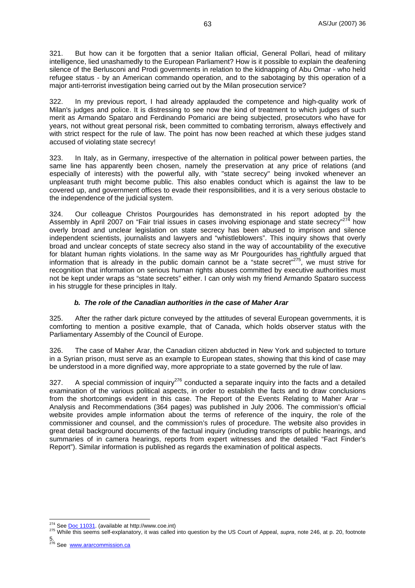321. But how can it be forgotten that a senior Italian official, General Pollari, head of military intelligence, lied unashamedly to the European Parliament? How is it possible to explain the deafening silence of the Berlusconi and Prodi governments in relation to the kidnapping of Abu Omar - who held refugee status - by an American commando operation, and to the sabotaging by this operation of a major anti-terrorist investigation being carried out by the Milan prosecution service?

322. In my previous report, I had already applauded the competence and high-quality work of Milan's judges and police. It is distressing to see now the kind of treatment to which judges of such merit as Armando Spataro and Ferdinando Pomarici are being subjected, prosecutors who have for years, not without great personal risk, been committed to combating terrorism, always effectively and with strict respect for the rule of law. The point has now been reached at which these judges stand accused of violating state secrecy!

323. In Italy, as in Germany, irrespective of the alternation in political power between parties, the same line has apparently been chosen, namely the preservation at any price of relations (and especially of interests) with the powerful ally, with "state secrecy" being invoked whenever an unpleasant truth might become public. This also enables conduct which is against the law to be covered up, and government offices to evade their responsibilities, and it is a very serious obstacle to the independence of the judicial system.

324. Our colleague Christos Pourgourides has demonstrated in his report adopted by the Assembly in April 2007 on "Fair trial issues in cases involving espionage and state secrecy"<sup>274</sup> how overly broad and unclear legislation on state secrecy has been abused to imprison and silence independent scientists, journalists and lawyers and "whistleblowers". This inquiry shows that overly broad and unclear concepts of state secrecy also stand in the way of accountability of the executive for blatant human rights violations. In the same way as Mr Pourgourides has rightfully argued that information that is already in the public domain cannot be a "state secret"275, we must strive for recognition that information on serious human rights abuses committed by executive authorities must not be kept under wraps as "state secrets" either. I can only wish my friend Armando Spataro success in his struggle for these principles in Italy.

## *b. The role of the Canadian authorities in the case of Maher Arar*

325. After the rather dark picture conveyed by the attitudes of several European governments, it is comforting to mention a positive example, that of Canada, which holds observer status with the Parliamentary Assembly of the Council of Europe.

326. The case of Maher Arar, the Canadian citizen abducted in New York and subjected to torture in a Syrian prison, must serve as an example to European states, showing that this kind of case may be understood in a more dignified way, more appropriate to a state governed by the rule of law.

327. A special commission of inquiry<sup>276</sup> conducted a separate inquiry into the facts and a detailed examination of the various political aspects, in order to establish the facts and to draw conclusions from the shortcomings evident in this case. The Report of the Events Relating to Maher Arar – Analysis and Recommendations (364 pages) was published in July 2006. The commission's official website provides ample information about the terms of reference of the inquiry, the role of the commissioner and counsel, and the commission's rules of procedure. The website also provides in great detail background documents of the factual inquiry (including transcripts of public hearings, and summaries of in camera hearings, reports from expert witnesses and the detailed "Fact Finder's Report"). Similar information is published as regards the examination of political aspects.

<sup>&</sup>lt;sup>274</sup> See Doc 11031. (available at http://www.coe.int)

<sup>275</sup> While this seems self-explanatory, it was called into question by the US Court of Appeal, *supra*, note 246, at p. 20, footnote

<sup>5.&</sup>lt;br><sup>276</sup> See <u>www.ararcommission.ca</u>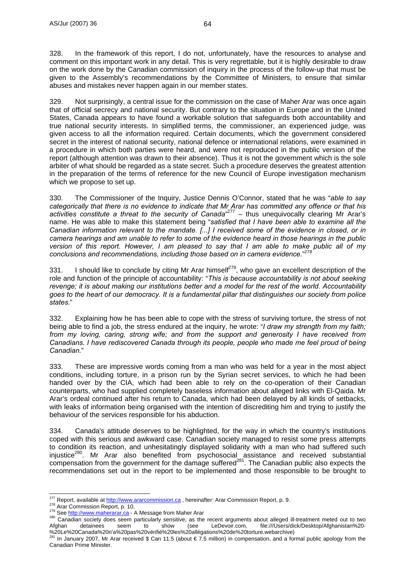328. In the framework of this report, I do not, unfortunately, have the resources to analyse and comment on this important work in any detail. This is very regrettable, but it is highly desirable to draw on the work done by the Canadian commission of inquiry in the process of the follow-up that must be given to the Assembly's recommendations by the Committee of Ministers, to ensure that similar abuses and mistakes never happen again in our member states.

329. Not surprisingly, a central issue for the commission on the case of Maher Arar was once again that of official secrecy and national security. But contrary to the situation in Europe and in the United States, Canada appears to have found a workable solution that safeguards both accountability and true national security interests. In simplified terms, the commissioner, an experienced judge, was given access to all the information required. Certain documents, which the government considered secret in the interest of national security, national defence or international relations, were examined in a procedure in which both parties were heard, and were not reproduced in the public version of the report (although attention was drawn to their absence). Thus it is not the government which is the sole arbiter of what should be regarded as a state secret. Such a procedure deserves the greatest attention in the preparation of the terms of reference for the new Council of Europe investigation mechanism which we propose to set up.

330. The Commissioner of the Inquiry, Justice Dennis O'Connor, stated that he was "*able to say categorically that there is no evidence to indicate that Mr Arar has committed any offence or that his*  activities constitute a threat to the security of Canada<sup>"277</sup> - thus unequivocally clearing Mr Arar's name. He was able to make this statement being "*satisfied that I have been able to examine all the Canadian information relevant to the mandate. [...] I received some of the evidence in closed, or in camera hearings and am unable to refer to some of the evidence heard in those hearings in the public version of this report. However, I am pleased to say that I am able to make public all of my conclusions and recommendations, including those based on in camera evidence.*" 278

331. I should like to conclude by citing Mr Arar himself<sup>279</sup>, who gave an excellent description of the role and function of the principle of accountability: "*This is because accountability is not about seeking revenge; it is about making our institutions better and a model for the rest of the world. Accountability goes to the heart of our democracy. It is a fundamental pillar that distinguishes our society from police states.*"

332. Explaining how he has been able to cope with the stress of surviving torture, the stress of not being able to find a job, the stress endured at the inquiry, he wrote: "*I draw my strength from my faith; from my loving, caring, strong wife; and from the support and generosity I have received from Canadians. I have rediscovered Canada through its people, people who made me feel proud of being Canadian.*"

333. These are impressive words coming from a man who was held for a year in the most abject conditions, including torture, in a prison run by the Syrian secret services, to which he had been handed over by the CIA, which had been able to rely on the co-operation of their Canadian counterparts, who had supplied completely baseless information about alleged links with El-Qaida. Mr Arar's ordeal continued after his return to Canada, which had been delayed by all kinds of setbacks, with leaks of information being organised with the intention of discrediting him and trying to justify the behaviour of the services responsible for his abduction.

334. Canada's attitude deserves to be highlighted, for the way in which the country's institutions coped with this serious and awkward case. Canadian society managed to resist some press attempts to condition its reaction, and unhesitatingly displayed solidarity with a man who had suffered such injustice<sup>280</sup>. Mr Arar also benefited from psychosocial assistance and received substantial  $\ldots$  compensation from the government for the damage suffered<sup>281</sup>. The Canadian public also expects the recommendations set out in the report to be implemented and those responsible to be brought to

<sup>&</sup>lt;sup>277</sup> Report, available at http://www.ararcommission.ca, hereinafter: Arar Commission Report, p. 9.

<sup>278</sup> Arar Commission Report, p. 10.<br>
279 See http://www.maherarar.ca - A Message from Maher Arar<br>
280 Canadian society does seem particularly sensitive, as the recent arguments about alleged ill-treatment meted out to two<br> Afghan detainees seem to show (see LeDevoir.com, file:///Users/dick/Desktop/Afghanistan%20-<br>%20Le%20Canada%20n'a%20pas%20vérifié%20les%20allégations%20de%20torture.webarchive)

In January 2007, Mr Arar received \$ Can 11.5 (about € 7.5 million) in compensation, and a formal public apology from the Canadian Prime Minister.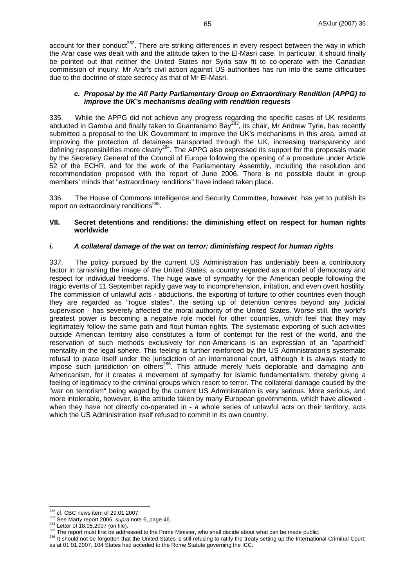account for their conduct<sup>282</sup>. There are striking differences in every respect between the way in which the Arar case was dealt with and the attitude taken to the El-Masri case. In particular, it should finally be pointed out that neither the United States nor Syria saw fit to co-operate with the Canadian commission of inquiry. Mr Arar's civil action against US authorities has run into the same difficulties due to the doctrine of state secrecy as that of Mr El-Masri.

#### *c. Proposal by the All Party Parliamentary Group on Extraordinary Rendition (APPG) to improve the UK's mechanisms dealing with rendition requests*

335. While the APPG did not achieve any progress regarding the specific cases of UK residents abducted in Gambia and finally taken to Guantanamo Bay<sup>283</sup>, its chair, Mr Andrew Tyrie, has recently submitted a proposal to the UK Government to improve the UK's mechanisms in this area, aimed at improving the protection of detainees transported through the UK, increasing transparency and defining responsibilities more clearly<sup>284</sup>. The APPG also expressed its support for the proposals made by the Secretary General of the Council of Europe following the opening of a procedure under Article 52 of the ECHR, and for the work of the Parliamentary Assembly, including the resolution and recommendation proposed with the report of June 2006. There is no possible doubt in group members' minds that "extraordinary renditions" have indeed taken place.

336. The House of Commons Intelligence and Security Committee, however, has yet to publish its report on extraordinary renditions $^{285}$ .

#### **VII. Secret detentions and renditions: the diminishing effect on respect for human rights worldwide**

#### *i. A collateral damage of the war on terror: diminishing respect for human rights*

337. The policy pursued by the current US Administration has undeniably been a contributory factor in tarnishing the image of the United States, a country regarded as a model of democracy and respect for individual freedoms. The huge wave of sympathy for the American people following the tragic events of 11 September rapidly gave way to incomprehension, irritation, and even overt hostility. The commission of unlawful acts - abductions, the exporting of torture to other countries even though they are regarded as "rogue states", the setting up of detention centres beyond any judicial supervision - has severely affected the moral authority of the United States. Worse still, the world's greatest power is becoming a negative role model for other countries, which feel that they may legitimately follow the same path and flout human rights. The systematic exporting of such activities outside American territory also constitutes a form of contempt for the rest of the world, and the reservation of such methods exclusively for non-Americans is an expression of an "apartheid" mentality in the legal sphere. This feeling is further reinforced by the US Administration's systematic refusal to place itself under the jurisdiction of an international court, although it is always ready to impose such jurisdiction on others<sup>286</sup>. This attitude merely fuels deplorable and damaging anti-Americanism, for it creates a movement of sympathy for Islamic fundamentalism, thereby giving a feeling of legitimacy to the criminal groups which resort to terror. The collateral damage caused by the "war on terrorism" being waged by the current US Administration is very serious. More serious, and more intolerable, however, is the attitude taken by many European governments, which have allowed when they have not directly co-operated in - a whole series of unlawful acts on their territory, acts which the US Administration itself refused to commit in its own country.

 $282$  cf. CBC news item of 29.01.2007

<sup>&</sup>lt;sup>283</sup> See Marty report 2006, *supra* note 6, page 46.<br><sup>284</sup> Letter of 18.05.2007 (on file).<br><sup>285</sup> The report must first be addressed to the Prime Minister, who shall decide about what can be made public.<br><sup>285</sup> The report m as at 01.01.2007, 104 States had acceded to the Rome Statute governing the ICC.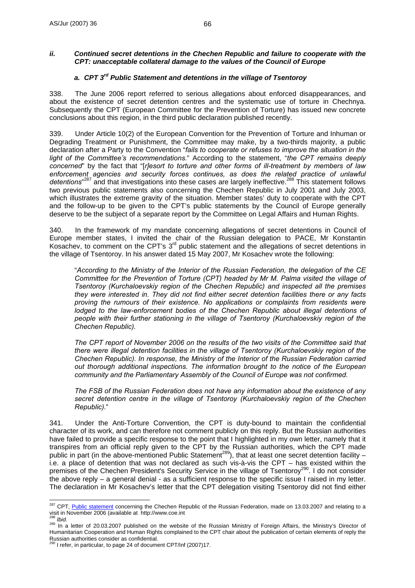### *ii. Continued secret detentions in the Chechen Republic and failure to cooperate with the CPT: unacceptable collateral damage to the values of the Council of Europe*

## *a. CPT 3rd Public Statement and detentions in the village of Tsentoroy*

338. The June 2006 report referred to serious allegations about enforced disappearances, and about the existence of secret detention centres and the systematic use of torture in Chechnya. Subsequently the CPT (European Committee for the Prevention of Torture) has issued new concrete conclusions about this region, in the third public declaration published recently.

339. Under Article 10(2) of the European Convention for the Prevention of Torture and Inhuman or Degrading Treatment or Punishment, the Committee may make, by a two-thirds majority, a public declaration after a Party to the Convention "*fails to cooperate or refuses to improve the situation in the light of the Committee's recommendations.*" According to the statement, "*the CPT remains deeply concerned*" by the fact that "[*r]esort to torture and other forms of ill-treatment by members of law enforcement agencies and security forces continues, as does the related practice of unlawful*  detentions<sup>"287</sup> and that investigations into these cases are largely ineffective.<sup>288</sup> This statement follows two previous public statements also concerning the Chechen Republic in July 2001 and July 2003, which illustrates the extreme gravity of the situation. Member states' duty to cooperate with the CPT and the follow-up to be given to the CPT's public statements by the Council of Europe generally deserve to be the subject of a separate report by the Committee on Legal Affairs and Human Rights.

340. In the framework of my mandate concerning allegations of secret detentions in Council of Europe member states, I invited the chair of the Russian delegation to PACE, Mr Konstantin Kosachev, to comment on the CPT's 3<sup>rd</sup> public statement and the allegations of secret detentions in the village of Tsentoroy. In his answer dated 15 May 2007, Mr Kosachev wrote the following:

"*According to the Ministry of the Interior of the Russian Federation, the delegation of the CE Committee for the Prevention of Torture (CPT) headed by Mr M. Palma visited the village of Tsentoroy (Kurchaloevskiy region of the Chechen Republic) and inspected all the premises they were interested in. They did not find either secret detention facilities there or any facts proving the rumours of their existence. No applications or complaints from residents were lodged to the law-enforcement bodies of the Chechen Republic about illegal detentions of people with their further stationing in the village of Tsentoroy (Kurchaloevskiy region of the Chechen Republic).* 

*The CPT report of November 2006 on the results of the two visits of the Committee said that there were illegal detention facilities in the village of Tsentoroy (Kurchaloevskiy region of the Chechen Republic). In response, the Ministry of the Interior of the Russian Federation carried out thorough additional inspections. The information brought to the notice of the European community and the Parliamentary Assembly of the Council of Europe was not confirmed.* 

*The FSB of the Russian Federation does not have any information about the existence of any secret detention centre in the village of Tsentoroy (Kurchaloevskiy region of the Chechen Republic).*"

341. Under the Anti-Torture Convention, the CPT is duty-bound to maintain the confidential character of its work, and can therefore not comment publicly on this reply. But the Russian authorities have failed to provide a specific response to the point that I highlighted in my own letter, namely that it transpires from an official reply given to the CPT by the Russian authorities, which the CPT made public in part (in the above-mentioned Public Statement<sup>289</sup>), that at least one secret detention facility  $$ i.e. a place of detention that was not declared as such vis-à-vis the CPT – has existed within the premises of the Chechen President's Security Service in the village of Tsentoroy290. I do not consider the above reply – a general denial - as a sufficient response to the specific issue I raised in my letter. The declaration in Mr Kosachev's letter that the CPT delegation visiting Tsentoroy did not find either

 $\overline{a}$ <sup>287</sup> CPT, *Public statement* concerning the Chechen Republic of the Russian Federation, made on 13.03.2007 and relating to a visit in November 2006 (available at http://www.coe.int

<sup>288</sup> *Ibid.* 289 In a letter of 20.03.2007 published on the website of the Russian Ministry of Foreign Affairs, the Ministry's Director of Humanitarian Cooperation and Human Rights complained to the CPT chair about the publication of certain elements of reply the Russian authorities consider as confidential.

I refer, in particular, to page 24 of document CPT/Inf (2007)17.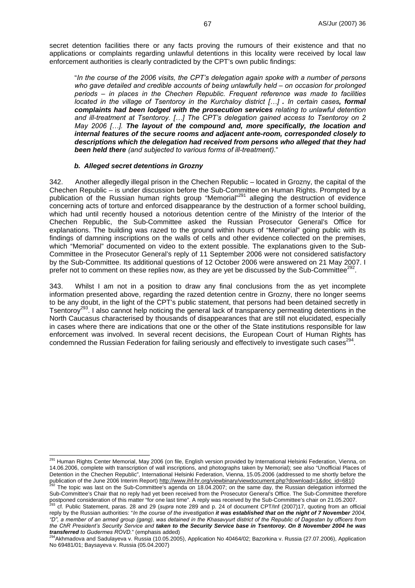secret detention facilities there or any facts proving the rumours of their existence and that no applications or complaints regarding unlawful detentions in this locality were received by local law enforcement authorities is clearly contradicted by the CPT's own public findings:

"*In the course of the 2006 visits, the CPT's delegation again spoke with a number of persons who gave detailed and credible accounts of being unlawfully held – on occasion for prolonged periods – in places in the Chechen Republic. Frequent reference was made to facilities located in the village of Tsentoroy in the Kurchaloy district […] . In certain cases, formal complaints had been lodged with the prosecution services relating to unlawful detention and ill-treatment at Tsentoroy. […] The CPT's delegation gained access to Tsentoroy on 2 May 2006 […]. The layout of the compound and, more specifically, the location and internal features of the secure rooms and adjacent ante-room, corresponded closely to descriptions which the delegation had received from persons who alleged that they had been held there (and subjected to various forms of ill-treatment).*"

#### *b. Alleged secret detentions in Grozny*

 $\overline{a}$ 

342. Another allegedly illegal prison in the Chechen Republic – located in Grozny, the capital of the Chechen Republic – is under discussion before the Sub-Committee on Human Rights. Prompted by a publication of the Russian human rights group "Memorial"<sup>291</sup> alleging the destruction of evidence concerning acts of torture and enforced disappearance by the destruction of a former school building, which had until recently housed a notorious detention centre of the Ministry of the Interior of the Chechen Republic, the Sub-Committee asked the Russian Prosecutor General's Office for explanations. The building was razed to the ground within hours of "Memorial" going public with its findings of damning inscriptions on the walls of cells and other evidence collected on the premises, which "Memorial" documented on video to the extent possible. The explanations given to the Sub-Committee in the Prosecutor General's reply of 11 September 2006 were not considered satisfactory by the Sub-Committee. Its additional questions of 12 October 2006 were answered on 21 May 2007. I prefer not to comment on these replies now, as they are yet be discussed by the Sub-Committee<sup>22</sup>

343. Whilst I am not in a position to draw any final conclusions from the as yet incomplete information presented above, regarding the razed detention centre in Grozny, there no longer seems to be any doubt, in the light of the CPT's public statement, that persons had been detained secretly in Tsentoroy<sup>293</sup>. I also cannot help noticing the general lack of transparency permeating detentions in the North Caucasus characterised by thousands of disappearances that are still not elucidated, especially in cases where there are indications that one or the other of the State institutions responsible for law enforcement was involved. In several recent decisions, the European Court of Human Rights has condemned the Russian Federation for failing seriously and effectively to investigate such cases  $294$ .

<sup>&</sup>lt;sup>291</sup> Human Rights Center Memorial, May 2006 (on file, English version provided by International Helsinki Federation, Vienna, on 14.06.2006, complete with transcription of wall inscriptions, and photographs taken by Memorial); see also "Unofficial Places of Detention in the Chechen Republic", International Helsinki Federation, Vienna, 15.05.2006 (addressed to me shortly before the publication of the June 2006 Interim Report) http://www.inf-hr.org/viewbinary/viewdocument.php?download=1&doc\_id=6810<br><sup>292</sup> The topic was last on the Sub-Committee's agenda on 18.04.2007; on the same day, the Russian deleg

Sub-Committee's Chair that no reply had yet been received from the Prosecutor General's Office. The Sub-Committee therefore postponed consideration of this matter "for one last time". A reply was received by the Sub-Committee's chair on 21.05.2007.<br><sup>293</sup> cf. Public Statement, paras. 28 and 29 (supra note 289 and p. 24 of document CPT/Inf (2007)

reply by the Russian authorities: "*In the course of the investigation it was established that on the night of 7 November 2004, "D", a member of an armed group (gang), was detained in the Khasavyurt district of the Republic of Dagestan by officers from the ChR President's Security Service and taken to the Security Service base in Tsentoroy. On 8 November 2004 he was transferred to Gudermes ROVD.*" (emphasis added)

<sup>&</sup>lt;sup>4</sup>Akhmadova and Sadulayeva v. Russia (10.05.2005), Application No 40464/02; Bazorkina v. Russia (27.07.2006), Application No 69481/01; Baysayeva v. Russia (05.04.2007)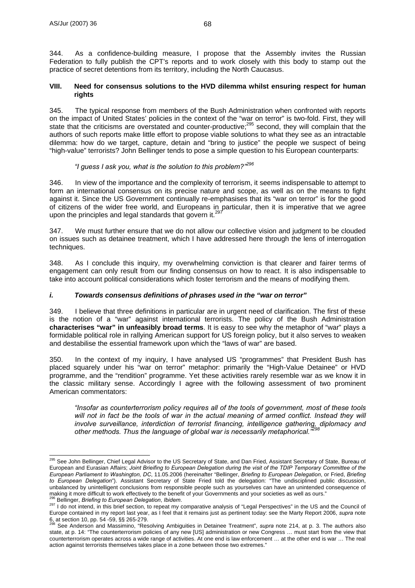344. As a confidence-building measure, I propose that the Assembly invites the Russian Federation to fully publish the CPT's reports and to work closely with this body to stamp out the practice of secret detentions from its territory, including the North Caucasus.

#### **VIII. Need for consensus solutions to the HVD dilemma whilst ensuring respect for human rights**

345. The typical response from members of the Bush Administration when confronted with reports on the impact of United States' policies in the context of the "war on terror" is two-fold. First, they will state that the criticisms are overstated and counter-productive;<sup>295</sup> second, they will complain that the authors of such reports make little effort to propose viable solutions to what they see as an intractable dilemma: how do we target, capture, detain and "bring to justice" the people we suspect of being "high-value" terrorists? John Bellinger tends to pose a simple question to his European counterparts:

## *"I guess I ask you, what is the solution to this problem?"<sup>296</sup>*

346. In view of the importance and the complexity of terrorism, it seems indispensable to attempt to form an international consensus on its precise nature and scope, as well as on the means to fight against it. Since the US Government continually re-emphasises that its "war on terror" is for the good of citizens of the wider free world, and Europeans in particular, then it is imperative that we agree upon the principles and legal standards that govern it.<sup>297</sup>

347. We must further ensure that we do not allow our collective vision and judgment to be clouded on issues such as detainee treatment, which I have addressed here through the lens of interrogation techniques.

348. As I conclude this inquiry, my overwhelming conviction is that clearer and fairer terms of engagement can only result from our finding consensus on how to react. It is also indispensable to take into account political considerations which foster terrorism and the means of modifying them.

## *i. Towards consensus definitions of phrases used in the "war on terror"*

349. I believe that three definitions in particular are in urgent need of clarification. The first of these is the notion of a "war" against international terrorists. The policy of the Bush Administration **characterises "war" in unfeasibly broad terms**. It is easy to see why the metaphor of "war" plays a formidable political role in rallying American support for US foreign policy, but it also serves to weaken and destabilise the essential framework upon which the "laws of war" are based.

350. In the context of my inquiry, I have analysed US "programmes" that President Bush has placed squarely under his "war on terror" metaphor: primarily the "High-Value Detainee" or HVD programme, and the "rendition" programme. Yet these activities rarely resemble war as we know it in the classic military sense. Accordingly I agree with the following assessment of two prominent American commentators:

*"Insofar as counterterrorism policy requires all of the tools of government, most of these tools*  will not in fact be the tools of war in the actual meaning of armed conflict. Instead they will *involve surveillance, interdiction of terrorist financing, intelligence gathering, diplomacy and other methods. Thus the language of global war is necessarily metaphorical."<sup>298</sup>*

 $\overline{a}$ <sup>295</sup> See John Bellinger, Chief Legal Advisor to the US Secretary of State, and Dan Fried, Assistant Secretary of State, Bureau of European and Eurasian Affairs; *Joint Brieifing to European Delegation during the visit of the TDIP Temporary Committee of the European Parliament to Washington, DC*, 11.05.2006 (hereinafter "Bellinger, *Briefing to European Delegation*, or Fried, *Briefing to European Delegation*"). Assistant Secretary of State Fried told the delegation: "The undisciplined public discussion, unbalanced by unintelligent conclusions from responsible people such as yourselves can have an unintended consequence of making it more difficult to work effectively to the benefit of your Governments and your societies as

<sup>&</sup>lt;sup>296</sup> Bellinger, *Briefing to European Delegation, Ibidem*.<br><sup>297</sup> I do not intend, in this brief section, to repeat my comparative analysis of "Legal Perspectives" in the US and the Council of Europe contained in my report last year, as I feel that it remains just as pertinent today: see the Marty Report 2006, *supra* note 6, at section 10, pp. 54 -59, §§ 265-279.

<sup>298</sup> See Anderson and Massimino, "Resolving Ambiguities in Detainee Treatment", *supra* note 214, at p. 3. The authors also state, at p. 14: "The counterterrorism policies of any new [US] administration or new Congress … must start from the view that counterterrorism operates across a wide range of activities. At one end is law enforcement … at the other end is war … The real action against terrorists themselves takes place in a zone between those two extremes."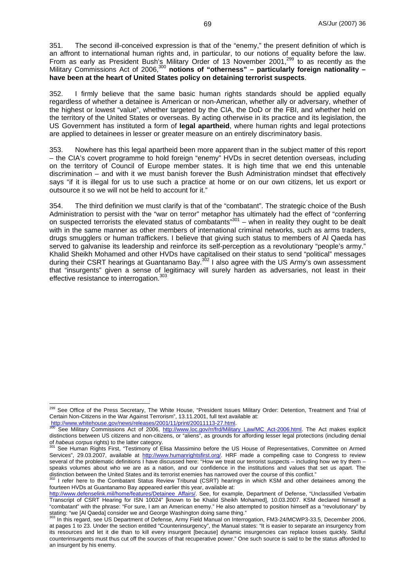351. The second ill-conceived expression is that of the "enemy," the present definition of which is an affront to international human rights and, in particular, to our notions of equality before the law. From as early as President Bush's Military Order of 13 November 2001,<sup>299</sup> to as recently as the Military Commissions Act of 2006,<sup>300</sup> notions of "otherness" - particularly foreign nationality **have been at the heart of United States policy on detaining terrorist suspects**.

352. I firmly believe that the same basic human rights standards should be applied equally regardless of whether a detainee is American or non-American, whether ally or adversary, whether of the highest or lowest "value", whether targeted by the CIA, the DoD or the FBI, and whether held on the territory of the United States or overseas. By acting otherwise in its practice and its legislation, the US Government has instituted a form of **legal apartheid**, where human rights and legal protections are applied to detainees in lesser or greater measure on an entirely discriminatory basis.

353. Nowhere has this legal apartheid been more apparent than in the subject matter of this report – the CIA's covert programme to hold foreign "enemy" HVDs in secret detention overseas, including on the territory of Council of Europe member states. It is high time that we end this untenable discrimination – and with it we must banish forever the Bush Administration mindset that effectively says "if it is illegal for us to use such a practice at home or on our own citizens, let us export or outsource it so we will not be held to account for it."

354. The third definition we must clarify is that of the "combatant". The strategic choice of the Bush Administration to persist with the "war on terror" metaphor has ultimately had the effect of "conferring on suspected terrorists the elevated status of combatants" $301$  – when in reality they ought to be dealt with in the same manner as other members of international criminal networks, such as arms traders, drugs smugglers or human traffickers. I believe that giving such status to members of Al Qaeda has served to galvanise its leadership and reinforce its self-perception as a revolutionary "people's army." Khalid Sheikh Mohamed and other HVDs have capitalised on their status to send "political" messages during their CSRT hearings at Guantanamo Bay.<sup>302</sup> I also agree with the US Army's own assessment that "insurgents" given a sense of legitimacy will surely harden as adversaries, not least in their effective resistance to interrogation.<sup>303</sup>

 $\overline{a}$ 

<sup>&</sup>lt;sup>299</sup> See Office of the Press Secretary, The White House, "President Issues Military Order: Detention, Treatment and Trial of Certain Non-Citizens in the War Against Terrorism", 13.11.2001, full text available at:<br>http://www.whitehouse.gov/news/releases/2001/11/print/20011113-27.html.

See Military Commissions Act of 2006, http://www.loc.gov/rr/frd/Military\_Law/MC\_Act-2006.html. The Act makes explicit distinctions between US citizens and non-citizens, or "aliens", as grounds for affording lesser legal protections (including denial of habeus corpus rights) to the latter category.

See Human Rights First, "Testimony of Elisa Massimino before the US House of Representatives, Committee on Armed Services", 29.03.2007, available at http://www.humanrightsfirst.org/. HRF made a compelling case to Congress to review several of the problematic definitions I have discussed here: "How we treat our terrorist suspects – including how we try them – speaks volumes about who we are as a nation, and our confidence in the institutions and values that set us apart. The distinction between the United States and its terrorist enemies has narrowed over the course of this conflict."<br><sup>302</sup> I refer here to the Combatant Status Review Tribunal (CSRT) hearings in which KSM and other detainees am

fourteen HVDs at Guantanamo Bay appeared earlier this year, available at:

http://www.defenselink.mil/home/features/Detainee\_Affairs/. See, for example, Department of Defense, "Unclassified Verbatim Transcript of CSRT Hearing for ISN 10024" [known to be Khalid Sheikh Mohamed], 10.03.2007. KSM declared himself a "combatant" with the phrase: "For sure, I am an American enemy." He also attempted to position himself as a "revolutionary" by stating: "we [AI Qaeda] consider we and George Washington doing same thing."

In this regard, see US Department of Defense, Army Field Manual on Interrogation, FM3-24/MCWP3-33.5, December 2006, at pages 1 to 23. Under the section entitled "Counterinsurgency", the Manual states: "It is easier to separate an insurgency from its resources and let it die than to kill every insurgent [because] dynamic insurgencies can replace losses quickly. Skilful counterinsurgents must thus cut off the sources of that recuperative power." One such source is said to be the status afforded to an insurgent by his enemy.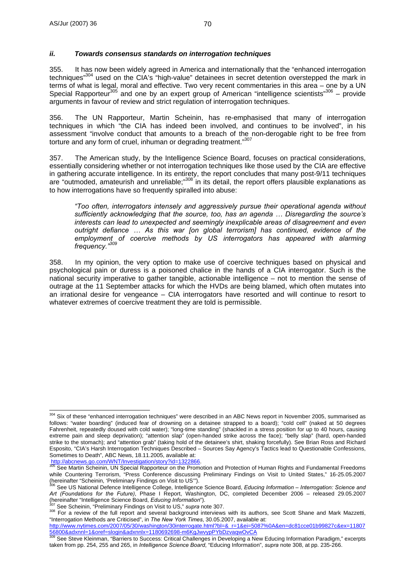355. It has now been widely agreed in America and internationally that the "enhanced interrogation techniques"304 used on the CIA's "high-value" detainees in secret detention overstepped the mark in terms of what is legal, moral and effective. Two very recent commentaries in this area – one by a UN Special Rapporteur<sup>305</sup> and one by an expert group of American "intelligence scientists"<sup>306</sup> – provide arguments in favour of review and strict regulation of interrogation techniques.

356. The UN Rapporteur, Martin Scheinin, has re-emphasised that many of interrogation techniques in which "the CIA has indeed been involved, and continues to be involved", in his assessment "involve conduct that amounts to a breach of the non-derogable right to be free from torture and any form of cruel, inhuman or degrading treatment."<sup>307</sup>

357. The American study, by the Intelligence Science Board, focuses on practical considerations, essentially considering whether or not interrogation techniques like those used by the CIA are effective in gathering accurate intelligence. In its entirety, the report concludes that many post-9/11 techniques are "outmoded, amateurish and unreliable;"308 in its detail, the report offers plausible explanations as to how interrogations have so frequently spiralled into abuse:

*"Too often, interrogators intensely and aggressively pursue their operational agenda without sufficiently acknowledging that the source, too, has an agenda … Disregarding the source's interests can lead to unexpected and seemingly inexplicable areas of disagreement and even outright defiance … As this war [on global terrorism] has continued, evidence of the employment of coercive methods by US interrogators has appeared with alarming frequency."309*

358. In my opinion, the very option to make use of coercive techniques based on physical and psychological pain or duress is a poisoned chalice in the hands of a CIA interrogator. Such is the national security imperative to gather tangible, actionable intelligence – not to mention the sense of outrage at the 11 September attacks for which the HVDs are being blamed, which often mutates into an irrational desire for vengeance – CIA interrogators have resorted and will continue to resort to whatever extremes of coercive treatment they are told is permissible.

 $\overline{a}$  $304$  Six of these "enhanced interrogation techniques" were described in an ABC News report in November 2005, summarised as follows: "water boarding" (induced fear of drowning on a detainee strapped to a board); "cold cell" (naked at 50 degrees Fahrenheit, repeatedly doused with cold water); "long-time standing" (shackled in a stress position for up to 40 hours, causing extreme pain and sleep deprivation); "attention slap" (open-handed strike across the face); "belly slap" (hard, open-handed strike to the stomach); and "attention grab" (taking hold of the detainee's shirt, shaking forcefully). See Brian Ross and Richard Esposito, "CIA's Harsh Interrogation Techniques Described – Sources Say Agency's Tactics lead to Questionable Confessions, Sometimes to Death", ABC News, 18.11.2005, available at:<br>http://abcnews.go.com/WNT/Investigation/story?id=1322866.

See Martin Scheinin, UN Special Rapporteur on the Promotion and Protection of Human Rights and Fundamental Freedoms while Countering Terrorism, "Press Conference discussing Preliminary Findings on Visit to United States," 16-25.05.2007<br>(hereinafter "Scheinin, 'Preliminary Findings on Visit to US").

See US National Defence Intelligence College, Intelligence Science Board, *Educing Information – Interrogation: Science and* Art (Foundations for the Future), Phase I Report, Washington, DC, completed December 2006 – released 29.05.2007<br>(hereinafter "Intelligence Science Board, *Educing Information*").

<sup>&</sup>lt;sup>307</sup> See Scheinin, "Preliminary Findings on Visit to US," *supra* note 307.<br><sup>308</sup> For a review of the full report and several background interviews with its authors, see Scott Shane and Mark Mazzetti, "Interrogation Methods are Criticised", in *The New York Times*, 30.05.2007, available at:

http://www.nytimes.com/2007/05/30/washington/30interrogate.html?bl=&\_r=1&ei=5087%0A&en=dc81cce01b99827c&ex=11807 <u>56800&adxnnl=1&oref=slogin&adxnnlx=1180692698-m6KgJwvypPYbDzvaqwOvCA</u><br><sup>309</sup> See Steve Kleinman, "Barriers to Success: Critical Challenges in Developing a New Educing Information Paradigm," excerpts

taken from pp. 254, 255 and 265, in *Intelligence Science Board*, "Educing Information", *supra* note 308, at pp. 235-266.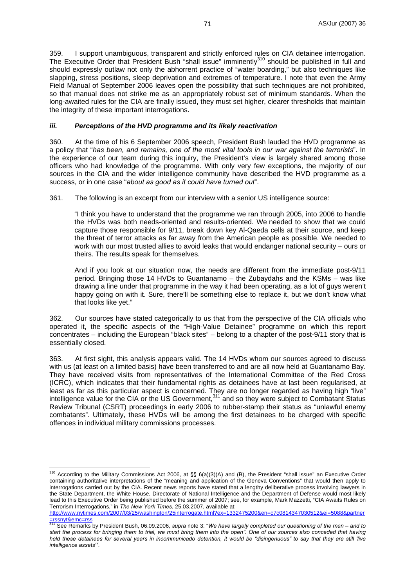359. I support unambiguous, transparent and strictly enforced rules on CIA detainee interrogation. The Executive Order that President Bush "shall issue" imminently<sup>310</sup> should be published in full and should expressly outlaw not only the abhorrent practice of "water boarding," but also techniques like slapping, stress positions, sleep deprivation and extremes of temperature. I note that even the Army Field Manual of September 2006 leaves open the possibility that such techniques are not prohibited, so that manual does not strike me as an appropriately robust set of minimum standards. When the long-awaited rules for the CIA are finally issued, they must set higher, clearer thresholds that maintain the integrity of these important interrogations.

#### *iii. Perceptions of the HVD programme and its likely reactivation*

360. At the time of his 6 September 2006 speech, President Bush lauded the HVD programme as a policy that "*has been, and remains, one of the most vital tools in our war against the terrorists*". In the experience of our team during this inquiry, the President's view is largely shared among those officers who had knowledge of the programme. With only very few exceptions, the majority of our sources in the CIA and the wider intelligence community have described the HVD programme as a success, or in one case "*about as good as it could have turned out*".

361. The following is an excerpt from our interview with a senior US intelligence source:

"I think you have to understand that the programme we ran through 2005, into 2006 to handle the HVDs was both needs-oriented and results-oriented. We needed to show that we could capture those responsible for 9/11, break down key Al-Qaeda cells at their source, and keep the threat of terror attacks as far away from the American people as possible. We needed to work with our most trusted allies to avoid leaks that would endanger national security – ours or theirs. The results speak for themselves.

And if you look at our situation now, the needs are different from the immediate post-9/11 period. Bringing those 14 HVDs to Guantanamo – the Zubaydahs and the KSMs – was like drawing a line under that programme in the way it had been operating, as a lot of guys weren't happy going on with it. Sure, there'll be something else to replace it, but we don't know what that looks like yet."

362. Our sources have stated categorically to us that from the perspective of the CIA officials who operated it, the specific aspects of the "High-Value Detainee" programme on which this report concentrates – including the European "black sites" – belong to a chapter of the post-9/11 story that is essentially closed.

363. At first sight, this analysis appears valid. The 14 HVDs whom our sources agreed to discuss with us (at least on a limited basis) have been transferred to and are all now held at Guantanamo Bay. They have received visits from representatives of the International Committee of the Red Cross (ICRC), which indicates that their fundamental rights as detainees have at last been regularised, at least as far as this particular aspect is concerned. They are no longer regarded as having high "live" intelligence value for the CIA or the US Government,<sup>311</sup> and so they were subject to Combatant Status Review Tribunal (CSRT) proceedings in early 2006 to rubber-stamp their status as "unlawful enemy combatants". Ultimately, these HVDs will be among the first detainees to be charged with specific offences in individual military commissions processes.

 $\overline{a}$ 

<sup>&</sup>lt;sup>310</sup> According to the Military Commissions Act 2006, at  $\S$  6(a)(3)(A) and (B), the President "shall issue" an Executive Order containing authoritative interpretations of the "meaning and application of the Geneva Conventions" that would then apply to interrogations carried out by the CIA. Recent news reports have stated that a lengthy deliberative process involving lawyers in the State Department, the White House, Directorate of National Intelligence and the Department of Defense would most likely lead to this Executive Order being published before the summer of 2007; see, for example, Mark Mazzetti, "CIA Awaits Rules on Terrorism Interrogations," in *The New York Times*, 25.03.2007, available at:

http://www.nytimes.com/2007/03/25/washington/25interrogate.html?ex=1332475200&en=c7c0814347030512&ei=5088&partner  $=$ rssnyt&emc=rss

<sup>311</sup> See Remarks by President Bush, 06.09.2006, *supra* note 3: "*We have largely completed our questioning of the men – and to start the process for bringing them to trial, we must bring them into the open". One of our sources also conceded that having held these detainees for several years in incommunicado detention, it would be "disingenuous" to say that they are still 'live intelligence assets'"*.